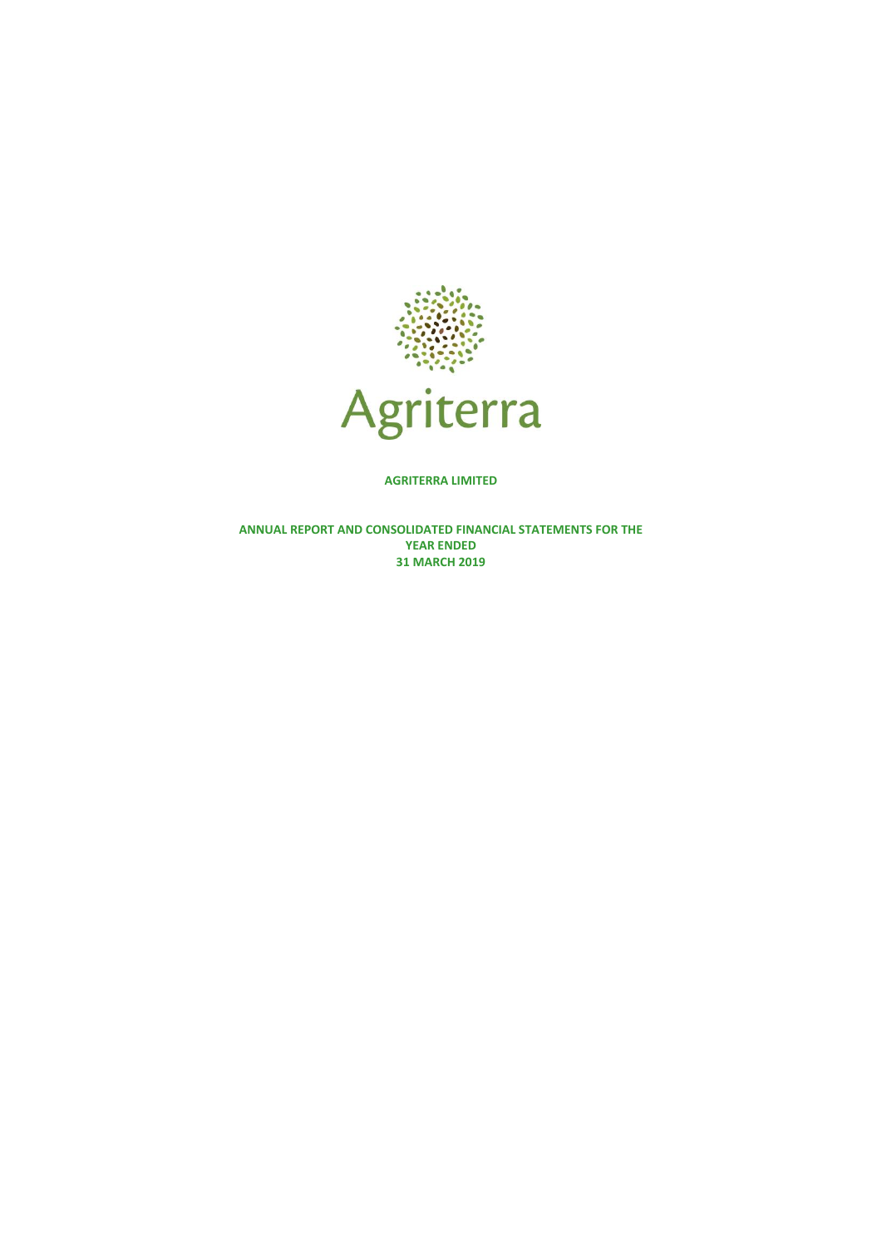

**AGRITERRA LIMITED**

**ANNUAL REPORT AND CONSOLIDATED FINANCIAL STATEMENTS FOR THE YEAR ENDED 31 MARCH 2019**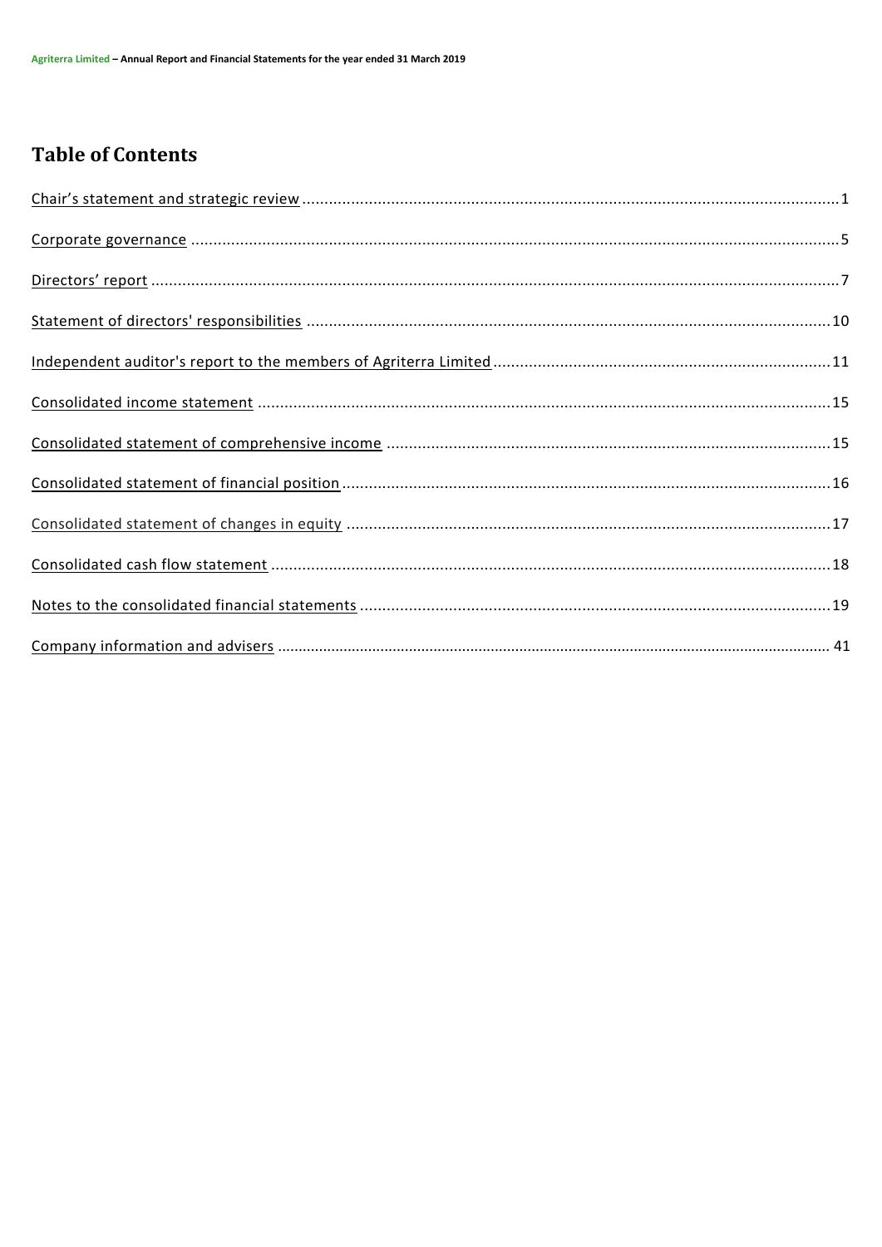# **Table of Contents**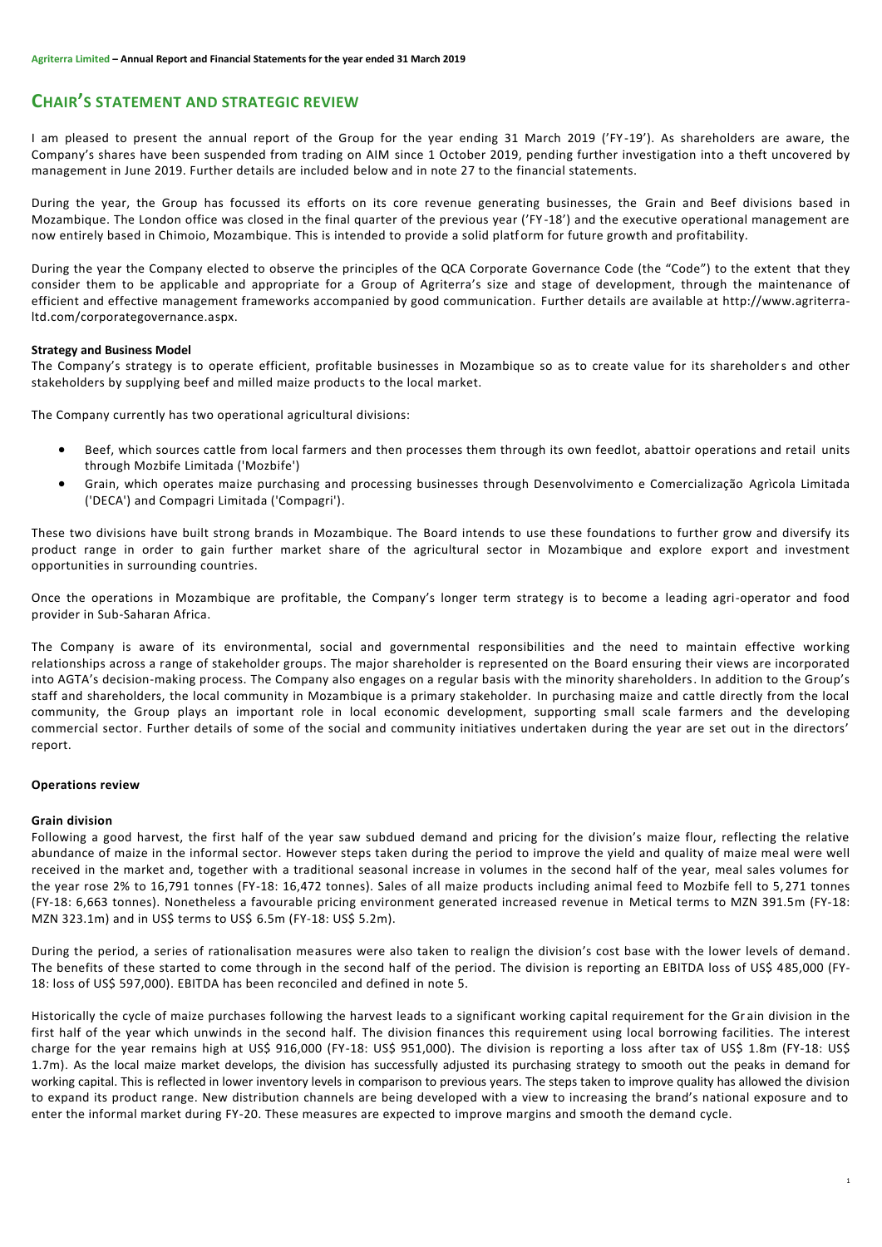# **CHAIR'S STATEMENT AND STRATEGIC REVIEW**

I am pleased to present the annual report of the Group for the year ending 31 March 2019 ('FY -19'). As shareholders are aware, the Company's shares have been suspended from trading on AIM since 1 October 2019, pending further investigation into a theft uncovered by management in June 2019. Further details are included below and in note 27 to the financial statements.

During the year, the Group has focussed its efforts on its core revenue generating businesses, the Grain and Beef divisions based in Mozambique. The London office was closed in the final quarter of the previous year ('FY -18') and the executive operational management are now entirely based in Chimoio, Mozambique. This is intended to provide a solid platform for future growth and profitability.

During the year the Company elected to observe the principles of the QCA Corporate Governance Code (the "Code") to the extent that they consider them to be applicable and appropriate for a Group of Agriterra's size and stage of development, through the maintenance of efficient and effective management frameworks accompanied by good communication. Further details are available at [http://www.agriterra](http://www.agriterra-ltd.com/corporategovernance.aspx)[ltd.com/corporategovernance.aspx.](http://www.agriterra-ltd.com/corporategovernance.aspx)

# **Strategy and Business Model**

The Company's strategy is to operate efficient, profitable businesses in Mozambique so as to create value for its shareholders and other stakeholders by supplying beef and milled maize products to the local market.

The Company currently has two operational agricultural divisions:

- Beef, which sources cattle from local farmers and then processes them through its own feedlot, abattoir operations and retail units through Mozbife Limitada ('Mozbife')
- Grain, which operates maize purchasing and processing businesses through Desenvolvimento e Comercialização Agrìcola Limitada ('DECA') and Compagri Limitada ('Compagri').

These two divisions have built strong brands in Mozambique. The Board intends to use these foundations to further grow and diversify its product range in order to gain further market share of the agricultural sector in Mozambique and explore export and investment opportunities in surrounding countries.

Once the operations in Mozambique are profitable, the Company's longer term strategy is to become a leading agri-operator and food provider in Sub-Saharan Africa.

The Company is aware of its environmental, social and governmental responsibilities and the need to maintain effective working relationships across a range of stakeholder groups. The major shareholder is represented on the Board ensuring their views are incorporated into AGTA's decision-making process. The Company also engages on a regular basis with the minority shareholders. In addition to the Group's staff and shareholders, the local community in Mozambique is a primary stakeholder. In purchasing maize and cattle directly from the local community, the Group plays an important role in local economic development, supporting small scale farmers and the developing commercial sector. Further details of some of the social and community initiatives undertaken during the year are set out in the directors' report.

# **Operations review**

#### **Grain division**

Following a good harvest, the first half of the year saw subdued demand and pricing for the division's maize flour, reflecting the relative abundance of maize in the informal sector. However steps taken during the period to improve the yield and quality of maize meal were well received in the market and, together with a traditional seasonal increase in volumes in the second half of the year, meal sales volumes for the year rose 2% to 16,791 tonnes (FY-18: 16,472 tonnes). Sales of all maize products including animal feed to Mozbife fell to 5, 271 tonnes (FY-18: 6,663 tonnes). Nonetheless a favourable pricing environment generated increased revenue in Metical terms to MZN 391.5m (FY-18: MZN 323.1m) and in US\$ terms to US\$ 6.5m (FY-18: US\$ 5.2m).

During the period, a series of rationalisation measures were also taken to realign the division's cost base with the lower levels of demand. The benefits of these started to come through in the second half of the period. The division is reporting an EBITDA loss of US\$ 485,000 (FY-18: loss of US\$ 597,000). EBITDA has been reconciled and defined in note 5.

Historically the cycle of maize purchases following the harvest leads to a significant working capital requirement for the Gr ain division in the first half of the year which unwinds in the second half. The division finances this requirement using local borrowing facilities. The interest charge for the year remains high at US\$ 916,000 (FY-18: US\$ 951,000). The division is reporting a loss after tax of US\$ 1.8m (FY-18: US\$ 1.7m). As the local maize market develops, the division has successfully adjusted its purchasing strategy to smooth out the peaks in demand for working capital. This is reflected in lower inventory levels in comparison to previous years. The steps taken to improve quality has allowed the division to expand its product range. New distribution channels are being developed with a view to increasing the brand's national exposure and to enter the informal market during FY-20. These measures are expected to improve margins and smooth the demand cycle.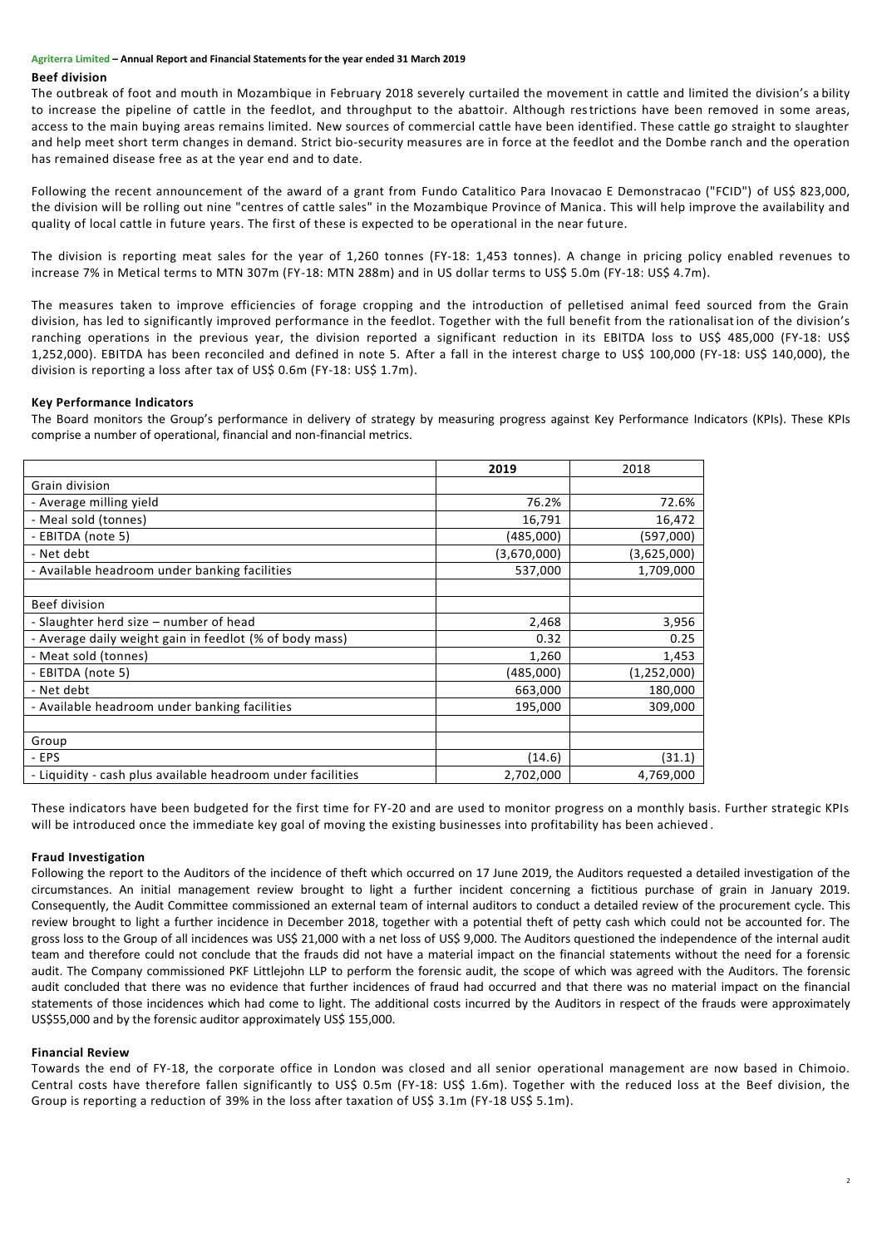### **Beef division**

The outbreak of foot and mouth in Mozambique in February 2018 severely curtailed the movement in cattle and limited the division's a bility to increase the pipeline of cattle in the feedlot, and throughput to the abattoir. Although restrictions have been removed in some areas, access to the main buying areas remains limited. New sources of commercial cattle have been identified. These cattle go straight to slaughter and help meet short term changes in demand. Strict bio-security measures are in force at the feedlot and the Dombe ranch and the operation has remained disease free as at the year end and to date.

Following the recent announcement of the award of a grant from Fundo Catalitico Para Inovacao E Demonstracao ("FCID") of US\$ 823,000, the division will be rolling out nine "centres of cattle sales" in the Mozambique Province of Manica. This will help improve the availability and quality of local cattle in future years. The first of these is expected to be operational in the near future.

The division is reporting meat sales for the year of 1,260 tonnes (FY-18: 1,453 tonnes). A change in pricing policy enabled revenues to increase 7% in Metical terms to MTN 307m (FY-18: MTN 288m) and in US dollar terms to US\$ 5.0m (FY-18: US\$ 4.7m).

The measures taken to improve efficiencies of forage cropping and the introduction of pelletised animal feed sourced from the Grain division, has led to significantly improved performance in the feedlot. Together with the full benefit from the rationalisation of the division's ranching operations in the previous year, the division reported a significant reduction in its EBITDA loss to US\$ 485,000 (FY-18: US\$ 1,252,000). EBITDA has been reconciled and defined in note 5. After a fall in the interest charge to US\$ 100,000 (FY-18: US\$ 140,000), the division is reporting a loss after tax of US\$ 0.6m (FY-18: US\$ 1.7m).

# **Key Performance Indicators**

The Board monitors the Group's performance in delivery of strategy by measuring progress against Key Performance Indicators (KPIs). These KPIs comprise a number of operational, financial and non-financial metrics.

|                                                             | 2019        | 2018          |
|-------------------------------------------------------------|-------------|---------------|
| Grain division                                              |             |               |
| - Average milling yield                                     | 76.2%       | 72.6%         |
| - Meal sold (tonnes)                                        | 16,791      | 16,472        |
| - EBITDA (note 5)                                           | (485,000)   | (597,000)     |
| - Net debt                                                  | (3,670,000) | (3,625,000)   |
| - Available headroom under banking facilities               | 537,000     | 1,709,000     |
|                                                             |             |               |
| Beef division                                               |             |               |
| - Slaughter herd size – number of head                      | 2,468       | 3,956         |
| - Average daily weight gain in feedlot (% of body mass)     | 0.32        | 0.25          |
| - Meat sold (tonnes)                                        | 1,260       | 1,453         |
| - EBITDA (note 5)                                           | (485,000)   | (1, 252, 000) |
| - Net debt                                                  | 663,000     | 180,000       |
| - Available headroom under banking facilities               | 195,000     | 309,000       |
|                                                             |             |               |
| Group                                                       |             |               |
| - EPS                                                       | (14.6)      | (31.1)        |
| - Liquidity - cash plus available headroom under facilities | 2,702,000   | 4,769,000     |

These indicators have been budgeted for the first time for FY-20 and are used to monitor progress on a monthly basis. Further strategic KPIs will be introduced once the immediate key goal of moving the existing businesses into profitability has been achieved.

# **Fraud Investigation**

Following the report to the Auditors of the incidence of theft which occurred on 17 June 2019, the Auditors requested a detailed investigation of the circumstances. An initial management review brought to light a further incident concerning a fictitious purchase of grain in January 2019. Consequently, the Audit Committee commissioned an external team of internal auditors to conduct a detailed review of the procurement cycle. This review brought to light a further incidence in December 2018, together with a potential theft of petty cash which could not be accounted for. The gross loss to the Group of all incidences was US\$ 21,000 with a net loss of US\$ 9,000. The Auditors questioned the independence of the internal audit team and therefore could not conclude that the frauds did not have a material impact on the financial statements without the need for a forensic audit. The Company commissioned PKF Littlejohn LLP to perform the forensic audit, the scope of which was agreed with the Auditors. The forensic audit concluded that there was no evidence that further incidences of fraud had occurred and that there was no material impact on the financial statements of those incidences which had come to light. The additional costs incurred by the Auditors in respect of the frauds were approximately US\$55,000 and by the forensic auditor approximately US\$ 155,000.

# **Financial Review**

Towards the end of FY-18, the corporate office in London was closed and all senior operational management are now based in Chimoio. Central costs have therefore fallen significantly to US\$ 0.5m (FY-18: US\$ 1.6m). Together with the reduced loss at the Beef division, the Group is reporting a reduction of 39% in the loss after taxation of US\$ 3.1m (FY-18 US\$ 5.1m).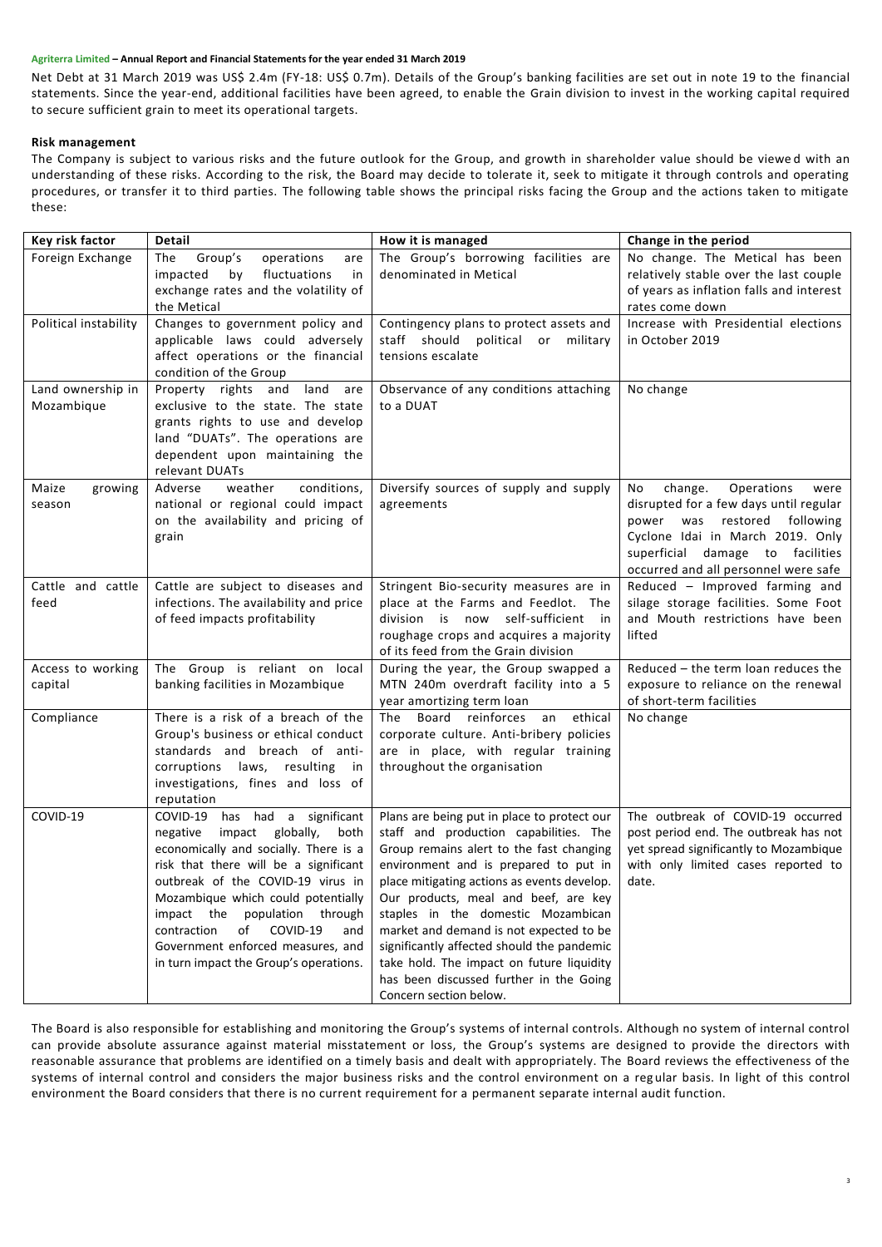Net Debt at 31 March 2019 was US\$ 2.4m (FY-18: US\$ 0.7m). Details of the Group's banking facilities are set out in note 19 to the financial statements. Since the year-end, additional facilities have been agreed, to enable the Grain division to invest in the working capital required to secure sufficient grain to meet its operational targets.

# **Risk management**

The Company is subject to various risks and the future outlook for the Group, and growth in shareholder value should be viewe d with an understanding of these risks. According to the risk, the Board may decide to tolerate it, seek to mitigate it through controls and operating procedures, or transfer it to third parties. The following table shows the principal risks facing the Group and the actions taken to mitigate these:

| Key risk factor                 | Detail                                                                                                                                                                                                                                                                                                                                                                                      | How it is managed                                                                                                                                                                                                                                                                                                                                                                                                                                                                                                  | Change in the period                                                                                                                                                                                                          |
|---------------------------------|---------------------------------------------------------------------------------------------------------------------------------------------------------------------------------------------------------------------------------------------------------------------------------------------------------------------------------------------------------------------------------------------|--------------------------------------------------------------------------------------------------------------------------------------------------------------------------------------------------------------------------------------------------------------------------------------------------------------------------------------------------------------------------------------------------------------------------------------------------------------------------------------------------------------------|-------------------------------------------------------------------------------------------------------------------------------------------------------------------------------------------------------------------------------|
| Foreign Exchange                | The<br>Group's<br>operations<br>are<br>impacted<br>fluctuations<br>by<br>in<br>exchange rates and the volatility of<br>the Metical                                                                                                                                                                                                                                                          | The Group's borrowing facilities are<br>denominated in Metical                                                                                                                                                                                                                                                                                                                                                                                                                                                     | No change. The Metical has been<br>relatively stable over the last couple<br>of years as inflation falls and interest<br>rates come down                                                                                      |
| Political instability           | Changes to government policy and<br>applicable laws could adversely<br>affect operations or the financial<br>condition of the Group                                                                                                                                                                                                                                                         | Contingency plans to protect assets and<br>staff should political or<br>military<br>tensions escalate                                                                                                                                                                                                                                                                                                                                                                                                              | Increase with Presidential elections<br>in October 2019                                                                                                                                                                       |
| Land ownership in<br>Mozambique | Property rights and land are<br>exclusive to the state. The state<br>grants rights to use and develop<br>land "DUATs". The operations are<br>dependent upon maintaining the<br>relevant DUATs                                                                                                                                                                                               | Observance of any conditions attaching<br>to a DUAT                                                                                                                                                                                                                                                                                                                                                                                                                                                                | No change                                                                                                                                                                                                                     |
| Maize<br>growing<br>season      | Adverse<br>weather<br>conditions,<br>national or regional could impact<br>on the availability and pricing of<br>grain                                                                                                                                                                                                                                                                       | Diversify sources of supply and supply<br>agreements                                                                                                                                                                                                                                                                                                                                                                                                                                                               | change.<br>Operations<br>No<br>were<br>disrupted for a few days until regular<br>power was restored following<br>Cyclone Idai in March 2019. Only<br>superficial damage to facilities<br>occurred and all personnel were safe |
| Cattle and cattle<br>feed       | Cattle are subject to diseases and<br>infections. The availability and price<br>of feed impacts profitability                                                                                                                                                                                                                                                                               | Stringent Bio-security measures are in<br>place at the Farms and Feedlot. The<br>division is now self-sufficient in<br>roughage crops and acquires a majority<br>of its feed from the Grain division                                                                                                                                                                                                                                                                                                               | Reduced - Improved farming and<br>silage storage facilities. Some Foot<br>and Mouth restrictions have been<br>lifted                                                                                                          |
| Access to working<br>capital    | The Group is reliant on local<br>banking facilities in Mozambique                                                                                                                                                                                                                                                                                                                           | During the year, the Group swapped a<br>MTN 240m overdraft facility into a 5<br>year amortizing term loan                                                                                                                                                                                                                                                                                                                                                                                                          | Reduced - the term loan reduces the<br>exposure to reliance on the renewal<br>of short-term facilities                                                                                                                        |
| Compliance                      | There is a risk of a breach of the<br>Group's business or ethical conduct<br>standards and breach of anti-<br>corruptions laws, resulting<br>in<br>investigations, fines and loss of<br>reputation                                                                                                                                                                                          | The Board reinforces an<br>ethical<br>corporate culture. Anti-bribery policies<br>are in place, with regular training<br>throughout the organisation                                                                                                                                                                                                                                                                                                                                                               | No change                                                                                                                                                                                                                     |
| COVID-19                        | COVID-19 has had a significant<br>negative<br>impact globally,<br>both<br>economically and socially. There is a<br>risk that there will be a significant<br>outbreak of the COVID-19 virus in<br>Mozambique which could potentially<br>impact the population through<br>contraction<br>of<br>COVID-19<br>and<br>Government enforced measures, and<br>in turn impact the Group's operations. | Plans are being put in place to protect our<br>staff and production capabilities. The<br>Group remains alert to the fast changing<br>environment and is prepared to put in<br>place mitigating actions as events develop.<br>Our products, meal and beef, are key<br>staples in the domestic Mozambican<br>market and demand is not expected to be<br>significantly affected should the pandemic<br>take hold. The impact on future liquidity<br>has been discussed further in the Going<br>Concern section below. | The outbreak of COVID-19 occurred<br>post period end. The outbreak has not<br>yet spread significantly to Mozambique<br>with only limited cases reported to<br>date.                                                          |

The Board is also responsible for establishing and monitoring the Group's systems of internal controls. Although no system of internal control can provide absolute assurance against material misstatement or loss, the Group's systems are designed to provide the directors with reasonable assurance that problems are identified on a timely basis and dealt with appropriately. The Board reviews the effectiveness of the systems of internal control and considers the major business risks and the control environment on a reg ular basis. In light of this control environment the Board considers that there is no current requirement for a permanent separate internal audit function.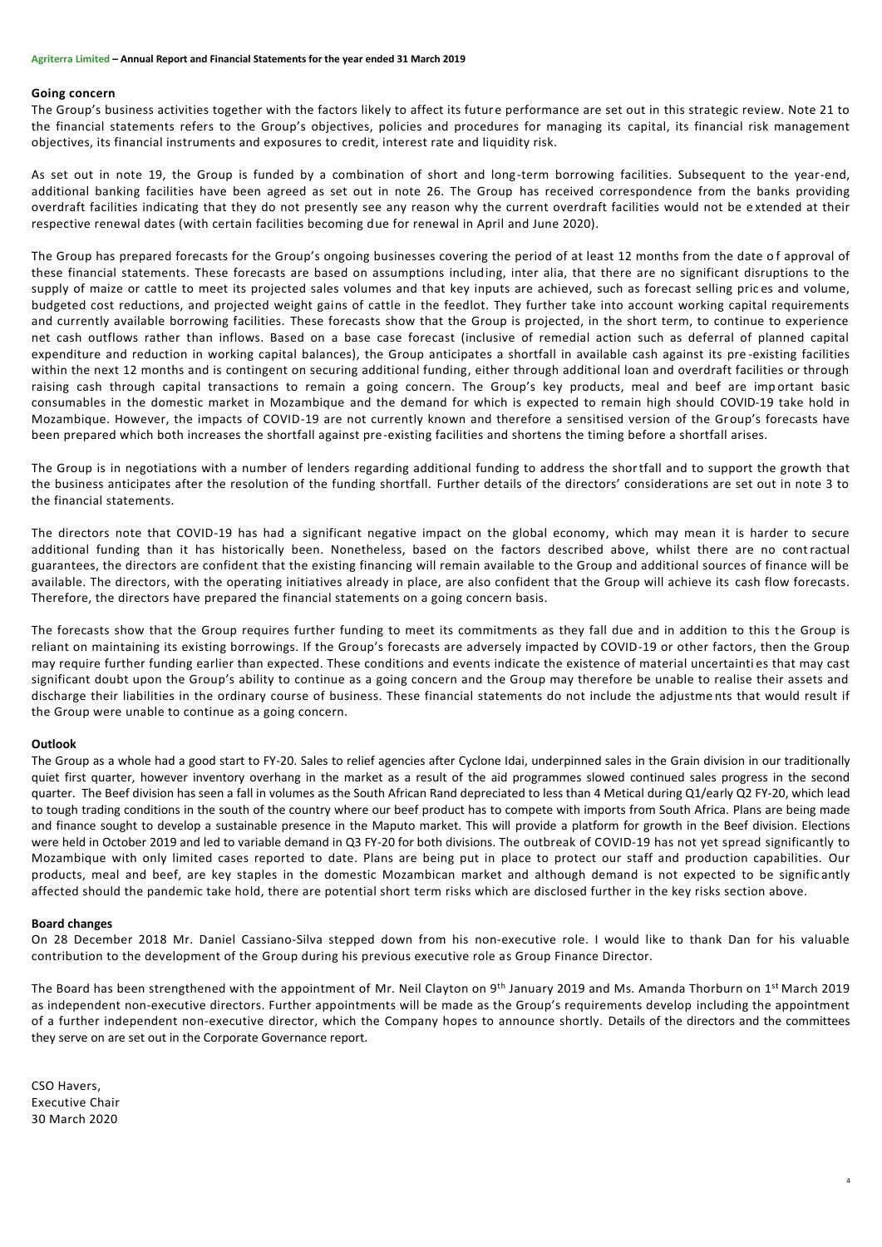#### **Going concern**

The Group's business activities together with the factors likely to affect its future performance are set out in this strategic review. Note 21 to the financial statements refers to the Group's objectives, policies and procedures for managing its capital, its financial risk management objectives, its financial instruments and exposures to credit, interest rate and liquidity risk.

As set out in note 19, the Group is funded by a combination of short and long -term borrowing facilities. Subsequent to the year-end, additional banking facilities have been agreed as set out in note 26. The Group has received correspondence from the banks providing overdraft facilities indicating that they do not presently see any reason why the current overdraft facilities would not be e xtended at their respective renewal dates (with certain facilities becoming due for renewal in April and June 2020).

The Group has prepared forecasts for the Group's ongoing businesses covering the period of at least 12 months from the date of approval of these financial statements. These forecasts are based on assumptions including, inter alia, that there are no significant disruptions to the supply of maize or cattle to meet its projected sales volumes and that key inputs are achieved, such as forecast selling pric es and volume, budgeted cost reductions, and projected weight gains of cattle in the feedlot. They further take into account working capital requirements and currently available borrowing facilities. These forecasts show that the Group is projected, in the short term, to continue to experience net cash outflows rather than inflows. Based on a base case forecast (inclusive of remedial action such as deferral of planned capital expenditure and reduction in working capital balances), the Group anticipates a shortfall in available cash against its pre -existing facilities within the next 12 months and is contingent on securing additional funding, either through additional loan and overdraft facilities or through raising cash through capital transactions to remain a going concern. The Group's key products, meal and beef are imp ortant basic consumables in the domestic market in Mozambique and the demand for which is expected to remain high should COVID-19 take hold in Mozambique. However, the impacts of COVID-19 are not currently known and therefore a sensitised version of the Group's forecasts have been prepared which both increases the shortfall against pre-existing facilities and shortens the timing before a shortfall arises.

The Group is in negotiations with a number of lenders regarding additional funding to address the shortfall and to support the growth that the business anticipates after the resolution of the funding shortfall. Further details of the directors' considerations are set out in note 3 to the financial statements.

The directors note that COVID-19 has had a significant negative impact on the global economy, which may mean it is harder to secure additional funding than it has historically been. Nonetheless, based on the factors described above, whilst there are no contractual guarantees, the directors are confident that the existing financing will remain available to the Group and additional sources of finance will be available. The directors, with the operating initiatives already in place, are also confident that the Group will achieve its cash flow forecasts. Therefore, the directors have prepared the financial statements on a going concern basis.

The forecasts show that the Group requires further funding to meet its commitments as they fall due and in addition to this the Group is reliant on maintaining its existing borrowings. If the Group's forecasts are adversely impacted by COVID-19 or other factors, then the Group may require further funding earlier than expected. These conditions and events indicate the existence of material uncertainti es that may cast significant doubt upon the Group's ability to continue as a going concern and the Group may therefore be unable to realise their assets and discharge their liabilities in the ordinary course of business. These financial statements do not include the adjustme nts that would result if the Group were unable to continue as a going concern.

# **Outlook**

The Group as a whole had a good start to FY-20. Sales to relief agencies after Cyclone Idai, underpinned sales in the Grain division in our traditionally quiet first quarter, however inventory overhang in the market as a result of the aid programmes slowed continued sales progress in the second quarter. The Beef division has seen a fall in volumes as the South African Rand depreciated to less than 4 Metical during Q1/early Q2 FY-20, which lead to tough trading conditions in the south of the country where our beef product has to compete with imports from South Africa. Plans are being made and finance sought to develop a sustainable presence in the Maputo market. This will provide a platform for growth in the Beef division. Elections were held in October 2019 and led to variable demand in Q3 FY-20 for both divisions. The outbreak of COVID-19 has not yet spread significantly to Mozambique with only limited cases reported to date. Plans are being put in place to protect our staff and production capabilities. Our products, meal and beef, are key staples in the domestic Mozambican market and although demand is not expected to be signific antly affected should the pandemic take hold, there are potential short term risks which are disclosed further in the key risks section above.

#### **Board changes**

On 28 December 2018 Mr. Daniel Cassiano-Silva stepped down from his non-executive role. I would like to thank Dan for his valuable contribution to the development of the Group during his previous executive role as Group Finance Director.

The Board has been strengthened with the appointment of Mr. Neil Clayton on 9<sup>th</sup> January 2019 and Ms. Amanda Thorburn on 1<sup>st</sup> March 2019 as independent non-executive directors. Further appointments will be made as the Group's requirements develop including the appointment of a further independent non-executive director, which the Company hopes to announce shortly. Details of the directors and the committees they serve on are set out in the Corporate Governance report.

CSO Havers, Executive Chair 30 March 2020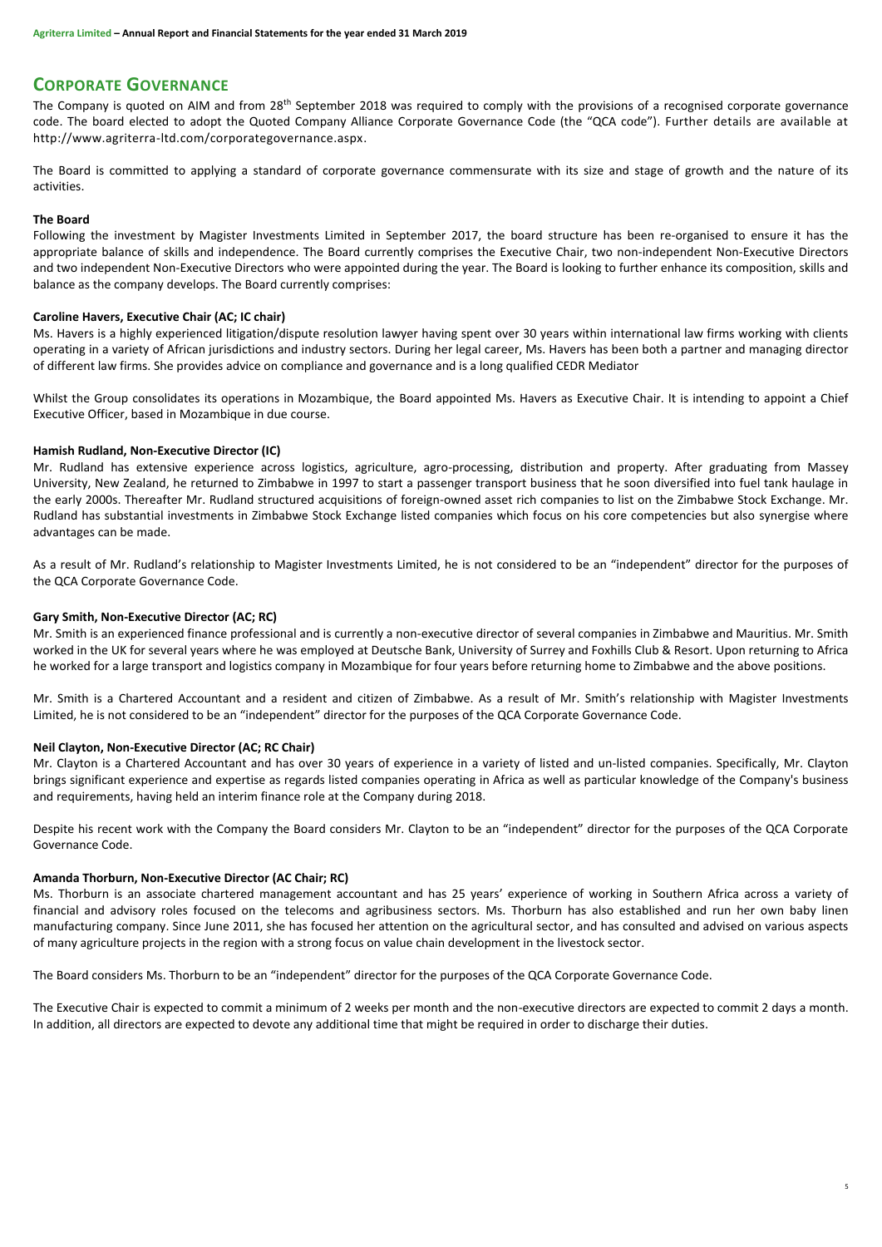# **CORPORATE GOVERNANCE**

The Company is quoted on AIM and from 28<sup>th</sup> September 2018 was required to comply with the provisions of a recognised corporate governance code. The board elected to adopt the Quoted Company Alliance Corporate Governance Code (the "QCA code"). Further details are available at [http://www.agriterra-ltd.com/corporategovernance.aspx.](http://www.agriterra-ltd.com/corporategovernance.aspx)

The Board is committed to applying a standard of corporate governance commensurate with its size and stage of growth and the nature of its activities.

# **The Board**

Following the investment by Magister Investments Limited in September 2017, the board structure has been re-organised to ensure it has the appropriate balance of skills and independence. The Board currently comprises the Executive Chair, two non-independent Non-Executive Directors and two independent Non-Executive Directors who were appointed during the year. The Board is looking to further enhance its composition, skills and balance as the company develops. The Board currently comprises:

# **Caroline Havers, Executive Chair (AC; IC chair)**

Ms. Havers is a highly experienced litigation/dispute resolution lawyer having spent over 30 years within international law firms working with clients operating in a variety of African jurisdictions and industry sectors. During her legal career, Ms. Havers has been both a partner and managing director of different law firms. She provides advice on compliance and governance and is a long qualified CEDR Mediator

Whilst the Group consolidates its operations in Mozambique, the Board appointed Ms. Havers as Executive Chair. It is intending to appoint a Chief Executive Officer, based in Mozambique in due course.

# **Hamish Rudland, Non-Executive Director (IC)**

Mr. Rudland has extensive experience across logistics, agriculture, agro-processing, distribution and property. After graduating from Massey University, New Zealand, he returned to Zimbabwe in 1997 to start a passenger transport business that he soon diversified into fuel tank haulage in the early 2000s. Thereafter Mr. Rudland structured acquisitions of foreign-owned asset rich companies to list on the Zimbabwe Stock Exchange. Mr. Rudland has substantial investments in Zimbabwe Stock Exchange listed companies which focus on his core competencies but also synergise where advantages can be made.

As a result of Mr. Rudland's relationship to Magister Investments Limited, he is not considered to be an "independent" director for the purposes of the QCA Corporate Governance Code.

# **Gary Smith, Non-Executive Director (AC; RC)**

Mr. Smith is an experienced finance professional and is currently a non-executive director of several companies in Zimbabwe and Mauritius. Mr. Smith worked in the UK for several years where he was employed at Deutsche Bank, University of Surrey and Foxhills Club & Resort. Upon returning to Africa he worked for a large transport and logistics company in Mozambique for four years before returning home to Zimbabwe and the above positions.

Mr. Smith is a Chartered Accountant and a resident and citizen of Zimbabwe. As a result of Mr. Smith's relationship with Magister Investments Limited, he is not considered to be an "independent" director for the purposes of the QCA Corporate Governance Code.

# **Neil Clayton, Non-Executive Director (AC; RC Chair)**

Mr. Clayton is a Chartered Accountant and has over 30 years of experience in a variety of listed and un-listed companies. Specifically, Mr. Clayton brings significant experience and expertise as regards listed companies operating in Africa as well as particular knowledge of the Company's business and requirements, having held an interim finance role at the Company during 2018.

Despite his recent work with the Company the Board considers Mr. Clayton to be an "independent" director for the purposes of the QCA Corporate Governance Code.

# **Amanda Thorburn, Non-Executive Director (AC Chair; RC)**

Ms. Thorburn is an associate chartered management accountant and has 25 years' experience of working in Southern Africa across a variety of financial and advisory roles focused on the telecoms and agribusiness sectors. Ms. Thorburn has also established and run her own baby linen manufacturing company. Since June 2011, she has focused her attention on the agricultural sector, and has consulted and advised on various aspects of many agriculture projects in the region with a strong focus on value chain development in the livestock sector.

The Board considers Ms. Thorburn to be an "independent" director for the purposes of the QCA Corporate Governance Code.

The Executive Chair is expected to commit a minimum of 2 weeks per month and the non-executive directors are expected to commit 2 days a month. In addition, all directors are expected to devote any additional time that might be required in order to discharge their duties.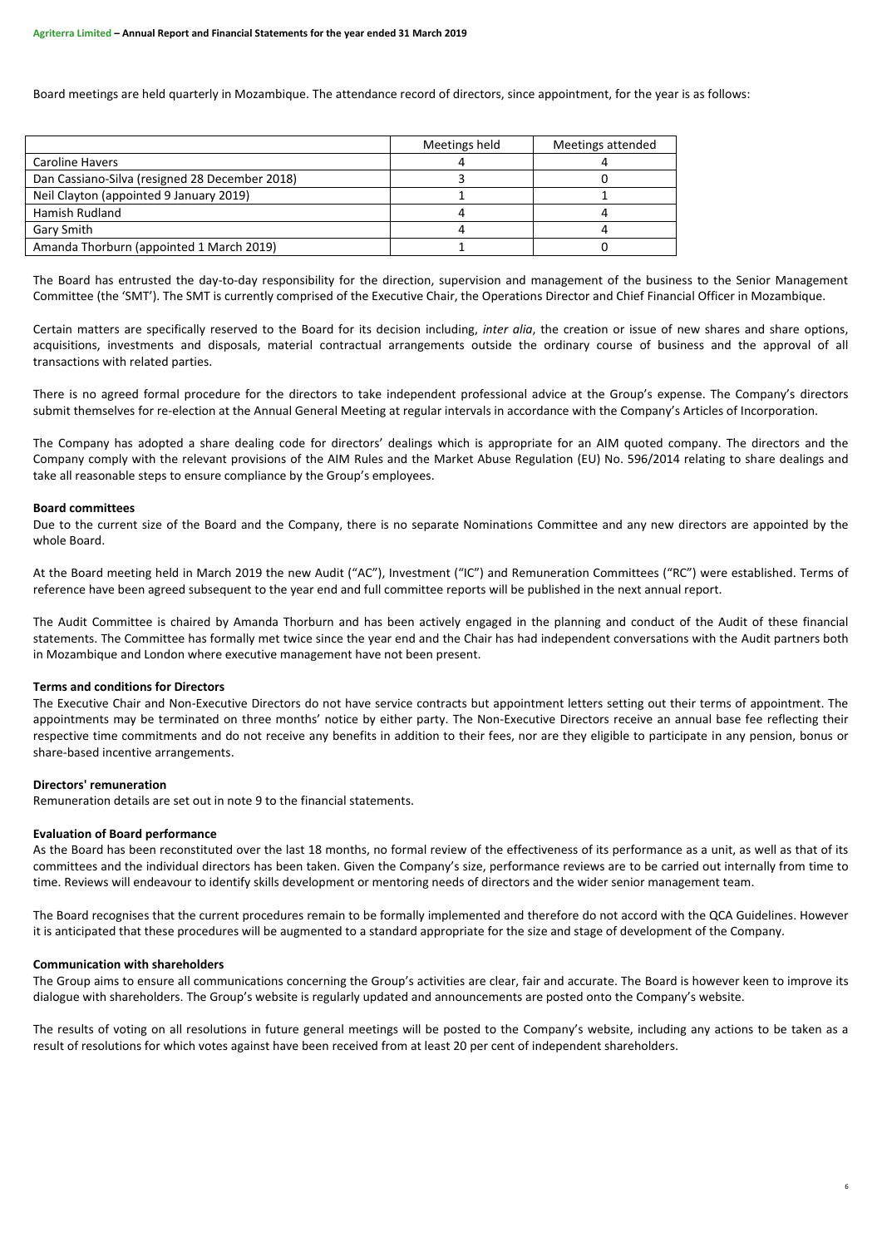Board meetings are held quarterly in Mozambique. The attendance record of directors, since appointment, for the year is as follows:

|                                                | Meetings held | Meetings attended |
|------------------------------------------------|---------------|-------------------|
| Caroline Havers                                |               |                   |
| Dan Cassiano-Silva (resigned 28 December 2018) |               |                   |
| Neil Clayton (appointed 9 January 2019)        |               |                   |
| Hamish Rudland                                 |               |                   |
| Gary Smith                                     |               |                   |
| Amanda Thorburn (appointed 1 March 2019)       |               |                   |

The Board has entrusted the day-to-day responsibility for the direction, supervision and management of the business to the Senior Management Committee (the 'SMT'). The SMT is currently comprised of the Executive Chair, the Operations Director and Chief Financial Officer in Mozambique.

Certain matters are specifically reserved to the Board for its decision including, *inter alia*, the creation or issue of new shares and share options, acquisitions, investments and disposals, material contractual arrangements outside the ordinary course of business and the approval of all transactions with related parties.

There is no agreed formal procedure for the directors to take independent professional advice at the Group's expense. The Company's directors submit themselves for re-election at the Annual General Meeting at regular intervals in accordance with the Company's Articles of Incorporation.

The Company has adopted a share dealing code for directors' dealings which is appropriate for an AIM quoted company. The directors and the Company comply with the relevant provisions of the AIM Rules and the Market Abuse Regulation (EU) No. 596/2014 relating to share dealings and take all reasonable steps to ensure compliance by the Group's employees.

#### **Board committees**

Due to the current size of the Board and the Company, there is no separate Nominations Committee and any new directors are appointed by the whole Board.

At the Board meeting held in March 2019 the new Audit ("AC"), Investment ("IC") and Remuneration Committees ("RC") were established. Terms of reference have been agreed subsequent to the year end and full committee reports will be published in the next annual report.

The Audit Committee is chaired by Amanda Thorburn and has been actively engaged in the planning and conduct of the Audit of these financial statements. The Committee has formally met twice since the year end and the Chair has had independent conversations with the Audit partners both in Mozambique and London where executive management have not been present.

# **Terms and conditions for Directors**

The Executive Chair and Non-Executive Directors do not have service contracts but appointment letters setting out their terms of appointment. The appointments may be terminated on three months' notice by either party. The Non-Executive Directors receive an annual base fee reflecting their respective time commitments and do not receive any benefits in addition to their fees, nor are they eligible to participate in any pension, bonus or share-based incentive arrangements.

# **Directors' remuneration**

Remuneration details are set out in note 9 to the financial statements.

#### **Evaluation of Board performance**

As the Board has been reconstituted over the last 18 months, no formal review of the effectiveness of its performance as a unit, as well as that of its committees and the individual directors has been taken. Given the Company's size, performance reviews are to be carried out internally from time to time. Reviews will endeavour to identify skills development or mentoring needs of directors and the wider senior management team.

The Board recognises that the current procedures remain to be formally implemented and therefore do not accord with the QCA Guidelines. However it is anticipated that these procedures will be augmented to a standard appropriate for the size and stage of development of the Company.

# **Communication with shareholders**

The Group aims to ensure all communications concerning the Group's activities are clear, fair and accurate. The Board is however keen to improve its dialogue with shareholders. The Group's website is regularly updated and announcements are posted onto the Company's website.

The results of voting on all resolutions in future general meetings will be posted to the Company's website, including any actions to be taken as a result of resolutions for which votes against have been received from at least 20 per cent of independent shareholders.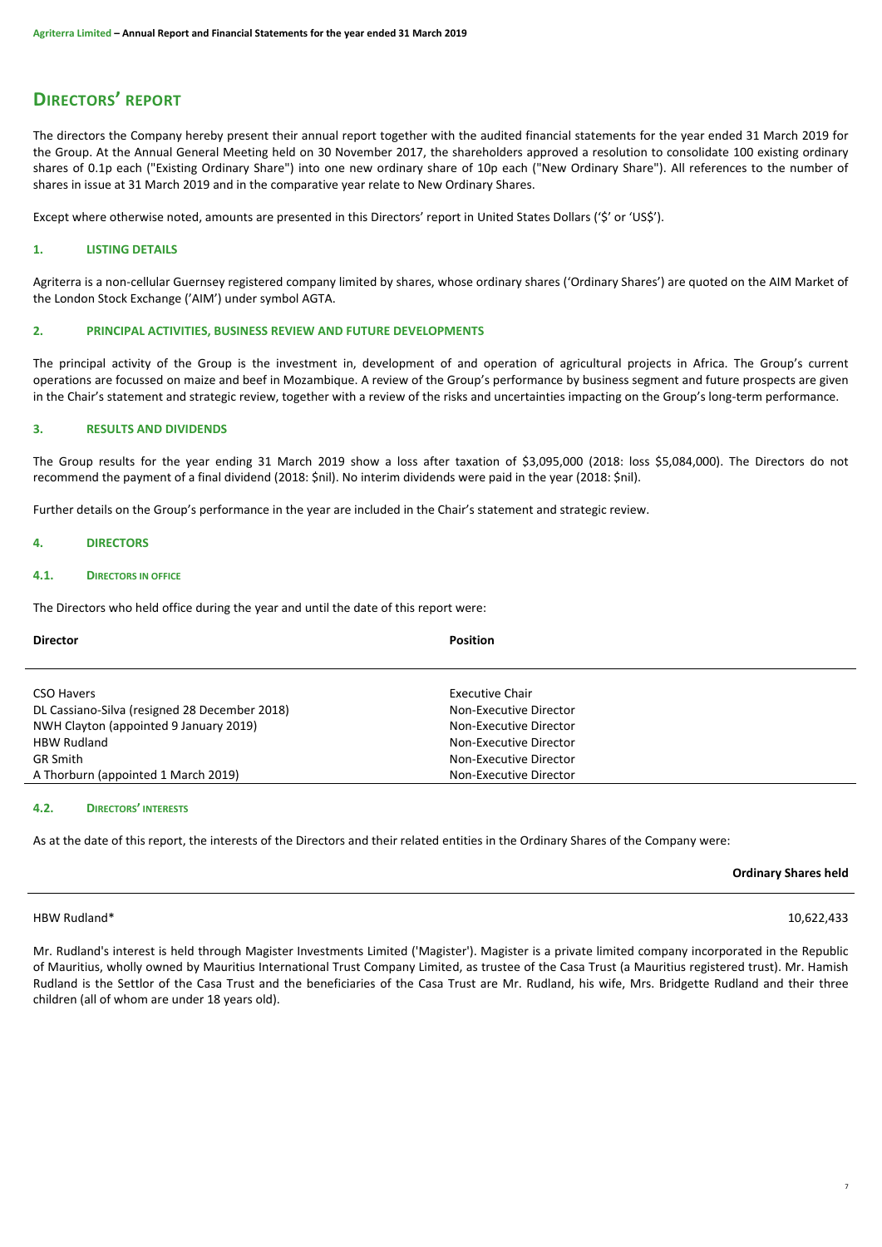# **DIRECTORS' REPORT**

The directors the Company hereby present their annual report together with the audited financial statements for the year ended 31 March 2019 for the Group. At the Annual General Meeting held on 30 November 2017, the shareholders approved a resolution to consolidate 100 existing ordinary shares of 0.1p each ("Existing Ordinary Share") into one new ordinary share of 10p each ("New Ordinary Share"). All references to the number of shares in issue at 31 March 2019 and in the comparative year relate to New Ordinary Shares.

Except where otherwise noted, amounts are presented in this Directors' report in United States Dollars ('\$' or 'US\$').

# **1. LISTING DETAILS**

Agriterra is a non-cellular Guernsey registered company limited by shares, whose ordinary shares ('Ordinary Shares') are quoted on the AIM Market of the London Stock Exchange ('AIM') under symbol AGTA.

# **2. PRINCIPAL ACTIVITIES, BUSINESS REVIEW AND FUTURE DEVELOPMENTS**

The principal activity of the Group is the investment in, development of and operation of agricultural projects in Africa. The Group's current operations are focussed on maize and beef in Mozambique. A review of the Group's performance by business segment and future prospects are given in the Chair's statement and strategic review, together with a review of the risks and uncertainties impacting on the Group's long-term performance.

# **3. RESULTS AND DIVIDENDS**

The Group results for the year ending 31 March 2019 show a loss after taxation of \$3,095,000 (2018: loss \$5,084,000). The Directors do not recommend the payment of a final dividend (2018: \$nil). No interim dividends were paid in the year (2018: \$nil).

Further details on the Group's performance in the year are included in the Chair's statement and strategic review.

# **4. DIRECTORS**

#### **4.1. DIRECTORS IN OFFICE**

The Directors who held office during the year and until the date of this report were:

| <b>Director</b>                               | <b>Position</b>        |
|-----------------------------------------------|------------------------|
|                                               |                        |
|                                               |                        |
| <b>CSO Havers</b>                             | <b>Executive Chair</b> |
| DL Cassiano-Silva (resigned 28 December 2018) | Non-Executive Director |
| NWH Clayton (appointed 9 January 2019)        | Non-Executive Director |
| <b>HBW Rudland</b>                            | Non-Executive Director |
| <b>GR Smith</b>                               | Non-Executive Director |
| A Thorburn (appointed 1 March 2019)           | Non-Executive Director |

# **4.2. DIRECTORS' INTERESTS**

As at the date of this report, the interests of the Directors and their related entities in the Ordinary Shares of the Company were:

**Ordinary Shares held**

# HBW Rudland\* 10,622,433

Mr. Rudland's interest is held through Magister Investments Limited ('Magister'). Magister is a private limited company incorporated in the Republic of Mauritius, wholly owned by Mauritius International Trust Company Limited, as trustee of the Casa Trust (a Mauritius registered trust). Mr. Hamish Rudland is the Settlor of the Casa Trust and the beneficiaries of the Casa Trust are Mr. Rudland, his wife, Mrs. Bridgette Rudland and their three children (all of whom are under 18 years old).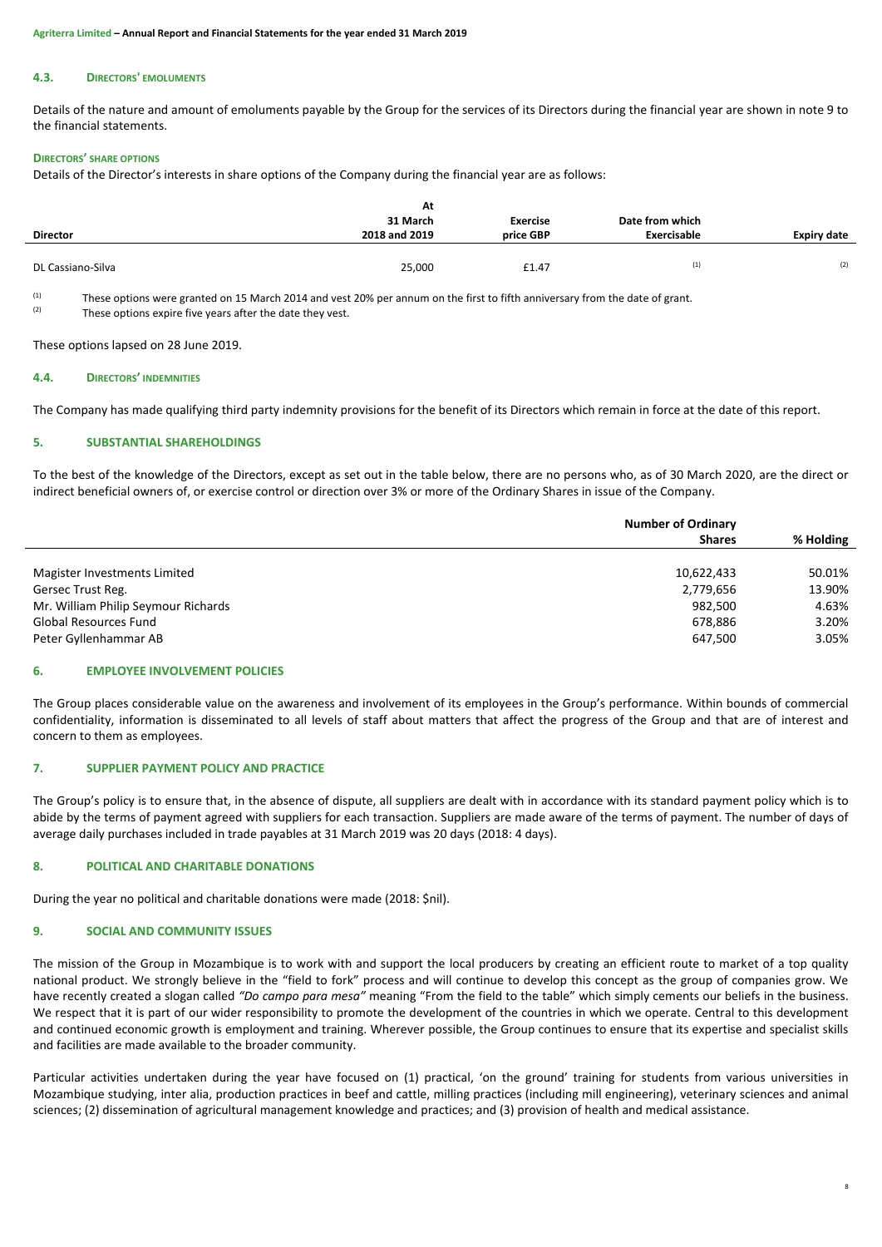#### **4.3. DIRECTORS' EMOLUMENTS**

Details of the nature and amount of emoluments payable by the Group for the services of its Directors during the financial year are shown in note 9 to the financial statements.

#### **DIRECTORS' SHARE OPTIONS**

Details of the Director's interests in share options of the Company during the financial year are as follows:

|                   | At<br>31 March | <b>Exercise</b> | Date from which |                    |
|-------------------|----------------|-----------------|-----------------|--------------------|
| <b>Director</b>   | 2018 and 2019  | price GBP       | Exercisable     | <b>Expiry date</b> |
|                   |                |                 |                 |                    |
| DL Cassiano-Silva | 25,000         | £1.47           | (1)             | (2)                |

 $(1)$ These options were granted on 15 March 2014 and vest 20% per annum on the first to fifth anniversary from the date of grant.  $(2)$ These options expire five years after the date they vest.

These options lapsed on 28 June 2019.

#### **4.4. DIRECTORS' INDEMNITIES**

The Company has made qualifying third party indemnity provisions for the benefit of its Directors which remain in force at the date of this report.

#### **5. SUBSTANTIAL SHAREHOLDINGS**

To the best of the knowledge of the Directors, except as set out in the table below, there are no persons who, as of 30 March 2020, are the direct or indirect beneficial owners of, or exercise control or direction over 3% or more of the Ordinary Shares in issue of the Company.

|                                     | <b>Number of Ordinary</b> |           |  |
|-------------------------------------|---------------------------|-----------|--|
|                                     | <b>Shares</b>             | % Holding |  |
|                                     |                           |           |  |
| Magister Investments Limited        | 10,622,433                | 50.01%    |  |
| Gersec Trust Reg.                   | 2,779,656                 | 13.90%    |  |
| Mr. William Philip Seymour Richards | 982.500                   | 4.63%     |  |
| <b>Global Resources Fund</b>        | 678,886                   | 3.20%     |  |
| Peter Gyllenhammar AB               | 647,500                   | 3.05%     |  |

# **6. EMPLOYEE INVOLVEMENT POLICIES**

The Group places considerable value on the awareness and involvement of its employees in the Group's performance. Within bounds of commercial confidentiality, information is disseminated to all levels of staff about matters that affect the progress of the Group and that are of interest and concern to them as employees.

# **7. SUPPLIER PAYMENT POLICY AND PRACTICE**

The Group's policy is to ensure that, in the absence of dispute, all suppliers are dealt with in accordance with its standard payment policy which is to abide by the terms of payment agreed with suppliers for each transaction. Suppliers are made aware of the terms of payment. The number of days of average daily purchases included in trade payables at 31 March 2019 was 20 days (2018: 4 days).

# **8. POLITICAL AND CHARITABLE DONATIONS**

During the year no political and charitable donations were made (2018: \$nil).

# **9. SOCIAL AND COMMUNITY ISSUES**

The mission of the Group in Mozambique is to work with and support the local producers by creating an efficient route to market of a top quality national product. We strongly believe in the "field to fork" process and will continue to develop this concept as the group of companies grow. We have recently created a slogan called *"Do campo para mesa"* meaning "From the field to the table" which simply cements our beliefs in the business. We respect that it is part of our wider responsibility to promote the development of the countries in which we operate. Central to this development and continued economic growth is employment and training. Wherever possible, the Group continues to ensure that its expertise and specialist skills and facilities are made available to the broader community.

Particular activities undertaken during the year have focused on (1) practical, 'on the ground' training for students from various universities in Mozambique studying, inter alia, production practices in beef and cattle, milling practices (including mill engineering), veterinary sciences and animal sciences; (2) dissemination of agricultural management knowledge and practices; and (3) provision of health and medical assistance.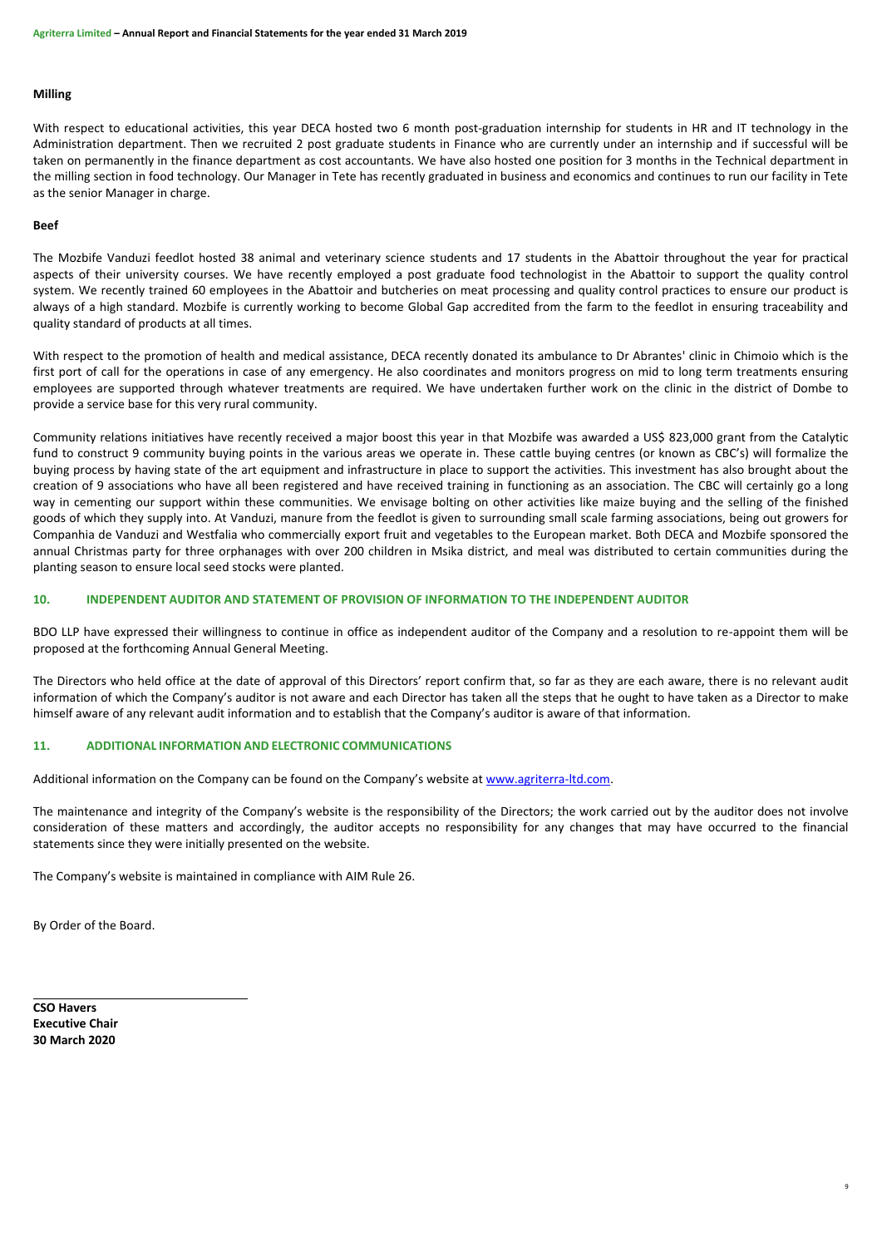### **Milling**

With respect to educational activities, this year DECA hosted two 6 month post-graduation internship for students in HR and IT technology in the Administration department. Then we recruited 2 post graduate students in Finance who are currently under an internship and if successful will be taken on permanently in the finance department as cost accountants. We have also hosted one position for 3 months in the Technical department in the milling section in food technology. Our Manager in Tete has recently graduated in business and economics and continues to run our facility in Tete as the senior Manager in charge.

### **Beef**

The Mozbife Vanduzi feedlot hosted 38 animal and veterinary science students and 17 students in the Abattoir throughout the year for practical aspects of their university courses. We have recently employed a post graduate food technologist in the Abattoir to support the quality control system. We recently trained 60 employees in the Abattoir and butcheries on meat processing and quality control practices to ensure our product is always of a high standard. Mozbife is currently working to become Global Gap accredited from the farm to the feedlot in ensuring traceability and quality standard of products at all times.

With respect to the promotion of health and medical assistance, DECA recently donated its ambulance to Dr Abrantes' clinic in Chimoio which is the first port of call for the operations in case of any emergency. He also coordinates and monitors progress on mid to long term treatments ensuring employees are supported through whatever treatments are required. We have undertaken further work on the clinic in the district of Dombe to provide a service base for this very rural community.

Community relations initiatives have recently received a major boost this year in that Mozbife was awarded a US\$ 823,000 grant from the Catalytic fund to construct 9 community buying points in the various areas we operate in. These cattle buying centres (or known as CBC's) will formalize the buying process by having state of the art equipment and infrastructure in place to support the activities. This investment has also brought about the creation of 9 associations who have all been registered and have received training in functioning as an association. The CBC will certainly go a long way in cementing our support within these communities. We envisage bolting on other activities like maize buying and the selling of the finished goods of which they supply into. At Vanduzi, manure from the feedlot is given to surrounding small scale farming associations, being out growers for Companhia de Vanduzi and Westfalia who commercially export fruit and vegetables to the European market. Both DECA and Mozbife sponsored the annual Christmas party for three orphanages with over 200 children in Msika district, and meal was distributed to certain communities during the planting season to ensure local seed stocks were planted.

# **10. INDEPENDENT AUDITOR AND STATEMENT OF PROVISION OF INFORMATION TO THE INDEPENDENT AUDITOR**

BDO LLP have expressed their willingness to continue in office as independent auditor of the Company and a resolution to re-appoint them will be proposed at the forthcoming Annual General Meeting.

The Directors who held office at the date of approval of this Directors' report confirm that, so far as they are each aware, there is no relevant audit information of which the Company's auditor is not aware and each Director has taken all the steps that he ought to have taken as a Director to make himself aware of any relevant audit information and to establish that the Company's auditor is aware of that information.

# **11. ADDITIONAL INFORMATION AND ELECTRONIC COMMUNICATIONS**

Additional information on the Company can be found on the Company's website at [www.agriterra-ltd.com.](http://www.agriterra-ltd.com/)

The maintenance and integrity of the Company's website is the responsibility of the Directors; the work carried out by the auditor does not involve consideration of these matters and accordingly, the auditor accepts no responsibility for any changes that may have occurred to the financial statements since they were initially presented on the website.

9

The Company's website is maintained in compliance with AIM Rule 26.

By Order of the Board.

**CSO Havers Executive Chair 30 March 2020**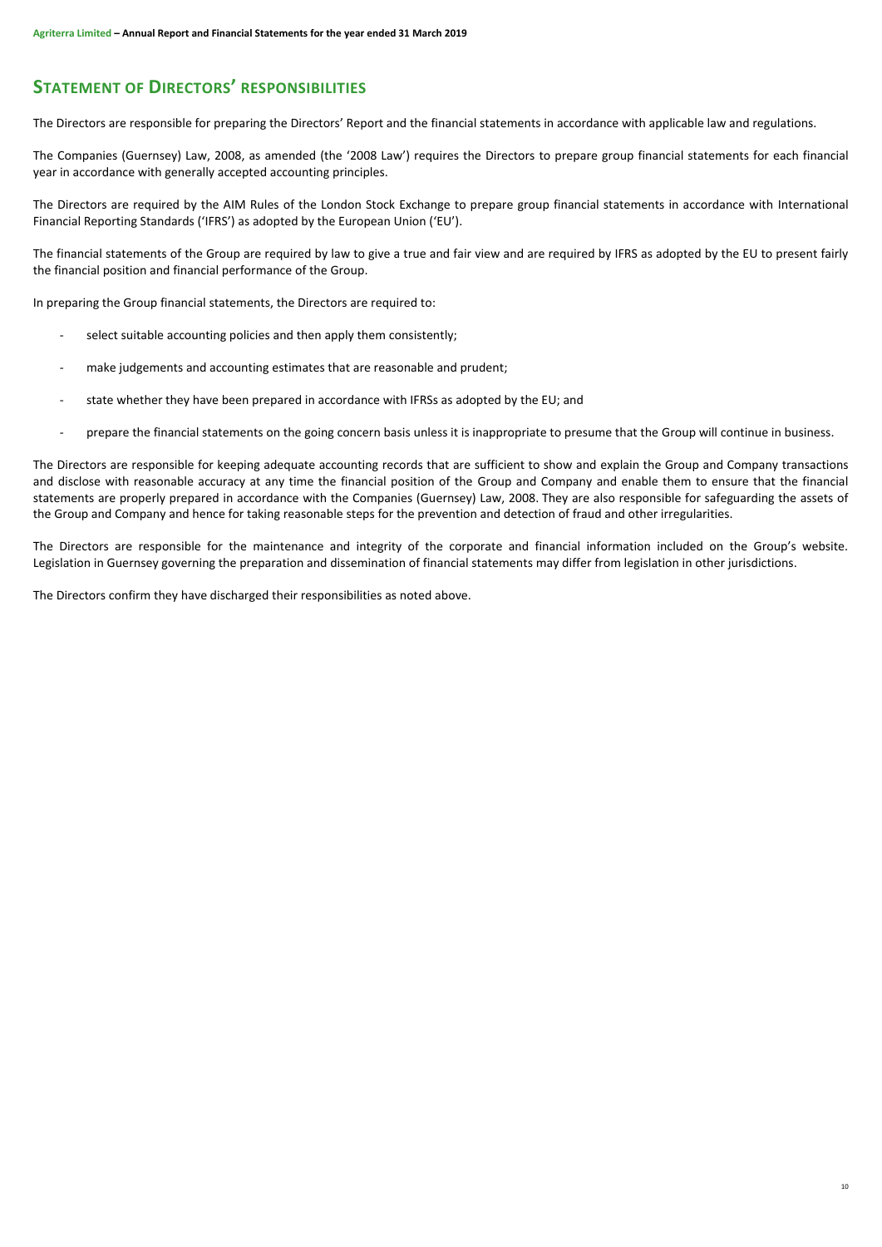# **STATEMENT OF DIRECTORS' RESPONSIBILITIES**

The Directors are responsible for preparing the Directors' Report and the financial statements in accordance with applicable law and regulations.

The Companies (Guernsey) Law, 2008, as amended (the '2008 Law') requires the Directors to prepare group financial statements for each financial year in accordance with generally accepted accounting principles.

The Directors are required by the AIM Rules of the London Stock Exchange to prepare group financial statements in accordance with International Financial Reporting Standards ('IFRS') as adopted by the European Union ('EU').

The financial statements of the Group are required by law to give a true and fair view and are required by IFRS as adopted by the EU to present fairly the financial position and financial performance of the Group.

In preparing the Group financial statements, the Directors are required to:

- select suitable accounting policies and then apply them consistently;
- make judgements and accounting estimates that are reasonable and prudent;
- state whether they have been prepared in accordance with IFRSs as adopted by the EU; and
- prepare the financial statements on the going concern basis unless it is inappropriate to presume that the Group will continue in business.

The Directors are responsible for keeping adequate accounting records that are sufficient to show and explain the Group and Company transactions and disclose with reasonable accuracy at any time the financial position of the Group and Company and enable them to ensure that the financial statements are properly prepared in accordance with the Companies (Guernsey) Law, 2008. They are also responsible for safeguarding the assets of the Group and Company and hence for taking reasonable steps for the prevention and detection of fraud and other irregularities.

The Directors are responsible for the maintenance and integrity of the corporate and financial information included on the Group's website. Legislation in Guernsey governing the preparation and dissemination of financial statements may differ from legislation in other jurisdictions.

The Directors confirm they have discharged their responsibilities as noted above.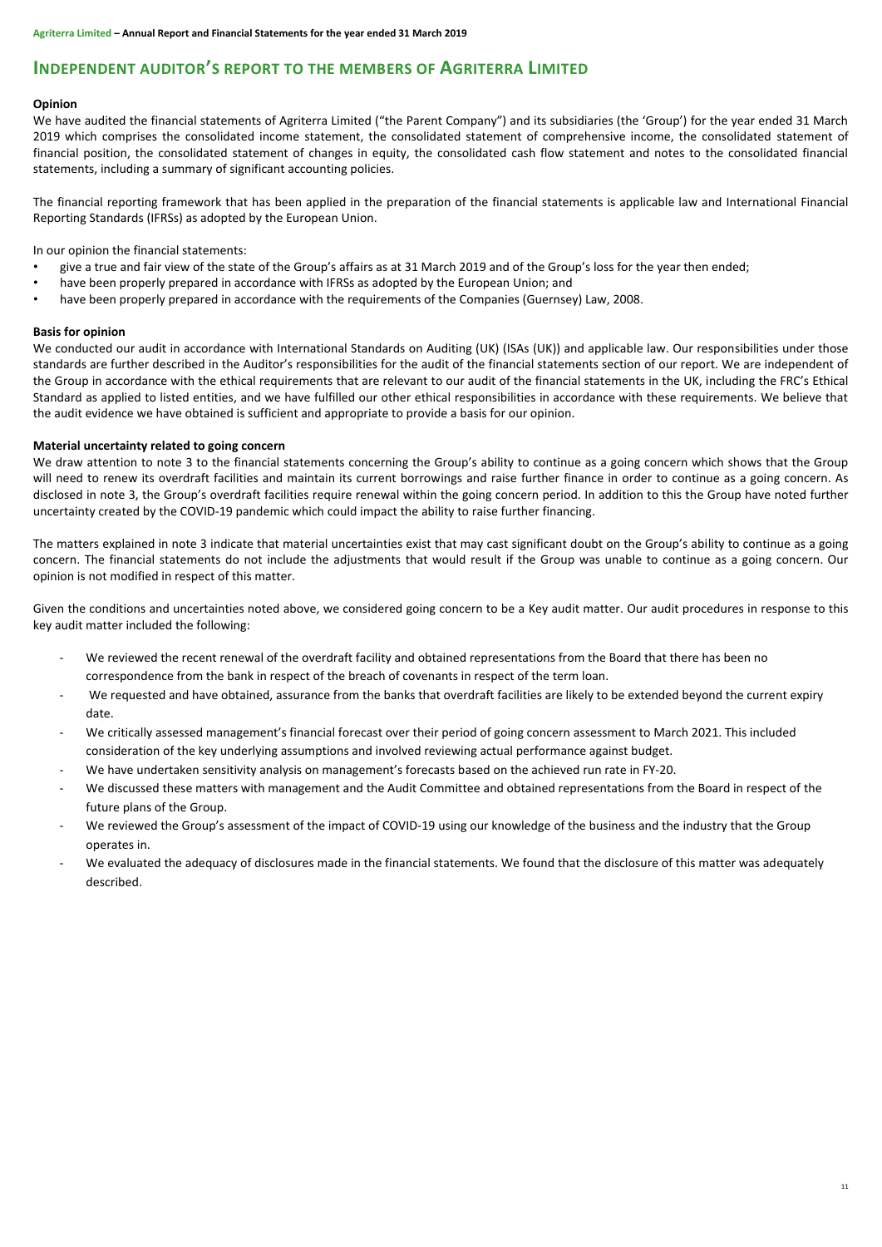# **INDEPENDENT AUDITOR'S REPORT TO THE MEMBERS OF AGRITERRA LIMITED**

# **Opinion**

We have audited the financial statements of Agriterra Limited ("the Parent Company") and its subsidiaries (the 'Group') for the year ended 31 March 2019 which comprises the consolidated income statement, the consolidated statement of comprehensive income, the consolidated statement of financial position, the consolidated statement of changes in equity, the consolidated cash flow statement and notes to the consolidated financial statements, including a summary of significant accounting policies.

The financial reporting framework that has been applied in the preparation of the financial statements is applicable law and International Financial Reporting Standards (IFRSs) as adopted by the European Union.

In our opinion the financial statements:

- give a true and fair view of the state of the Group's affairs as at 31 March 2019 and of the Group's loss for the year then ended;
- have been properly prepared in accordance with IFRSs as adopted by the European Union; and
- have been properly prepared in accordance with the requirements of the Companies (Guernsey) Law, 2008.

# **Basis for opinion**

We conducted our audit in accordance with International Standards on Auditing (UK) (ISAs (UK)) and applicable law. Our responsibilities under those standards are further described in the Auditor's responsibilities for the audit of the financial statements section of our report. We are independent of the Group in accordance with the ethical requirements that are relevant to our audit of the financial statements in the UK, including the FRC's Ethical Standard as applied to listed entities, and we have fulfilled our other ethical responsibilities in accordance with these requirements. We believe that the audit evidence we have obtained is sufficient and appropriate to provide a basis for our opinion.

# **Material uncertainty related to going concern**

We draw attention to note 3 to the financial statements concerning the Group's ability to continue as a going concern which shows that the Group will need to renew its overdraft facilities and maintain its current borrowings and raise further finance in order to continue as a going concern. As disclosed in note 3, the Group's overdraft facilities require renewal within the going concern period. In addition to this the Group have noted further uncertainty created by the COVID-19 pandemic which could impact the ability to raise further financing.

The matters explained in note 3 indicate that material uncertainties exist that may cast significant doubt on the Group's ability to continue as a going concern. The financial statements do not include the adjustments that would result if the Group was unable to continue as a going concern. Our opinion is not modified in respect of this matter.

Given the conditions and uncertainties noted above, we considered going concern to be a Key audit matter. Our audit procedures in response to this key audit matter included the following:

- We reviewed the recent renewal of the overdraft facility and obtained representations from the Board that there has been no correspondence from the bank in respect of the breach of covenants in respect of the term loan.
- We requested and have obtained, assurance from the banks that overdraft facilities are likely to be extended beyond the current expiry date.
- We critically assessed management's financial forecast over their period of going concern assessment to March 2021. This included consideration of the key underlying assumptions and involved reviewing actual performance against budget.
- We have undertaken sensitivity analysis on management's forecasts based on the achieved run rate in FY-20.
- We discussed these matters with management and the Audit Committee and obtained representations from the Board in respect of the future plans of the Group.
- We reviewed the Group's assessment of the impact of COVID-19 using our knowledge of the business and the industry that the Group operates in.
- We evaluated the adequacy of disclosures made in the financial statements. We found that the disclosure of this matter was adequately described.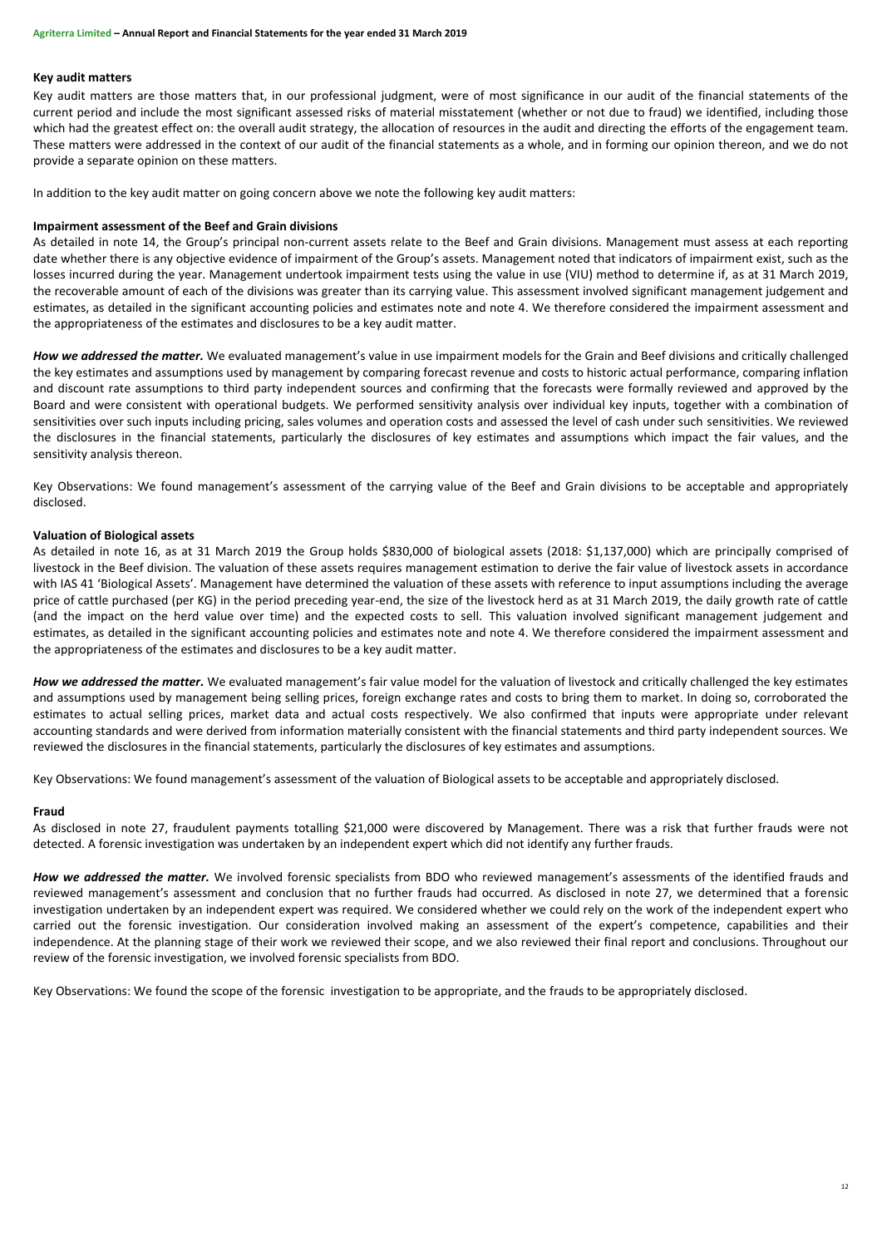# **Key audit matters**

Key audit matters are those matters that, in our professional judgment, were of most significance in our audit of the financial statements of the current period and include the most significant assessed risks of material misstatement (whether or not due to fraud) we identified, including those which had the greatest effect on: the overall audit strategy, the allocation of resources in the audit and directing the efforts of the engagement team. These matters were addressed in the context of our audit of the financial statements as a whole, and in forming our opinion thereon, and we do not provide a separate opinion on these matters.

In addition to the key audit matter on going concern above we note the following key audit matters:

#### **Impairment assessment of the Beef and Grain divisions**

As detailed in note 14, the Group's principal non-current assets relate to the Beef and Grain divisions. Management must assess at each reporting date whether there is any objective evidence of impairment of the Group's assets. Management noted that indicators of impairment exist, such as the losses incurred during the year. Management undertook impairment tests using the value in use (VIU) method to determine if, as at 31 March 2019, the recoverable amount of each of the divisions was greater than its carrying value. This assessment involved significant management judgement and estimates, as detailed in the significant accounting policies and estimates note and note 4. We therefore considered the impairment assessment and the appropriateness of the estimates and disclosures to be a key audit matter.

How we addressed the matter. We evaluated management's value in use impairment models for the Grain and Beef divisions and critically challenged the key estimates and assumptions used by management by comparing forecast revenue and costs to historic actual performance, comparing inflation and discount rate assumptions to third party independent sources and confirming that the forecasts were formally reviewed and approved by the Board and were consistent with operational budgets. We performed sensitivity analysis over individual key inputs, together with a combination of sensitivities over such inputs including pricing, sales volumes and operation costs and assessed the level of cash under such sensitivities. We reviewed the disclosures in the financial statements, particularly the disclosures of key estimates and assumptions which impact the fair values, and the sensitivity analysis thereon.

Key Observations: We found management's assessment of the carrying value of the Beef and Grain divisions to be acceptable and appropriately disclosed.

#### **Valuation of Biological assets**

As detailed in note 16, as at 31 March 2019 the Group holds \$830,000 of biological assets (2018: \$1,137,000) which are principally comprised of livestock in the Beef division. The valuation of these assets requires management estimation to derive the fair value of livestock assets in accordance with IAS 41 'Biological Assets'. Management have determined the valuation of these assets with reference to input assumptions including the average price of cattle purchased (per KG) in the period preceding year-end, the size of the livestock herd as at 31 March 2019, the daily growth rate of cattle (and the impact on the herd value over time) and the expected costs to sell. This valuation involved significant management judgement and estimates, as detailed in the significant accounting policies and estimates note and note 4. We therefore considered the impairment assessment and the appropriateness of the estimates and disclosures to be a key audit matter.

*How we addressed the matter.* We evaluated management's fair value model for the valuation of livestock and critically challenged the key estimates and assumptions used by management being selling prices, foreign exchange rates and costs to bring them to market. In doing so, corroborated the estimates to actual selling prices, market data and actual costs respectively. We also confirmed that inputs were appropriate under relevant accounting standards and were derived from information materially consistent with the financial statements and third party independent sources. We reviewed the disclosures in the financial statements, particularly the disclosures of key estimates and assumptions.

Key Observations: We found management's assessment of the valuation of Biological assets to be acceptable and appropriately disclosed.

#### **Fraud**

As disclosed in note 27, fraudulent payments totalling \$21,000 were discovered by Management. There was a risk that further frauds were not detected. A forensic investigation was undertaken by an independent expert which did not identify any further frauds.

*How we addressed the matter.* We involved forensic specialists from BDO who reviewed management's assessments of the identified frauds and reviewed management's assessment and conclusion that no further frauds had occurred. As disclosed in note 27, we determined that a forensic investigation undertaken by an independent expert was required. We considered whether we could rely on the work of the independent expert who carried out the forensic investigation. Our consideration involved making an assessment of the expert's competence, capabilities and their independence. At the planning stage of their work we reviewed their scope, and we also reviewed their final report and conclusions. Throughout our review of the forensic investigation, we involved forensic specialists from BDO.

Key Observations: We found the scope of the forensic investigation to be appropriate, and the frauds to be appropriately disclosed.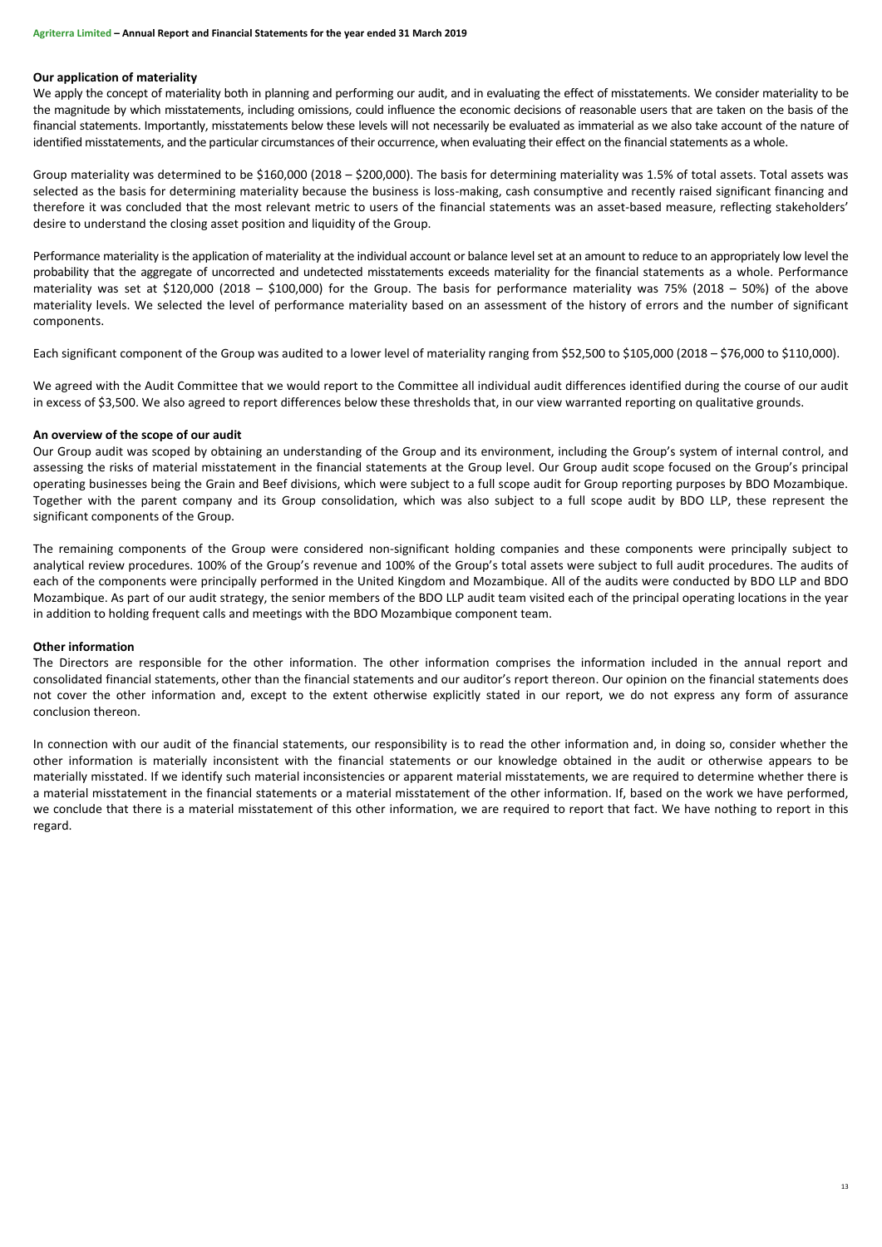# **Our application of materiality**

We apply the concept of materiality both in planning and performing our audit, and in evaluating the effect of misstatements. We consider materiality to be the magnitude by which misstatements, including omissions, could influence the economic decisions of reasonable users that are taken on the basis of the financial statements. Importantly, misstatements below these levels will not necessarily be evaluated as immaterial as we also take account of the nature of identified misstatements, and the particular circumstances of their occurrence, when evaluating their effect on the financial statements as a whole.

Group materiality was determined to be \$160,000 (2018 – \$200,000). The basis for determining materiality was 1.5% of total assets. Total assets was selected as the basis for determining materiality because the business is loss-making, cash consumptive and recently raised significant financing and therefore it was concluded that the most relevant metric to users of the financial statements was an asset-based measure, reflecting stakeholders' desire to understand the closing asset position and liquidity of the Group.

Performance materiality is the application of materiality at the individual account or balance level set at an amount to reduce to an appropriately low level the probability that the aggregate of uncorrected and undetected misstatements exceeds materiality for the financial statements as a whole. Performance materiality was set at \$120,000 (2018 – \$100,000) for the Group. The basis for performance materiality was 75% (2018 – 50%) of the above materiality levels. We selected the level of performance materiality based on an assessment of the history of errors and the number of significant components.

Each significant component of the Group was audited to a lower level of materiality ranging from \$52,500 to \$105,000 (2018 – \$76,000 to \$110,000).

We agreed with the Audit Committee that we would report to the Committee all individual audit differences identified during the course of our audit in excess of \$3,500. We also agreed to report differences below these thresholds that, in our view warranted reporting on qualitative grounds.

# **An overview of the scope of our audit**

Our Group audit was scoped by obtaining an understanding of the Group and its environment, including the Group's system of internal control, and assessing the risks of material misstatement in the financial statements at the Group level. Our Group audit scope focused on the Group's principal operating businesses being the Grain and Beef divisions, which were subject to a full scope audit for Group reporting purposes by BDO Mozambique. Together with the parent company and its Group consolidation, which was also subject to a full scope audit by BDO LLP, these represent the significant components of the Group.

The remaining components of the Group were considered non-significant holding companies and these components were principally subject to analytical review procedures. 100% of the Group's revenue and 100% of the Group's total assets were subject to full audit procedures. The audits of each of the components were principally performed in the United Kingdom and Mozambique. All of the audits were conducted by BDO LLP and BDO Mozambique. As part of our audit strategy, the senior members of the BDO LLP audit team visited each of the principal operating locations in the year in addition to holding frequent calls and meetings with the BDO Mozambique component team.

# **Other information**

The Directors are responsible for the other information. The other information comprises the information included in the annual report and consolidated financial statements, other than the financial statements and our auditor's report thereon. Our opinion on the financial statements does not cover the other information and, except to the extent otherwise explicitly stated in our report, we do not express any form of assurance conclusion thereon.

In connection with our audit of the financial statements, our responsibility is to read the other information and, in doing so, consider whether the other information is materially inconsistent with the financial statements or our knowledge obtained in the audit or otherwise appears to be materially misstated. If we identify such material inconsistencies or apparent material misstatements, we are required to determine whether there is a material misstatement in the financial statements or a material misstatement of the other information. If, based on the work we have performed, we conclude that there is a material misstatement of this other information, we are required to report that fact. We have nothing to report in this regard.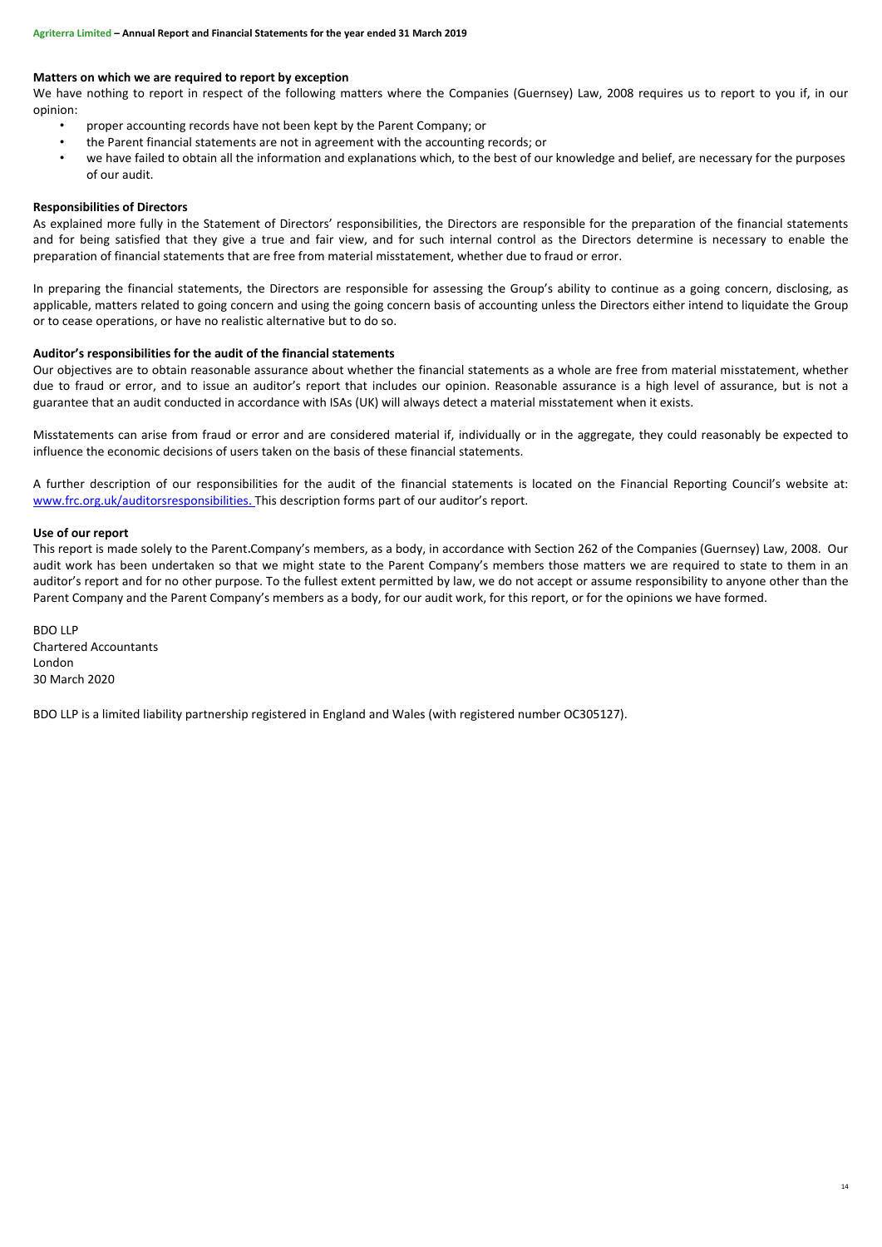# **Matters on which we are required to report by exception**

We have nothing to report in respect of the following matters where the Companies (Guernsey) Law, 2008 requires us to report to you if, in our opinion:

- proper accounting records have not been kept by the Parent Company; or
- the Parent financial statements are not in agreement with the accounting records; or
- we have failed to obtain all the information and explanations which, to the best of our knowledge and belief, are necessary for the purposes of our audit.

# **Responsibilities of Directors**

As explained more fully in the Statement of Directors' responsibilities, the Directors are responsible for the preparation of the financial statements and for being satisfied that they give a true and fair view, and for such internal control as the Directors determine is necessary to enable the preparation of financial statements that are free from material misstatement, whether due to fraud or error.

In preparing the financial statements, the Directors are responsible for assessing the Group's ability to continue as a going concern, disclosing, as applicable, matters related to going concern and using the going concern basis of accounting unless the Directors either intend to liquidate the Group or to cease operations, or have no realistic alternative but to do so.

# **Auditor's responsibilities for the audit of the financial statements**

Our objectives are to obtain reasonable assurance about whether the financial statements as a whole are free from material misstatement, whether due to fraud or error, and to issue an auditor's report that includes our opinion. Reasonable assurance is a high level of assurance, but is not a guarantee that an audit conducted in accordance with ISAs (UK) will always detect a material misstatement when it exists.

Misstatements can arise from fraud or error and are considered material if, individually or in the aggregate, they could reasonably be expected to influence the economic decisions of users taken on the basis of these financial statements.

A further description of our responsibilities for the audit of the financial statements is located on the Financial Reporting Council's website at: [www.frc.org.uk/auditorsresponsibilities.](http://www.frc.org.uk/auditorsresponsibilities) This description forms part of our auditor's report.

#### **Use of our report**

This report is made solely to the Parent Company's members, as a body, in accordance with Section 262 of the Companies (Guernsey) Law, 2008. Our audit work has been undertaken so that we might state to the Parent Company's members those matters we are required to state to them in an auditor's report and for no other purpose. To the fullest extent permitted by law, we do not accept or assume responsibility to anyone other than the Parent Company and the Parent Company's members as a body, for our audit work, for this report, or for the opinions we have formed.

BDO LLP Chartered Accountants London 30 March 2020

BDO LLP is a limited liability partnership registered in England and Wales (with registered number OC305127).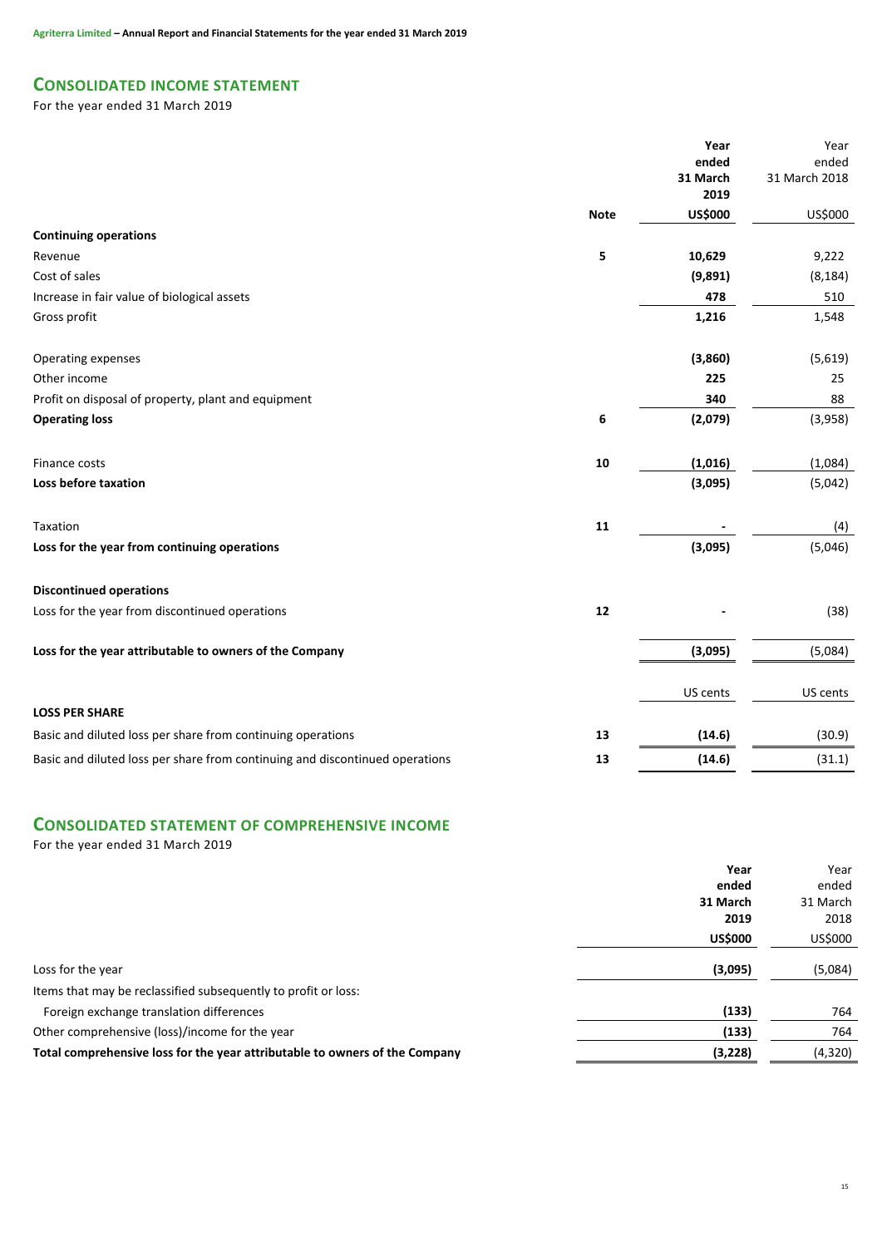# **CONSOLIDATED INCOME STATEMENT**

For the year ended 31 March 2019

|                                                                              |             | Year<br>ended<br>31 March<br>2019 | Year<br>ended<br>31 March 2018 |
|------------------------------------------------------------------------------|-------------|-----------------------------------|--------------------------------|
|                                                                              | <b>Note</b> | <b>US\$000</b>                    | US\$000                        |
| <b>Continuing operations</b>                                                 |             |                                   |                                |
| Revenue                                                                      | 5           | 10,629                            | 9,222                          |
| Cost of sales                                                                |             | (9,891)                           | (8, 184)                       |
| Increase in fair value of biological assets                                  |             | 478                               | 510                            |
| Gross profit                                                                 |             | 1,216                             | 1,548                          |
| Operating expenses                                                           |             | (3,860)                           | (5,619)                        |
| Other income                                                                 |             | 225                               | 25                             |
| Profit on disposal of property, plant and equipment                          |             | 340                               | 88                             |
| <b>Operating loss</b>                                                        | 6           | (2,079)                           | (3,958)                        |
| Finance costs                                                                | 10          | (1,016)                           | (1,084)                        |
| Loss before taxation                                                         |             | (3,095)                           | (5,042)                        |
| Taxation                                                                     | 11          |                                   | (4)                            |
| Loss for the year from continuing operations                                 |             | (3,095)                           | (5,046)                        |
| <b>Discontinued operations</b>                                               |             |                                   |                                |
| Loss for the year from discontinued operations                               | 12          |                                   | (38)                           |
| Loss for the year attributable to owners of the Company                      |             | (3,095)                           | (5,084)                        |
|                                                                              |             | US cents                          | US cents                       |
| <b>LOSS PER SHARE</b>                                                        |             |                                   |                                |
| Basic and diluted loss per share from continuing operations                  | 13          | (14.6)                            | (30.9)                         |
| Basic and diluted loss per share from continuing and discontinued operations | 13          | (14.6)                            | (31.1)                         |
|                                                                              |             |                                   |                                |

# **CONSOLIDATED STATEMENT OF COMPREHENSIVE INCOME**

For the year ended 31 March 2019

| Year                                                                                    | Year     |
|-----------------------------------------------------------------------------------------|----------|
| ended                                                                                   | ended    |
| 31 March                                                                                | 31 March |
| 2019                                                                                    | 2018     |
| <b>US\$000</b>                                                                          | US\$000  |
| (3,095)<br>Loss for the year                                                            | (5,084)  |
| Items that may be reclassified subsequently to profit or loss:                          |          |
| (133)<br>Foreign exchange translation differences                                       | 764      |
| Other comprehensive (loss)/income for the year<br>(133)                                 | 764      |
| Total comprehensive loss for the year attributable to owners of the Company<br>(3, 228) | (4,320)  |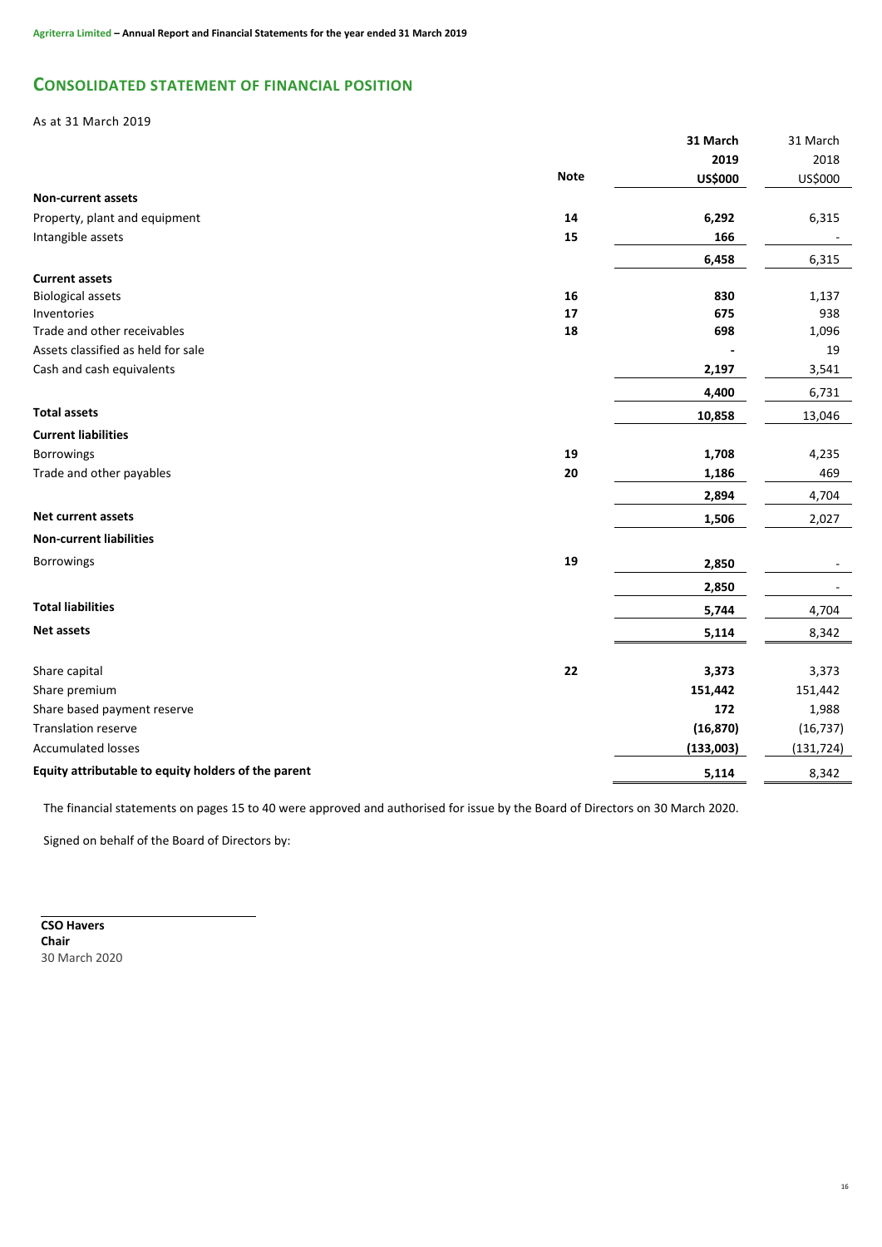# **CONSOLIDATED STATEMENT OF FINANCIAL POSITION**

# As at 31 March 2019

|                                                     |             | 31 March       | 31 March   |
|-----------------------------------------------------|-------------|----------------|------------|
|                                                     |             | 2019           | 2018       |
|                                                     | <b>Note</b> | <b>US\$000</b> | US\$000    |
| <b>Non-current assets</b>                           |             |                |            |
| Property, plant and equipment                       | 14          | 6,292          | 6,315      |
| Intangible assets                                   | 15          | 166            |            |
|                                                     |             | 6,458          | 6,315      |
| <b>Current assets</b>                               |             |                |            |
| <b>Biological assets</b>                            | 16          | 830            | 1,137      |
| Inventories                                         | 17          | 675            | 938        |
| Trade and other receivables                         | 18          | 698            | 1,096      |
| Assets classified as held for sale                  |             |                | 19         |
| Cash and cash equivalents                           |             | 2,197          | 3,541      |
|                                                     |             | 4,400          | 6,731      |
| <b>Total assets</b>                                 |             | 10,858         | 13,046     |
| <b>Current liabilities</b>                          |             |                |            |
| <b>Borrowings</b>                                   | 19          | 1,708          | 4,235      |
| Trade and other payables                            | 20          | 1,186          | 469        |
|                                                     |             | 2,894          | 4,704      |
| <b>Net current assets</b>                           |             | 1,506          | 2,027      |
| <b>Non-current liabilities</b>                      |             |                |            |
| Borrowings                                          | 19          | 2,850          |            |
|                                                     |             | 2,850          |            |
| <b>Total liabilities</b>                            |             | 5,744          | 4,704      |
| <b>Net assets</b>                                   |             | 5,114          | 8,342      |
|                                                     |             |                |            |
| Share capital                                       | 22          | 3,373          | 3,373      |
| Share premium                                       |             | 151,442        | 151,442    |
| Share based payment reserve                         |             | 172            | 1,988      |
| <b>Translation reserve</b>                          |             | (16, 870)      | (16, 737)  |
| <b>Accumulated losses</b>                           |             | (133,003)      | (131, 724) |
| Equity attributable to equity holders of the parent |             | 5,114          | 8,342      |
|                                                     |             |                |            |

The financial statements on pages 15 to 40 were approved and authorised for issue by the Board of Directors on 30 March 2020.

Signed on behalf of the Board of Directors by:

**CSO Havers Chair** 30 March 2020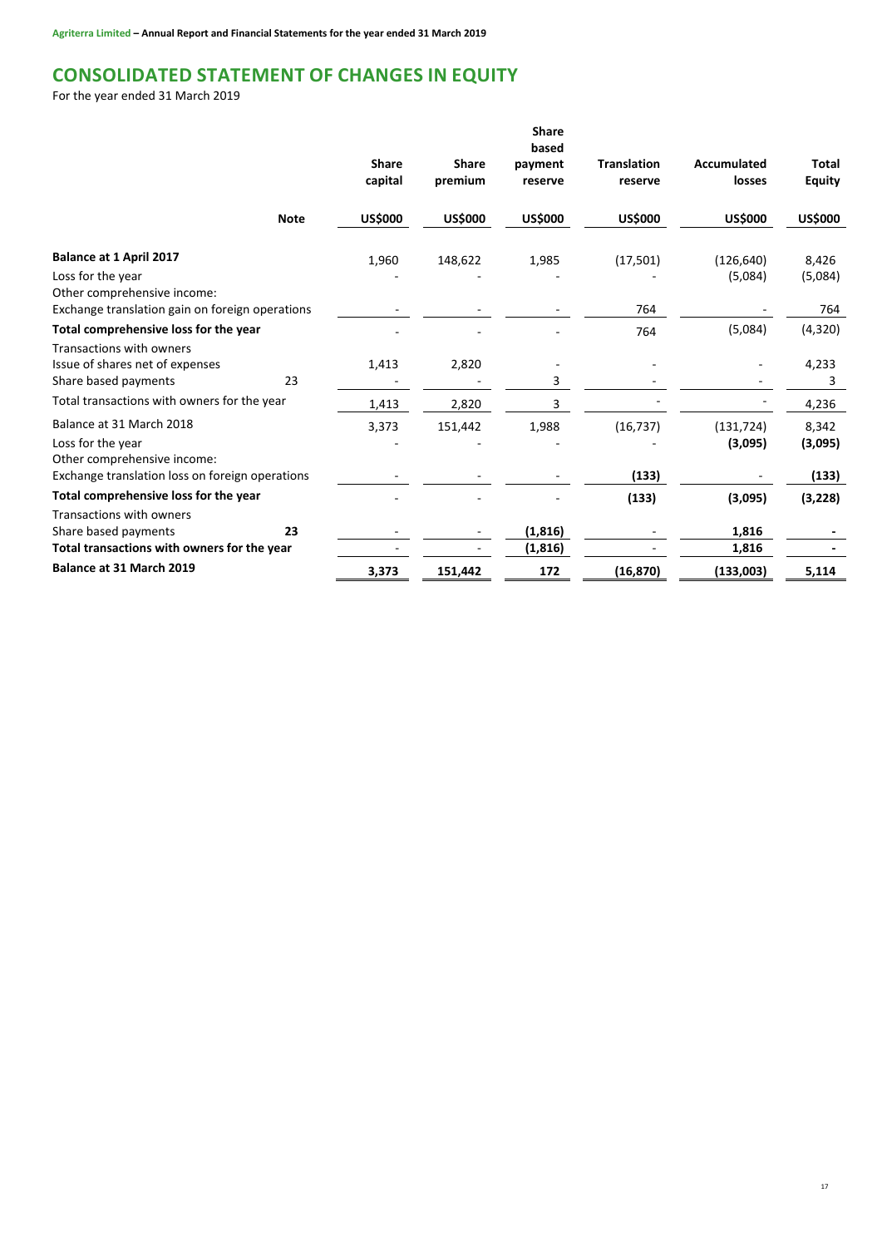# **CONSOLIDATED STATEMENT OF CHANGES IN EQUITY**

For the year ended 31 March 2019

|                                                                                                                                    |             | <b>Share</b><br>capital | <b>Share</b><br>premium | <b>Share</b><br>based<br>payment<br>reserve | <b>Translation</b><br>reserve | Accumulated<br>losses | <b>Total</b><br><b>Equity</b>      |
|------------------------------------------------------------------------------------------------------------------------------------|-------------|-------------------------|-------------------------|---------------------------------------------|-------------------------------|-----------------------|------------------------------------|
|                                                                                                                                    | <b>Note</b> | <b>US\$000</b>          | <b>US\$000</b>          | <b>US\$000</b>                              | <b>US\$000</b>                | <b>US\$000</b>        | <b>US\$000</b>                     |
| Balance at 1 April 2017<br>Loss for the year<br>Other comprehensive income:<br>Exchange translation gain on foreign operations     |             | 1,960                   | 148,622                 | 1,985                                       | (17,501)<br>764               | (126, 640)<br>(5,084) | 8,426<br>(5,084)<br>764            |
| Total comprehensive loss for the year                                                                                              |             |                         |                         |                                             | 764                           | (5,084)               | (4,320)                            |
| Transactions with owners<br>Issue of shares net of expenses<br>Share based payments<br>Total transactions with owners for the year | 23          | 1,413                   | 2,820                   | 3<br>3                                      |                               |                       | 4,233<br>3                         |
| Balance at 31 March 2018<br>Loss for the year<br>Other comprehensive income:<br>Exchange translation loss on foreign operations    |             | 1,413<br>3,373          | 2,820<br>151,442        | 1,988                                       | (16, 737)<br>(133)            | (131, 724)<br>(3,095) | 4,236<br>8,342<br>(3,095)<br>(133) |
| Total comprehensive loss for the year                                                                                              |             |                         |                         |                                             | (133)                         | (3,095)               | (3, 228)                           |
| Transactions with owners<br>Share based payments<br>Total transactions with owners for the year                                    | 23          |                         |                         | (1, 816)<br>(1, 816)                        |                               | 1,816<br>1,816        |                                    |
| Balance at 31 March 2019                                                                                                           |             | 3,373                   | 151,442                 | 172                                         | (16, 870)                     | (133,003)             | 5,114                              |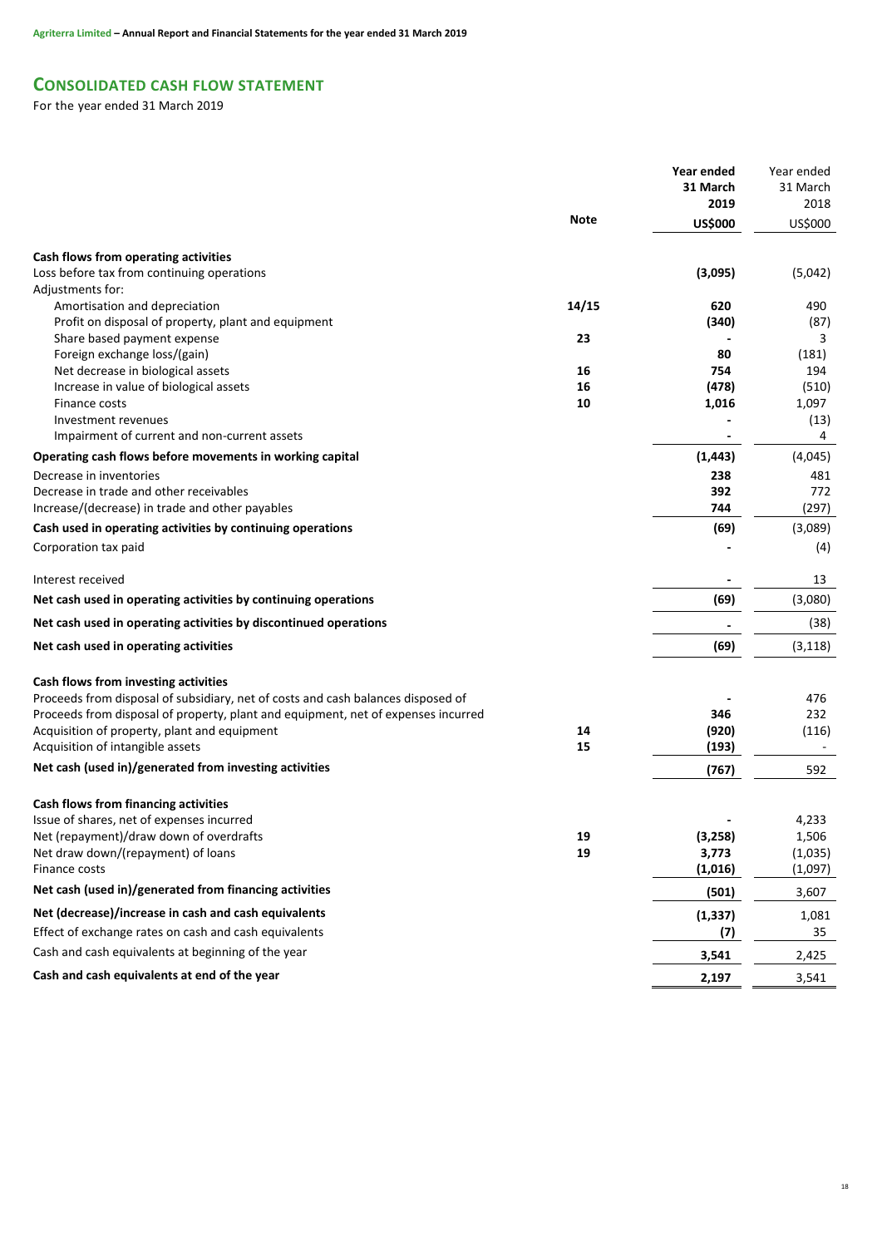# **CONSOLIDATED CASH FLOW STATEMENT**

For the year ended 31 March 2019

| 31 March<br>31 March<br>2019<br>2018<br><b>Note</b><br><b>US\$000</b><br>US\$000<br>Cash flows from operating activities<br>Loss before tax from continuing operations<br>(3,095)<br>(5,042)<br>Adjustments for:<br>14/15<br>Amortisation and depreciation<br>620<br>490<br>Profit on disposal of property, plant and equipment<br>(340)<br>(87)<br>Share based payment expense<br>23<br>3<br>Foreign exchange loss/(gain)<br>80<br>(181)<br>Net decrease in biological assets<br>16<br>754<br>194<br>(478)<br>Increase in value of biological assets<br>16<br>(510)<br>Finance costs<br>10<br>1,016<br>1,097<br>(13)<br>Investment revenues<br>4<br>Impairment of current and non-current assets<br>(1, 443)<br>(4,045)<br>Operating cash flows before movements in working capital<br>238<br>Decrease in inventories<br>481<br>Decrease in trade and other receivables<br>392<br>772<br>Increase/(decrease) in trade and other payables<br>744<br>(297)<br>(69)<br>Cash used in operating activities by continuing operations<br>(3,089)<br>Corporation tax paid<br>(4)<br>Interest received<br>13<br>(69)<br>(3,080)<br>Net cash used in operating activities by continuing operations<br>Net cash used in operating activities by discontinued operations<br>(38)<br>(69)<br>Net cash used in operating activities<br>(3, 118)<br>Cash flows from investing activities<br>Proceeds from disposal of subsidiary, net of costs and cash balances disposed of<br>476<br>Proceeds from disposal of property, plant and equipment, net of expenses incurred<br>346<br>232<br>Acquisition of property, plant and equipment<br>14<br>(920)<br>(116)<br>Acquisition of intangible assets<br>15<br>(193)<br>$\overline{\phantom{a}}$<br>Net cash (used in)/generated from investing activities<br>(767)<br>592<br>Cash flows from financing activities<br>Issue of shares, net of expenses incurred<br>4,233<br>Net (repayment)/draw down of overdrafts<br>(3, 258)<br>1,506<br>19<br>19<br>3,773<br>Net draw down/(repayment) of loans<br>(1,035)<br>(1,016)<br>(1,097)<br>Finance costs<br>Net cash (used in)/generated from financing activities<br>(501)<br>3,607<br>Net (decrease)/increase in cash and cash equivalents<br>(1, 337)<br>1,081<br>Effect of exchange rates on cash and cash equivalents<br>(7)<br>35<br>Cash and cash equivalents at beginning of the year<br>3,541<br>2,425<br>Cash and cash equivalents at end of the year<br>2,197<br>3,541 |  | Year ended | Year ended |
|---------------------------------------------------------------------------------------------------------------------------------------------------------------------------------------------------------------------------------------------------------------------------------------------------------------------------------------------------------------------------------------------------------------------------------------------------------------------------------------------------------------------------------------------------------------------------------------------------------------------------------------------------------------------------------------------------------------------------------------------------------------------------------------------------------------------------------------------------------------------------------------------------------------------------------------------------------------------------------------------------------------------------------------------------------------------------------------------------------------------------------------------------------------------------------------------------------------------------------------------------------------------------------------------------------------------------------------------------------------------------------------------------------------------------------------------------------------------------------------------------------------------------------------------------------------------------------------------------------------------------------------------------------------------------------------------------------------------------------------------------------------------------------------------------------------------------------------------------------------------------------------------------------------------------------------------------------------------------------------------------------------------------------------------------------------------------------------------------------------------------------------------------------------------------------------------------------------------------------------------------------------------------------------------------------------------------------------------------------------------------------------------------------------------------------------------------------------|--|------------|------------|
|                                                                                                                                                                                                                                                                                                                                                                                                                                                                                                                                                                                                                                                                                                                                                                                                                                                                                                                                                                                                                                                                                                                                                                                                                                                                                                                                                                                                                                                                                                                                                                                                                                                                                                                                                                                                                                                                                                                                                                                                                                                                                                                                                                                                                                                                                                                                                                                                                                                               |  |            |            |
|                                                                                                                                                                                                                                                                                                                                                                                                                                                                                                                                                                                                                                                                                                                                                                                                                                                                                                                                                                                                                                                                                                                                                                                                                                                                                                                                                                                                                                                                                                                                                                                                                                                                                                                                                                                                                                                                                                                                                                                                                                                                                                                                                                                                                                                                                                                                                                                                                                                               |  |            |            |
|                                                                                                                                                                                                                                                                                                                                                                                                                                                                                                                                                                                                                                                                                                                                                                                                                                                                                                                                                                                                                                                                                                                                                                                                                                                                                                                                                                                                                                                                                                                                                                                                                                                                                                                                                                                                                                                                                                                                                                                                                                                                                                                                                                                                                                                                                                                                                                                                                                                               |  |            |            |
|                                                                                                                                                                                                                                                                                                                                                                                                                                                                                                                                                                                                                                                                                                                                                                                                                                                                                                                                                                                                                                                                                                                                                                                                                                                                                                                                                                                                                                                                                                                                                                                                                                                                                                                                                                                                                                                                                                                                                                                                                                                                                                                                                                                                                                                                                                                                                                                                                                                               |  |            |            |
|                                                                                                                                                                                                                                                                                                                                                                                                                                                                                                                                                                                                                                                                                                                                                                                                                                                                                                                                                                                                                                                                                                                                                                                                                                                                                                                                                                                                                                                                                                                                                                                                                                                                                                                                                                                                                                                                                                                                                                                                                                                                                                                                                                                                                                                                                                                                                                                                                                                               |  |            |            |
|                                                                                                                                                                                                                                                                                                                                                                                                                                                                                                                                                                                                                                                                                                                                                                                                                                                                                                                                                                                                                                                                                                                                                                                                                                                                                                                                                                                                                                                                                                                                                                                                                                                                                                                                                                                                                                                                                                                                                                                                                                                                                                                                                                                                                                                                                                                                                                                                                                                               |  |            |            |
|                                                                                                                                                                                                                                                                                                                                                                                                                                                                                                                                                                                                                                                                                                                                                                                                                                                                                                                                                                                                                                                                                                                                                                                                                                                                                                                                                                                                                                                                                                                                                                                                                                                                                                                                                                                                                                                                                                                                                                                                                                                                                                                                                                                                                                                                                                                                                                                                                                                               |  |            |            |
|                                                                                                                                                                                                                                                                                                                                                                                                                                                                                                                                                                                                                                                                                                                                                                                                                                                                                                                                                                                                                                                                                                                                                                                                                                                                                                                                                                                                                                                                                                                                                                                                                                                                                                                                                                                                                                                                                                                                                                                                                                                                                                                                                                                                                                                                                                                                                                                                                                                               |  |            |            |
|                                                                                                                                                                                                                                                                                                                                                                                                                                                                                                                                                                                                                                                                                                                                                                                                                                                                                                                                                                                                                                                                                                                                                                                                                                                                                                                                                                                                                                                                                                                                                                                                                                                                                                                                                                                                                                                                                                                                                                                                                                                                                                                                                                                                                                                                                                                                                                                                                                                               |  |            |            |
|                                                                                                                                                                                                                                                                                                                                                                                                                                                                                                                                                                                                                                                                                                                                                                                                                                                                                                                                                                                                                                                                                                                                                                                                                                                                                                                                                                                                                                                                                                                                                                                                                                                                                                                                                                                                                                                                                                                                                                                                                                                                                                                                                                                                                                                                                                                                                                                                                                                               |  |            |            |
|                                                                                                                                                                                                                                                                                                                                                                                                                                                                                                                                                                                                                                                                                                                                                                                                                                                                                                                                                                                                                                                                                                                                                                                                                                                                                                                                                                                                                                                                                                                                                                                                                                                                                                                                                                                                                                                                                                                                                                                                                                                                                                                                                                                                                                                                                                                                                                                                                                                               |  |            |            |
|                                                                                                                                                                                                                                                                                                                                                                                                                                                                                                                                                                                                                                                                                                                                                                                                                                                                                                                                                                                                                                                                                                                                                                                                                                                                                                                                                                                                                                                                                                                                                                                                                                                                                                                                                                                                                                                                                                                                                                                                                                                                                                                                                                                                                                                                                                                                                                                                                                                               |  |            |            |
|                                                                                                                                                                                                                                                                                                                                                                                                                                                                                                                                                                                                                                                                                                                                                                                                                                                                                                                                                                                                                                                                                                                                                                                                                                                                                                                                                                                                                                                                                                                                                                                                                                                                                                                                                                                                                                                                                                                                                                                                                                                                                                                                                                                                                                                                                                                                                                                                                                                               |  |            |            |
|                                                                                                                                                                                                                                                                                                                                                                                                                                                                                                                                                                                                                                                                                                                                                                                                                                                                                                                                                                                                                                                                                                                                                                                                                                                                                                                                                                                                                                                                                                                                                                                                                                                                                                                                                                                                                                                                                                                                                                                                                                                                                                                                                                                                                                                                                                                                                                                                                                                               |  |            |            |
|                                                                                                                                                                                                                                                                                                                                                                                                                                                                                                                                                                                                                                                                                                                                                                                                                                                                                                                                                                                                                                                                                                                                                                                                                                                                                                                                                                                                                                                                                                                                                                                                                                                                                                                                                                                                                                                                                                                                                                                                                                                                                                                                                                                                                                                                                                                                                                                                                                                               |  |            |            |
|                                                                                                                                                                                                                                                                                                                                                                                                                                                                                                                                                                                                                                                                                                                                                                                                                                                                                                                                                                                                                                                                                                                                                                                                                                                                                                                                                                                                                                                                                                                                                                                                                                                                                                                                                                                                                                                                                                                                                                                                                                                                                                                                                                                                                                                                                                                                                                                                                                                               |  |            |            |
|                                                                                                                                                                                                                                                                                                                                                                                                                                                                                                                                                                                                                                                                                                                                                                                                                                                                                                                                                                                                                                                                                                                                                                                                                                                                                                                                                                                                                                                                                                                                                                                                                                                                                                                                                                                                                                                                                                                                                                                                                                                                                                                                                                                                                                                                                                                                                                                                                                                               |  |            |            |
|                                                                                                                                                                                                                                                                                                                                                                                                                                                                                                                                                                                                                                                                                                                                                                                                                                                                                                                                                                                                                                                                                                                                                                                                                                                                                                                                                                                                                                                                                                                                                                                                                                                                                                                                                                                                                                                                                                                                                                                                                                                                                                                                                                                                                                                                                                                                                                                                                                                               |  |            |            |
|                                                                                                                                                                                                                                                                                                                                                                                                                                                                                                                                                                                                                                                                                                                                                                                                                                                                                                                                                                                                                                                                                                                                                                                                                                                                                                                                                                                                                                                                                                                                                                                                                                                                                                                                                                                                                                                                                                                                                                                                                                                                                                                                                                                                                                                                                                                                                                                                                                                               |  |            |            |
|                                                                                                                                                                                                                                                                                                                                                                                                                                                                                                                                                                                                                                                                                                                                                                                                                                                                                                                                                                                                                                                                                                                                                                                                                                                                                                                                                                                                                                                                                                                                                                                                                                                                                                                                                                                                                                                                                                                                                                                                                                                                                                                                                                                                                                                                                                                                                                                                                                                               |  |            |            |
|                                                                                                                                                                                                                                                                                                                                                                                                                                                                                                                                                                                                                                                                                                                                                                                                                                                                                                                                                                                                                                                                                                                                                                                                                                                                                                                                                                                                                                                                                                                                                                                                                                                                                                                                                                                                                                                                                                                                                                                                                                                                                                                                                                                                                                                                                                                                                                                                                                                               |  |            |            |
|                                                                                                                                                                                                                                                                                                                                                                                                                                                                                                                                                                                                                                                                                                                                                                                                                                                                                                                                                                                                                                                                                                                                                                                                                                                                                                                                                                                                                                                                                                                                                                                                                                                                                                                                                                                                                                                                                                                                                                                                                                                                                                                                                                                                                                                                                                                                                                                                                                                               |  |            |            |
|                                                                                                                                                                                                                                                                                                                                                                                                                                                                                                                                                                                                                                                                                                                                                                                                                                                                                                                                                                                                                                                                                                                                                                                                                                                                                                                                                                                                                                                                                                                                                                                                                                                                                                                                                                                                                                                                                                                                                                                                                                                                                                                                                                                                                                                                                                                                                                                                                                                               |  |            |            |
|                                                                                                                                                                                                                                                                                                                                                                                                                                                                                                                                                                                                                                                                                                                                                                                                                                                                                                                                                                                                                                                                                                                                                                                                                                                                                                                                                                                                                                                                                                                                                                                                                                                                                                                                                                                                                                                                                                                                                                                                                                                                                                                                                                                                                                                                                                                                                                                                                                                               |  |            |            |
|                                                                                                                                                                                                                                                                                                                                                                                                                                                                                                                                                                                                                                                                                                                                                                                                                                                                                                                                                                                                                                                                                                                                                                                                                                                                                                                                                                                                                                                                                                                                                                                                                                                                                                                                                                                                                                                                                                                                                                                                                                                                                                                                                                                                                                                                                                                                                                                                                                                               |  |            |            |
|                                                                                                                                                                                                                                                                                                                                                                                                                                                                                                                                                                                                                                                                                                                                                                                                                                                                                                                                                                                                                                                                                                                                                                                                                                                                                                                                                                                                                                                                                                                                                                                                                                                                                                                                                                                                                                                                                                                                                                                                                                                                                                                                                                                                                                                                                                                                                                                                                                                               |  |            |            |
|                                                                                                                                                                                                                                                                                                                                                                                                                                                                                                                                                                                                                                                                                                                                                                                                                                                                                                                                                                                                                                                                                                                                                                                                                                                                                                                                                                                                                                                                                                                                                                                                                                                                                                                                                                                                                                                                                                                                                                                                                                                                                                                                                                                                                                                                                                                                                                                                                                                               |  |            |            |
|                                                                                                                                                                                                                                                                                                                                                                                                                                                                                                                                                                                                                                                                                                                                                                                                                                                                                                                                                                                                                                                                                                                                                                                                                                                                                                                                                                                                                                                                                                                                                                                                                                                                                                                                                                                                                                                                                                                                                                                                                                                                                                                                                                                                                                                                                                                                                                                                                                                               |  |            |            |
|                                                                                                                                                                                                                                                                                                                                                                                                                                                                                                                                                                                                                                                                                                                                                                                                                                                                                                                                                                                                                                                                                                                                                                                                                                                                                                                                                                                                                                                                                                                                                                                                                                                                                                                                                                                                                                                                                                                                                                                                                                                                                                                                                                                                                                                                                                                                                                                                                                                               |  |            |            |
|                                                                                                                                                                                                                                                                                                                                                                                                                                                                                                                                                                                                                                                                                                                                                                                                                                                                                                                                                                                                                                                                                                                                                                                                                                                                                                                                                                                                                                                                                                                                                                                                                                                                                                                                                                                                                                                                                                                                                                                                                                                                                                                                                                                                                                                                                                                                                                                                                                                               |  |            |            |
|                                                                                                                                                                                                                                                                                                                                                                                                                                                                                                                                                                                                                                                                                                                                                                                                                                                                                                                                                                                                                                                                                                                                                                                                                                                                                                                                                                                                                                                                                                                                                                                                                                                                                                                                                                                                                                                                                                                                                                                                                                                                                                                                                                                                                                                                                                                                                                                                                                                               |  |            |            |
|                                                                                                                                                                                                                                                                                                                                                                                                                                                                                                                                                                                                                                                                                                                                                                                                                                                                                                                                                                                                                                                                                                                                                                                                                                                                                                                                                                                                                                                                                                                                                                                                                                                                                                                                                                                                                                                                                                                                                                                                                                                                                                                                                                                                                                                                                                                                                                                                                                                               |  |            |            |
|                                                                                                                                                                                                                                                                                                                                                                                                                                                                                                                                                                                                                                                                                                                                                                                                                                                                                                                                                                                                                                                                                                                                                                                                                                                                                                                                                                                                                                                                                                                                                                                                                                                                                                                                                                                                                                                                                                                                                                                                                                                                                                                                                                                                                                                                                                                                                                                                                                                               |  |            |            |
|                                                                                                                                                                                                                                                                                                                                                                                                                                                                                                                                                                                                                                                                                                                                                                                                                                                                                                                                                                                                                                                                                                                                                                                                                                                                                                                                                                                                                                                                                                                                                                                                                                                                                                                                                                                                                                                                                                                                                                                                                                                                                                                                                                                                                                                                                                                                                                                                                                                               |  |            |            |
|                                                                                                                                                                                                                                                                                                                                                                                                                                                                                                                                                                                                                                                                                                                                                                                                                                                                                                                                                                                                                                                                                                                                                                                                                                                                                                                                                                                                                                                                                                                                                                                                                                                                                                                                                                                                                                                                                                                                                                                                                                                                                                                                                                                                                                                                                                                                                                                                                                                               |  |            |            |
|                                                                                                                                                                                                                                                                                                                                                                                                                                                                                                                                                                                                                                                                                                                                                                                                                                                                                                                                                                                                                                                                                                                                                                                                                                                                                                                                                                                                                                                                                                                                                                                                                                                                                                                                                                                                                                                                                                                                                                                                                                                                                                                                                                                                                                                                                                                                                                                                                                                               |  |            |            |
|                                                                                                                                                                                                                                                                                                                                                                                                                                                                                                                                                                                                                                                                                                                                                                                                                                                                                                                                                                                                                                                                                                                                                                                                                                                                                                                                                                                                                                                                                                                                                                                                                                                                                                                                                                                                                                                                                                                                                                                                                                                                                                                                                                                                                                                                                                                                                                                                                                                               |  |            |            |
|                                                                                                                                                                                                                                                                                                                                                                                                                                                                                                                                                                                                                                                                                                                                                                                                                                                                                                                                                                                                                                                                                                                                                                                                                                                                                                                                                                                                                                                                                                                                                                                                                                                                                                                                                                                                                                                                                                                                                                                                                                                                                                                                                                                                                                                                                                                                                                                                                                                               |  |            |            |
|                                                                                                                                                                                                                                                                                                                                                                                                                                                                                                                                                                                                                                                                                                                                                                                                                                                                                                                                                                                                                                                                                                                                                                                                                                                                                                                                                                                                                                                                                                                                                                                                                                                                                                                                                                                                                                                                                                                                                                                                                                                                                                                                                                                                                                                                                                                                                                                                                                                               |  |            |            |
|                                                                                                                                                                                                                                                                                                                                                                                                                                                                                                                                                                                                                                                                                                                                                                                                                                                                                                                                                                                                                                                                                                                                                                                                                                                                                                                                                                                                                                                                                                                                                                                                                                                                                                                                                                                                                                                                                                                                                                                                                                                                                                                                                                                                                                                                                                                                                                                                                                                               |  |            |            |
|                                                                                                                                                                                                                                                                                                                                                                                                                                                                                                                                                                                                                                                                                                                                                                                                                                                                                                                                                                                                                                                                                                                                                                                                                                                                                                                                                                                                                                                                                                                                                                                                                                                                                                                                                                                                                                                                                                                                                                                                                                                                                                                                                                                                                                                                                                                                                                                                                                                               |  |            |            |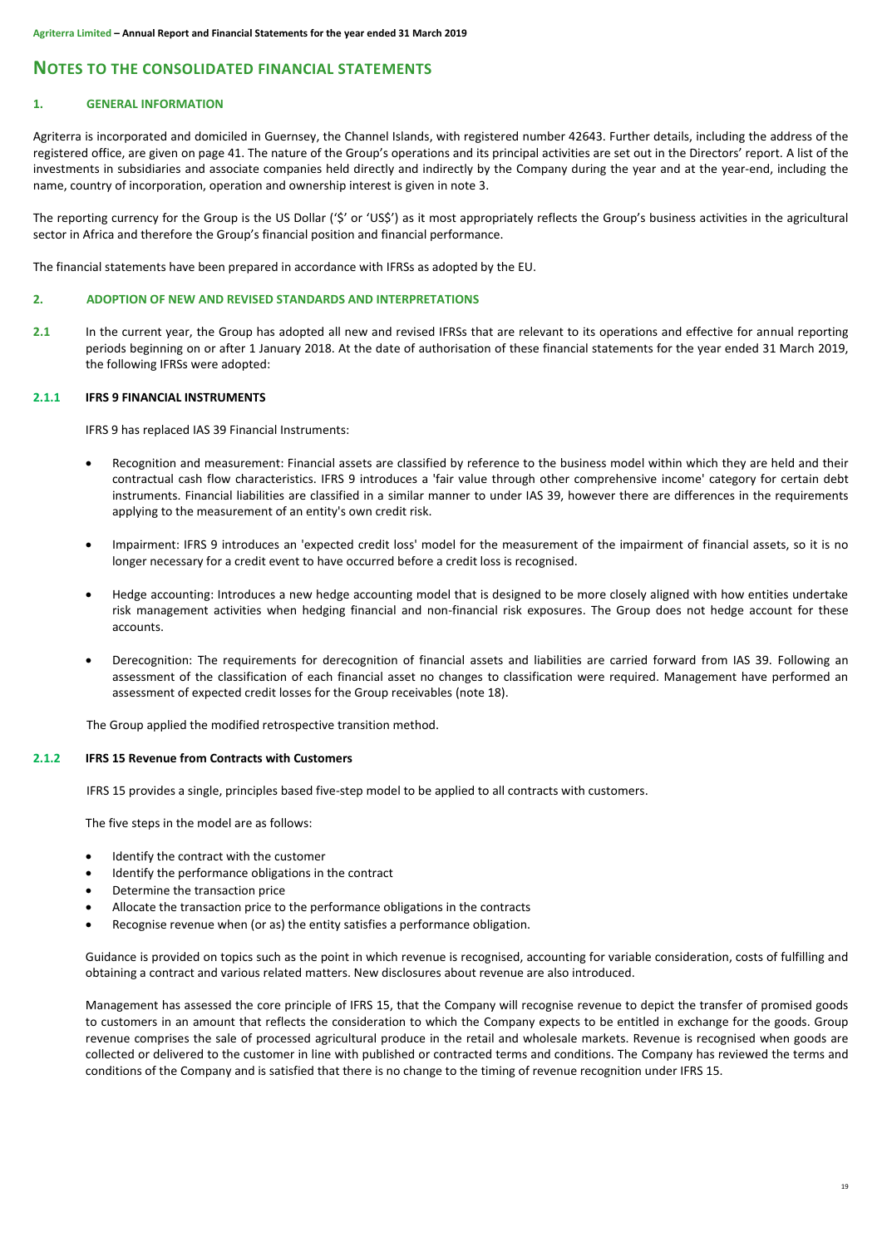# **NOTES TO THE CONSOLIDATED FINANCIAL STATEMENTS**

# **1. GENERAL INFORMATION**

Agriterra is incorporated and domiciled in Guernsey, the Channel Islands, with registered number 42643. Further details, including the address of the registered office, are given on page 41. The nature of the Group's operations and its principal activities are set out in the Directors' report. A list of the investments in subsidiaries and associate companies held directly and indirectly by the Company during the year and at the year-end, including the name, country of incorporation, operation and ownership interest is given in note 3.

The reporting currency for the Group is the US Dollar ('\$' or 'US\$') as it most appropriately reflects the Group's business activities in the agricultural sector in Africa and therefore the Group's financial position and financial performance.

The financial statements have been prepared in accordance with IFRSs as adopted by the EU.

# **2. ADOPTION OF NEW AND REVISED STANDARDS AND INTERPRETATIONS**

**2.1** In the current year, the Group has adopted all new and revised IFRSs that are relevant to its operations and effective for annual reporting periods beginning on or after 1 January 2018. At the date of authorisation of these financial statements for the year ended 31 March 2019, the following IFRSs were adopted:

# **2.1.1 IFRS 9 FINANCIAL INSTRUMENTS**

IFRS 9 has replaced IAS 39 Financial Instruments:

- Recognition and measurement: Financial assets are classified by reference to the business model within which they are held and their contractual cash flow characteristics. IFRS 9 introduces a 'fair value through other comprehensive income' category for certain debt instruments. Financial liabilities are classified in a similar manner to under IAS 39, however there are differences in the requirements applying to the measurement of an entity's own credit risk.
- Impairment: IFRS 9 introduces an 'expected credit loss' model for the measurement of the impairment of financial assets, so it is no longer necessary for a credit event to have occurred before a credit loss is recognised.
- Hedge accounting: Introduces a new hedge accounting model that is designed to be more closely aligned with how entities undertake risk management activities when hedging financial and non-financial risk exposures. The Group does not hedge account for these accounts.
- Derecognition: The requirements for derecognition of financial assets and liabilities are carried forward from IAS 39. Following an assessment of the classification of each financial asset no changes to classification were required. Management have performed an assessment of expected credit losses for the Group receivables (note 18).

The Group applied the modified retrospective transition method.

# **2.1.2 IFRS 15 Revenue from Contracts with Customers**

IFRS 15 provides a single, principles based five-step model to be applied to all contracts with customers.

The five steps in the model are as follows:

- Identify the contract with the customer
- Identify the performance obligations in the contract
- Determine the transaction price
- Allocate the transaction price to the performance obligations in the contracts
- Recognise revenue when (or as) the entity satisfies a performance obligation.

Guidance is provided on topics such as the point in which revenue is recognised, accounting for variable consideration, costs of fulfilling and obtaining a contract and various related matters. New disclosures about revenue are also introduced.

Management has assessed the core principle of IFRS 15, that the Company will recognise revenue to depict the transfer of promised goods to customers in an amount that reflects the consideration to which the Company expects to be entitled in exchange for the goods. Group revenue comprises the sale of processed agricultural produce in the retail and wholesale markets. Revenue is recognised when goods are collected or delivered to the customer in line with published or contracted terms and conditions. The Company has reviewed the terms and conditions of the Company and is satisfied that there is no change to the timing of revenue recognition under IFRS 15.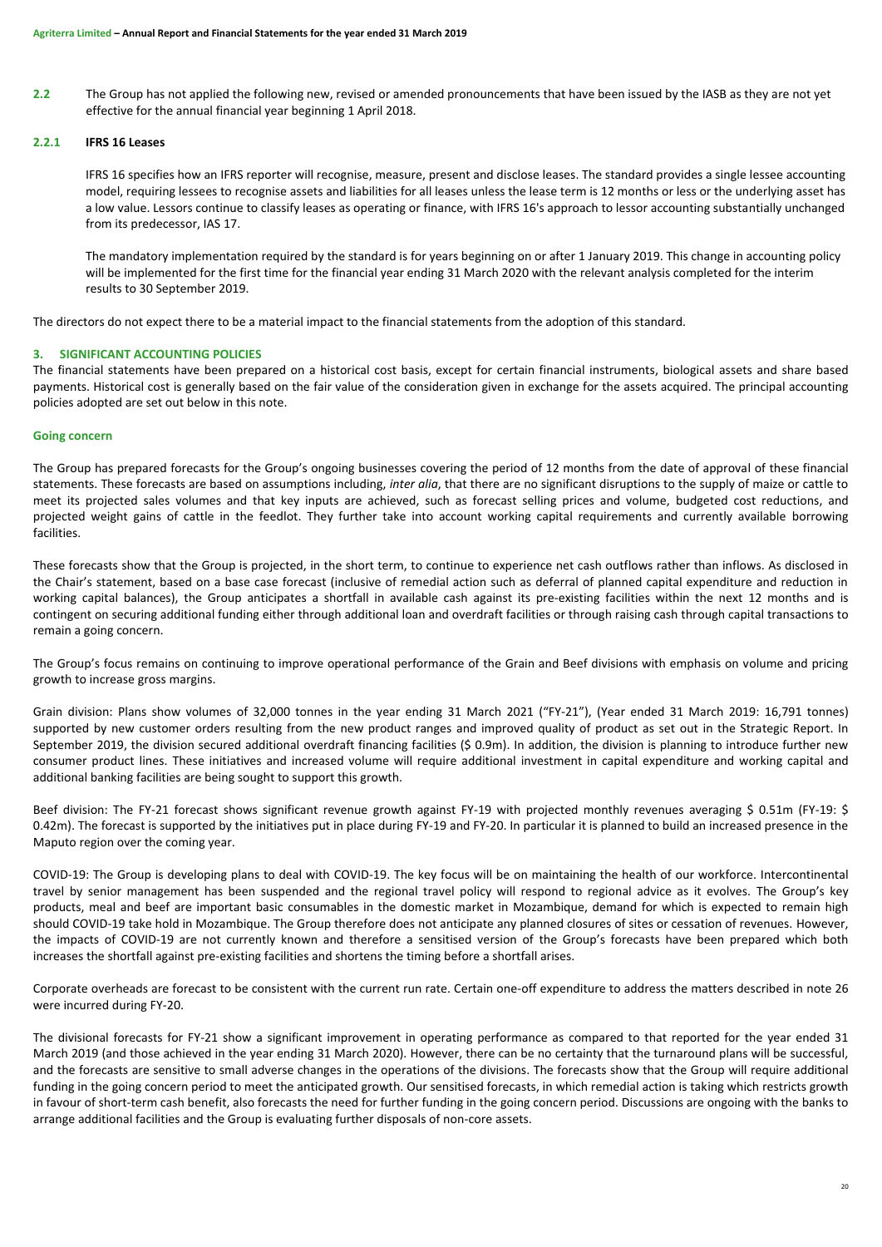**2.2** The Group has not applied the following new, revised or amended pronouncements that have been issued by the IASB as they are not yet effective for the annual financial year beginning 1 April 2018.

# **2.2.1 IFRS 16 Leases**

IFRS 16 specifies how an IFRS reporter will recognise, measure, present and disclose leases. The standard provides a single lessee accounting model, requiring lessees to recognise assets and liabilities for all leases unless the lease term is 12 months or less or the underlying asset has a low value. Lessors continue to classify leases as operating or finance, with IFRS 16's approach to lessor accounting substantially unchanged from its predecessor, IAS 17.

The mandatory implementation required by the standard is for years beginning on or after 1 January 2019. This change in accounting policy will be implemented for the first time for the financial year ending 31 March 2020 with the relevant analysis completed for the interim results to 30 September 2019.

The directors do not expect there to be a material impact to the financial statements from the adoption of this standard.

# <span id="page-21-0"></span>**3. SIGNIFICANT ACCOUNTING POLICIES**

The financial statements have been prepared on a historical cost basis, except for certain financial instruments, biological assets and share based payments. Historical cost is generally based on the fair value of the consideration given in exchange for the assets acquired. The principal accounting policies adopted are set out below in this note.

# **Going concern**

The Group has prepared forecasts for the Group's ongoing businesses covering the period of 12 months from the date of approval of these financial statements. These forecasts are based on assumptions including, *inter alia*, that there are no significant disruptions to the supply of maize or cattle to meet its projected sales volumes and that key inputs are achieved, such as forecast selling prices and volume, budgeted cost reductions, and projected weight gains of cattle in the feedlot. They further take into account working capital requirements and currently available borrowing facilities.

These forecasts show that the Group is projected, in the short term, to continue to experience net cash outflows rather than inflows. As disclosed in the Chair's statement, based on a base case forecast (inclusive of remedial action such as deferral of planned capital expenditure and reduction in working capital balances), the Group anticipates a shortfall in available cash against its pre-existing facilities within the next 12 months and is contingent on securing additional funding either through additional loan and overdraft facilities or through raising cash through capital transactions to remain a going concern.

The Group's focus remains on continuing to improve operational performance of the Grain and Beef divisions with emphasis on volume and pricing growth to increase gross margins.

Grain division: Plans show volumes of 32,000 tonnes in the year ending 31 March 2021 ("FY-21"), (Year ended 31 March 2019: 16,791 tonnes) supported by new customer orders resulting from the new product ranges and improved quality of product as set out in the Strategic Report. In September 2019, the division secured additional overdraft financing facilities (\$ 0.9m). In addition, the division is planning to introduce further new consumer product lines. These initiatives and increased volume will require additional investment in capital expenditure and working capital and additional banking facilities are being sought to support this growth.

Beef division: The FY-21 forecast shows significant revenue growth against FY-19 with projected monthly revenues averaging \$ 0.51m (FY-19: \$ 0.42m). The forecast is supported by the initiatives put in place during FY-19 and FY-20. In particular it is planned to build an increased presence in the Maputo region over the coming year.

COVID-19: The Group is developing plans to deal with COVID-19. The key focus will be on maintaining the health of our workforce. Intercontinental travel by senior management has been suspended and the regional travel policy will respond to regional advice as it evolves. The Group's key products, meal and beef are important basic consumables in the domestic market in Mozambique, demand for which is expected to remain high should COVID-19 take hold in Mozambique. The Group therefore does not anticipate any planned closures of sites or cessation of revenues. However, the impacts of COVID-19 are not currently known and therefore a sensitised version of the Group's forecasts have been prepared which both increases the shortfall against pre-existing facilities and shortens the timing before a shortfall arises.

Corporate overheads are forecast to be consistent with the current run rate. Certain one-off expenditure to address the matters described in note 26 were incurred during FY-20.

The divisional forecasts for FY-21 show a significant improvement in operating performance as compared to that reported for the year ended 31 March 2019 (and those achieved in the year ending 31 March 2020). However, there can be no certainty that the turnaround plans will be successful, and the forecasts are sensitive to small adverse changes in the operations of the divisions. The forecasts show that the Group will require additional funding in the going concern period to meet the anticipated growth. Our sensitised forecasts, in which remedial action is taking which restricts growth in favour of short-term cash benefit, also forecasts the need for further funding in the going concern period. Discussions are ongoing with the banks to arrange additional facilities and the Group is evaluating further disposals of non-core assets.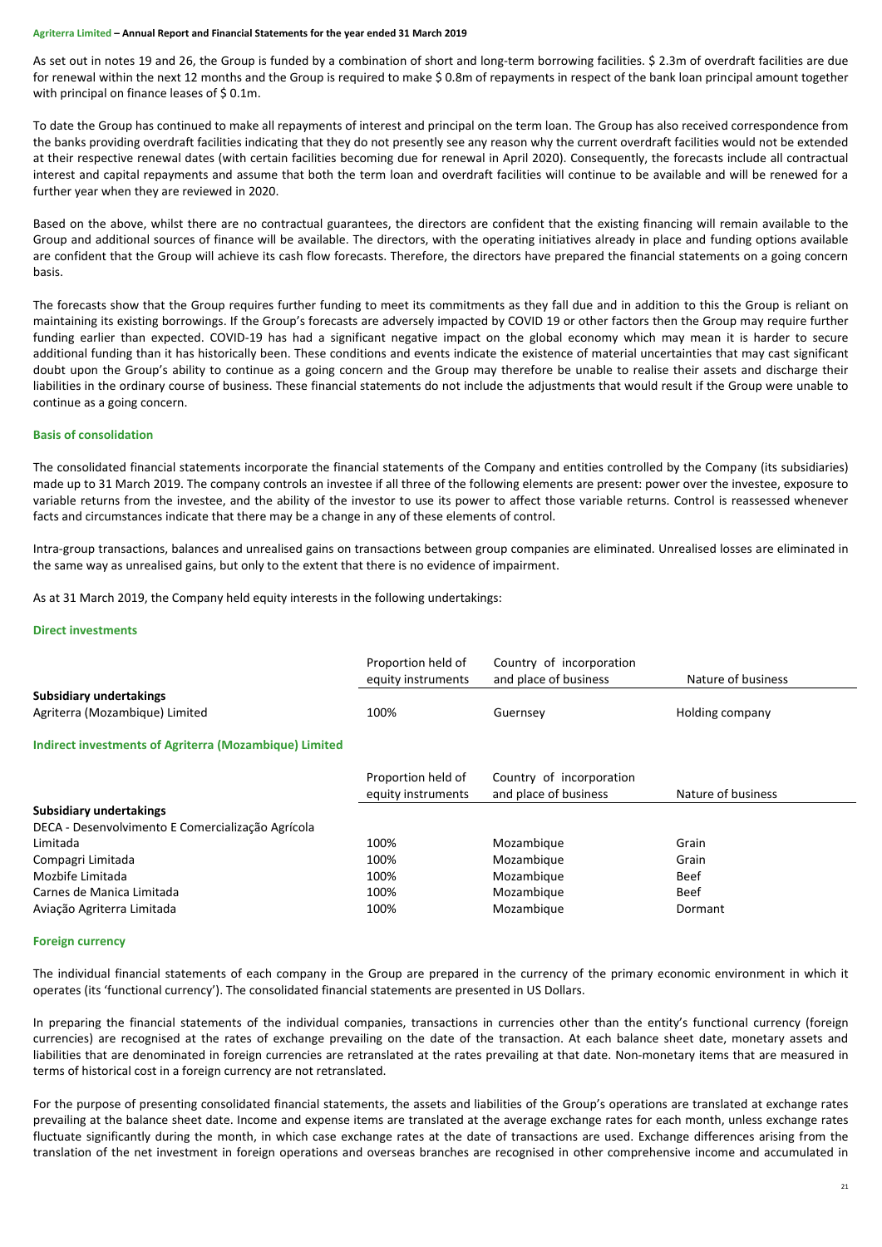As set out in notes 19 and 26, the Group is funded by a combination of short and long-term borrowing facilities. \$ 2.3m of overdraft facilities are due for renewal within the next 12 months and the Group is required to make \$ 0.8m of repayments in respect of the bank loan principal amount together with principal on finance leases of \$0.1m.

To date the Group has continued to make all repayments of interest and principal on the term loan. The Group has also received correspondence from the banks providing overdraft facilities indicating that they do not presently see any reason why the current overdraft facilities would not be extended at their respective renewal dates (with certain facilities becoming due for renewal in April 2020). Consequently, the forecasts include all contractual interest and capital repayments and assume that both the term loan and overdraft facilities will continue to be available and will be renewed for a further year when they are reviewed in 2020.

Based on the above, whilst there are no contractual guarantees, the directors are confident that the existing financing will remain available to the Group and additional sources of finance will be available. The directors, with the operating initiatives already in place and funding options available are confident that the Group will achieve its cash flow forecasts. Therefore, the directors have prepared the financial statements on a going concern basis.

The forecasts show that the Group requires further funding to meet its commitments as they fall due and in addition to this the Group is reliant on maintaining its existing borrowings. If the Group's forecasts are adversely impacted by COVID 19 or other factors then the Group may require further funding earlier than expected. COVID-19 has had a significant negative impact on the global economy which may mean it is harder to secure additional funding than it has historically been. These conditions and events indicate the existence of material uncertainties that may cast significant doubt upon the Group's ability to continue as a going concern and the Group may therefore be unable to realise their assets and discharge their liabilities in the ordinary course of business. These financial statements do not include the adjustments that would result if the Group were unable to continue as a going concern.

# **Basis of consolidation**

The consolidated financial statements incorporate the financial statements of the Company and entities controlled by the Company (its subsidiaries) made up to 31 March 2019. The company controls an investee if all three of the following elements are present: power over the investee, exposure to variable returns from the investee, and the ability of the investor to use its power to affect those variable returns. Control is reassessed whenever facts and circumstances indicate that there may be a change in any of these elements of control.

Intra-group transactions, balances and unrealised gains on transactions between group companies are eliminated. Unrealised losses are eliminated in the same way as unrealised gains, but only to the extent that there is no evidence of impairment.

As at 31 March 2019, the Company held equity interests in the following undertakings:

# **Direct investments**

|                                                        | Proportion held of<br>equity instruments | Country of incorporation<br>and place of business | Nature of business |
|--------------------------------------------------------|------------------------------------------|---------------------------------------------------|--------------------|
| Subsidiary undertakings                                |                                          |                                                   |                    |
| Agriterra (Mozambique) Limited                         | 100%                                     | Guernsey                                          | Holding company    |
| Indirect investments of Agriterra (Mozambique) Limited |                                          |                                                   |                    |
|                                                        | Proportion held of                       | Country of incorporation                          |                    |
|                                                        | equity instruments                       | and place of business                             | Nature of business |
| <b>Subsidiary undertakings</b>                         |                                          |                                                   |                    |
| DECA - Desenvolvimento E Comercialização Agrícola      |                                          |                                                   |                    |
| Limitada                                               | 100%                                     | Mozambique                                        | Grain              |
| Compagri Limitada                                      | 100%                                     | Mozambique                                        | Grain              |
| Mozbife Limitada                                       | 100%                                     | Mozambique                                        | <b>Beef</b>        |
| Carnes de Manica Limitada                              | 100%                                     | Mozambique                                        | <b>Beef</b>        |
| Aviação Agriterra Limitada                             | 100%                                     | Mozambique                                        | Dormant            |

#### **Foreign currency**

The individual financial statements of each company in the Group are prepared in the currency of the primary economic environment in which it operates (its 'functional currency'). The consolidated financial statements are presented in US Dollars.

In preparing the financial statements of the individual companies, transactions in currencies other than the entity's functional currency (foreign currencies) are recognised at the rates of exchange prevailing on the date of the transaction. At each balance sheet date, monetary assets and liabilities that are denominated in foreign currencies are retranslated at the rates prevailing at that date. Non-monetary items that are measured in terms of historical cost in a foreign currency are not retranslated.

For the purpose of presenting consolidated financial statements, the assets and liabilities of the Group's operations are translated at exchange rates prevailing at the balance sheet date. Income and expense items are translated at the average exchange rates for each month, unless exchange rates fluctuate significantly during the month, in which case exchange rates at the date of transactions are used. Exchange differences arising from the translation of the net investment in foreign operations and overseas branches are recognised in other comprehensive income and accumulated in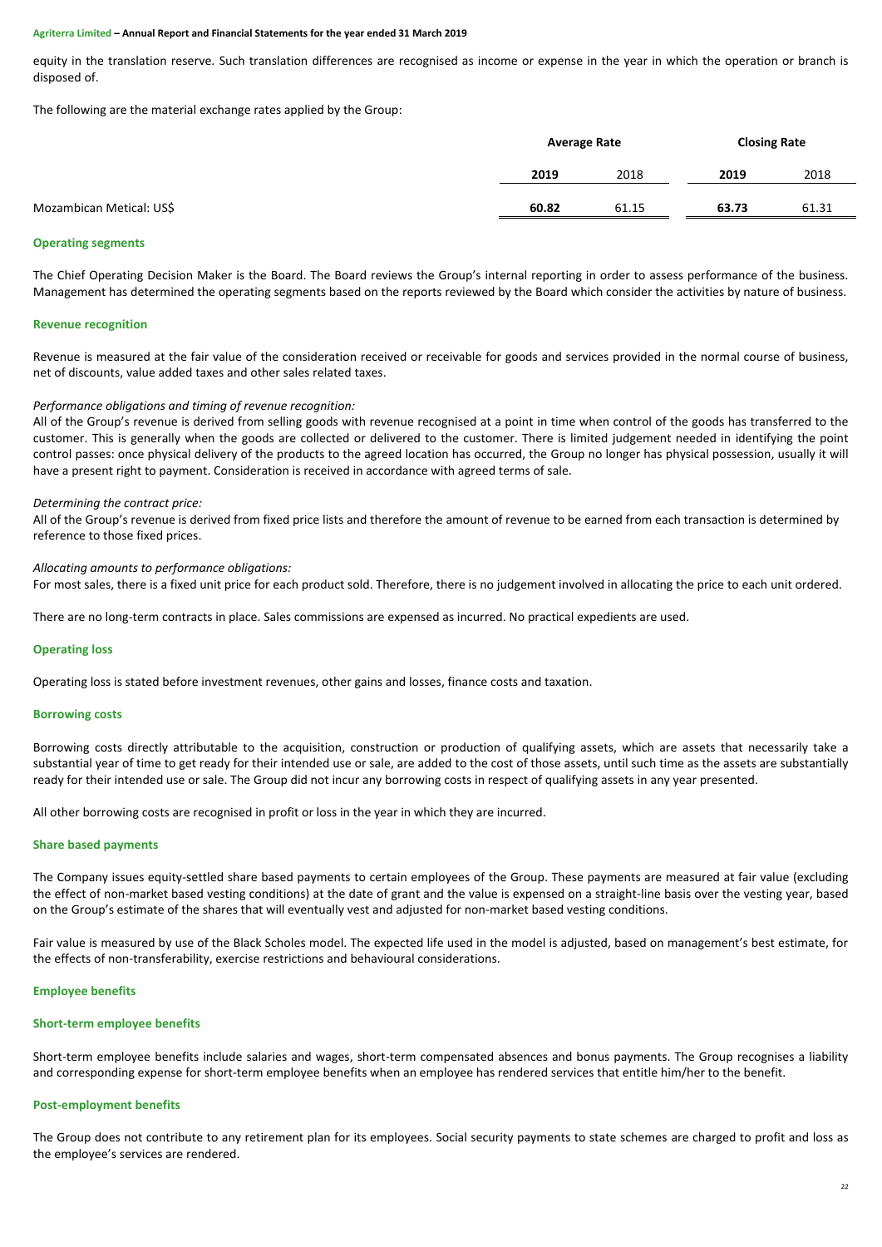equity in the translation reserve. Such translation differences are recognised as income or expense in the year in which the operation or branch is disposed of.

The following are the material exchange rates applied by the Group:

|                          | <b>Average Rate</b> |       | <b>Closing Rate</b> |       |
|--------------------------|---------------------|-------|---------------------|-------|
|                          | 2019                | 2018  | 2019                | 2018  |
| Mozambican Metical: US\$ | 60.82               | 61.15 | 63.73               | 61.31 |

#### **Operating segments**

The Chief Operating Decision Maker is the Board. The Board reviews the Group's internal reporting in order to assess performance of the business. Management has determined the operating segments based on the reports reviewed by the Board which consider the activities by nature of business.

#### **Revenue recognition**

Revenue is measured at the fair value of the consideration received or receivable for goods and services provided in the normal course of business, net of discounts, value added taxes and other sales related taxes.

#### *Performance obligations and timing of revenue recognition:*

All of the Group's revenue is derived from selling goods with revenue recognised at a point in time when control of the goods has transferred to the customer. This is generally when the goods are collected or delivered to the customer. There is limited judgement needed in identifying the point control passes: once physical delivery of the products to the agreed location has occurred, the Group no longer has physical possession, usually it will have a present right to payment. Consideration is received in accordance with agreed terms of sale.

#### *Determining the contract price:*

All of the Group's revenue is derived from fixed price lists and therefore the amount of revenue to be earned from each transaction is determined by reference to those fixed prices.

#### *Allocating amounts to performance obligations:*

For most sales, there is a fixed unit price for each product sold. Therefore, there is no judgement involved in allocating the price to each unit ordered.

There are no long-term contracts in place. Sales commissions are expensed as incurred. No practical expedients are used.

#### **Operating loss**

Operating loss is stated before investment revenues, other gains and losses, finance costs and taxation.

#### **Borrowing costs**

Borrowing costs directly attributable to the acquisition, construction or production of qualifying assets, which are assets that necessarily take a substantial year of time to get ready for their intended use or sale, are added to the cost of those assets, until such time as the assets are substantially ready for their intended use or sale. The Group did not incur any borrowing costs in respect of qualifying assets in any year presented.

All other borrowing costs are recognised in profit or loss in the year in which they are incurred.

#### **Share based payments**

The Company issues equity-settled share based payments to certain employees of the Group. These payments are measured at fair value (excluding the effect of non-market based vesting conditions) at the date of grant and the value is expensed on a straight-line basis over the vesting year, based on the Group's estimate of the shares that will eventually vest and adjusted for non-market based vesting conditions.

Fair value is measured by use of the Black Scholes model. The expected life used in the model is adjusted, based on management's best estimate, for the effects of non-transferability, exercise restrictions and behavioural considerations.

#### **Employee benefits**

#### **Short-term employee benefits**

Short-term employee benefits include salaries and wages, short-term compensated absences and bonus payments. The Group recognises a liability and corresponding expense for short-term employee benefits when an employee has rendered services that entitle him/her to the benefit.

#### **Post-employment benefits**

The Group does not contribute to any retirement plan for its employees. Social security payments to state schemes are charged to profit and loss as the employee's services are rendered.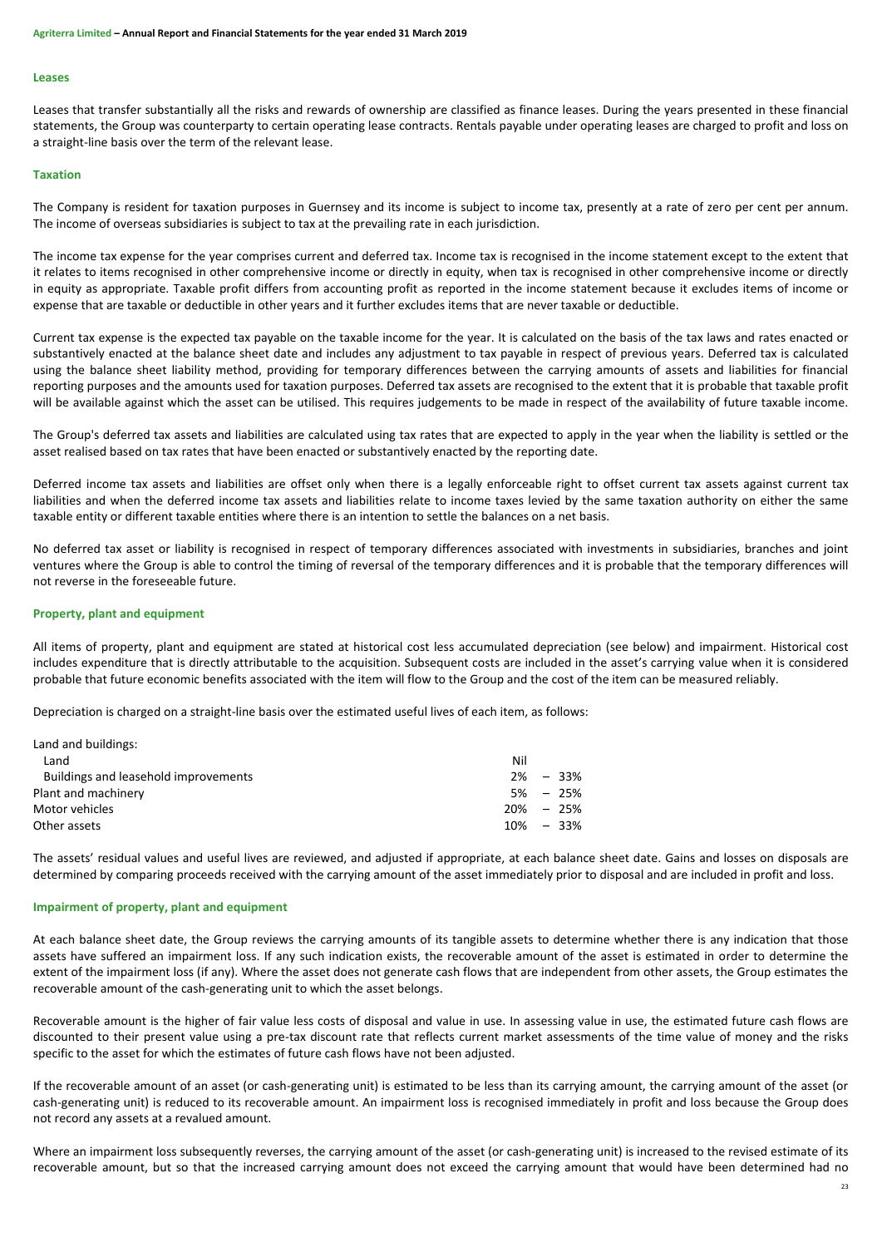#### **Leases**

Leases that transfer substantially all the risks and rewards of ownership are classified as finance leases. During the years presented in these financial statements, the Group was counterparty to certain operating lease contracts. Rentals payable under operating leases are charged to profit and loss on a straight-line basis over the term of the relevant lease.

# **Taxation**

The Company is resident for taxation purposes in Guernsey and its income is subject to income tax, presently at a rate of zero per cent per annum. The income of overseas subsidiaries is subject to tax at the prevailing rate in each jurisdiction.

The income tax expense for the year comprises current and deferred tax. Income tax is recognised in the income statement except to the extent that it relates to items recognised in other comprehensive income or directly in equity, when tax is recognised in other comprehensive income or directly in equity as appropriate. Taxable profit differs from accounting profit as reported in the income statement because it excludes items of income or expense that are taxable or deductible in other years and it further excludes items that are never taxable or deductible.

Current tax expense is the expected tax payable on the taxable income for the year. It is calculated on the basis of the tax laws and rates enacted or substantively enacted at the balance sheet date and includes any adjustment to tax payable in respect of previous years. Deferred tax is calculated using the balance sheet liability method, providing for temporary differences between the carrying amounts of assets and liabilities for financial reporting purposes and the amounts used for taxation purposes. Deferred tax assets are recognised to the extent that it is probable that taxable profit will be available against which the asset can be utilised. This requires judgements to be made in respect of the availability of future taxable income.

The Group's deferred tax assets and liabilities are calculated using tax rates that are expected to apply in the year when the liability is settled or the asset realised based on tax rates that have been enacted or substantively enacted by the reporting date.

Deferred income tax assets and liabilities are offset only when there is a legally enforceable right to offset current tax assets against current tax liabilities and when the deferred income tax assets and liabilities relate to income taxes levied by the same taxation authority on either the same taxable entity or different taxable entities where there is an intention to settle the balances on a net basis.

No deferred tax asset or liability is recognised in respect of temporary differences associated with investments in subsidiaries, branches and joint ventures where the Group is able to control the timing of reversal of the temporary differences and it is probable that the temporary differences will not reverse in the foreseeable future.

#### **Property, plant and equipment**

All items of property, plant and equipment are stated at historical cost less accumulated depreciation (see below) and impairment. Historical cost includes expenditure that is directly attributable to the acquisition. Subsequent costs are included in the asset's carrying value when it is considered probable that future economic benefits associated with the item will flow to the Group and the cost of the item can be measured reliably.

Depreciation is charged on a straight-line basis over the estimated useful lives of each item, as follows:

| Land and buildings:                  |     |        |
|--------------------------------------|-----|--------|
| Land                                 | Nil |        |
| Buildings and leasehold improvements | 2%  | $-33%$ |
| Plant and machinery                  | 5%  | - 25%  |
| Motor vehicles                       | 20% | $-25%$ |
| Other assets                         | 10% | $-33%$ |
|                                      |     |        |

The assets' residual values and useful lives are reviewed, and adjusted if appropriate, at each balance sheet date. Gains and losses on disposals are determined by comparing proceeds received with the carrying amount of the asset immediately prior to disposal and are included in profit and loss.

#### **Impairment of property, plant and equipment**

At each balance sheet date, the Group reviews the carrying amounts of its tangible assets to determine whether there is any indication that those assets have suffered an impairment loss. If any such indication exists, the recoverable amount of the asset is estimated in order to determine the extent of the impairment loss (if any). Where the asset does not generate cash flows that are independent from other assets, the Group estimates the recoverable amount of the cash-generating unit to which the asset belongs.

Recoverable amount is the higher of fair value less costs of disposal and value in use. In assessing value in use, the estimated future cash flows are discounted to their present value using a pre-tax discount rate that reflects current market assessments of the time value of money and the risks specific to the asset for which the estimates of future cash flows have not been adjusted.

If the recoverable amount of an asset (or cash-generating unit) is estimated to be less than its carrying amount, the carrying amount of the asset (or cash-generating unit) is reduced to its recoverable amount. An impairment loss is recognised immediately in profit and loss because the Group does not record any assets at a revalued amount.

Where an impairment loss subsequently reverses, the carrying amount of the asset (or cash-generating unit) is increased to the revised estimate of its recoverable amount, but so that the increased carrying amount does not exceed the carrying amount that would have been determined had no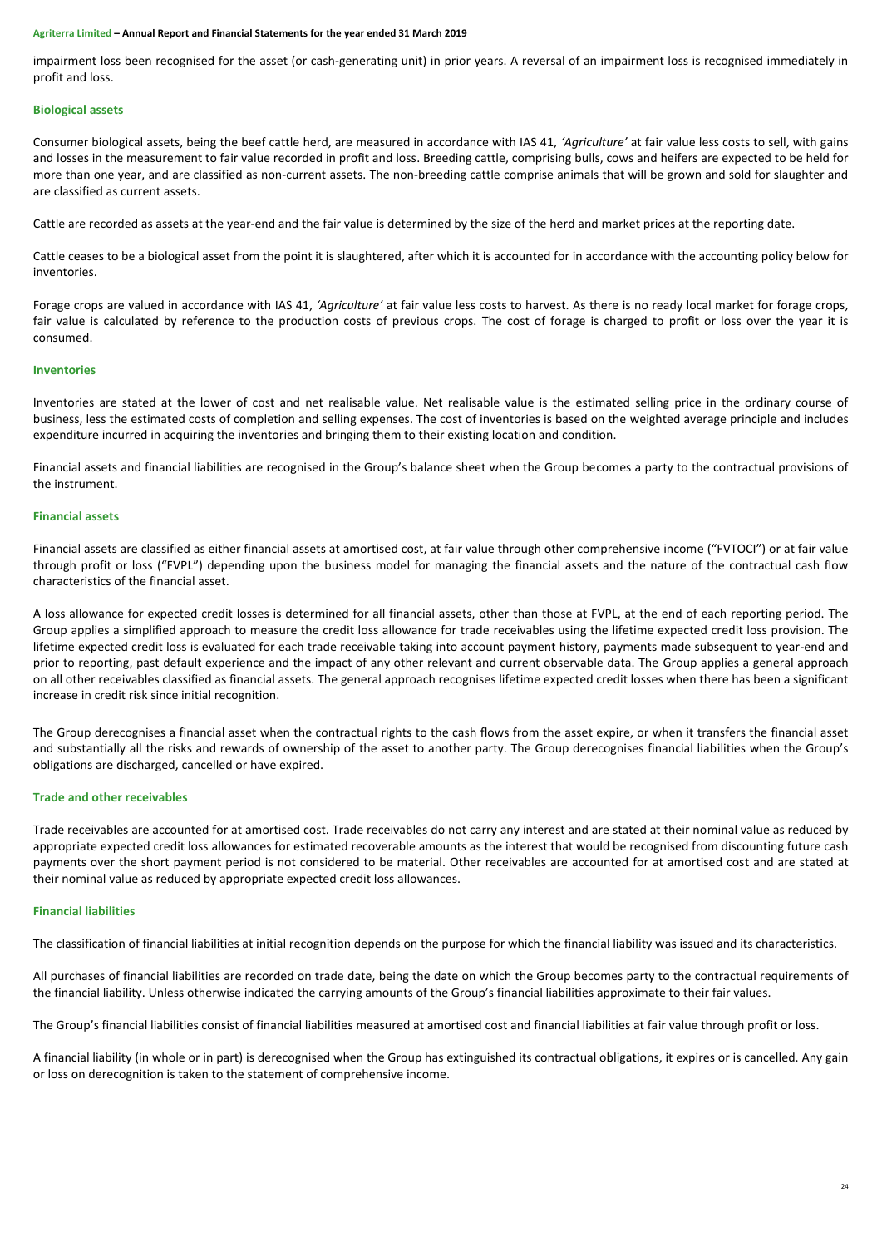impairment loss been recognised for the asset (or cash-generating unit) in prior years. A reversal of an impairment loss is recognised immediately in profit and loss.

### **Biological assets**

Consumer biological assets, being the beef cattle herd, are measured in accordance with IAS 41, *'Agriculture'* at fair value less costs to sell, with gains and losses in the measurement to fair value recorded in profit and loss. Breeding cattle, comprising bulls, cows and heifers are expected to be held for more than one year, and are classified as non-current assets. The non-breeding cattle comprise animals that will be grown and sold for slaughter and are classified as current assets.

Cattle are recorded as assets at the year-end and the fair value is determined by the size of the herd and market prices at the reporting date.

Cattle ceases to be a biological asset from the point it is slaughtered, after which it is accounted for in accordance with the accounting policy below for inventories.

Forage crops are valued in accordance with IAS 41, *'Agriculture'* at fair value less costs to harvest. As there is no ready local market for forage crops, fair value is calculated by reference to the production costs of previous crops. The cost of forage is charged to profit or loss over the year it is consumed.

#### **Inventories**

Inventories are stated at the lower of cost and net realisable value. Net realisable value is the estimated selling price in the ordinary course of business, less the estimated costs of completion and selling expenses. The cost of inventories is based on the weighted average principle and includes expenditure incurred in acquiring the inventories and bringing them to their existing location and condition.

Financial assets and financial liabilities are recognised in the Group's balance sheet when the Group becomes a party to the contractual provisions of the instrument.

# **Financial assets**

Financial assets are classified as either financial assets at amortised cost, at fair value through other comprehensive income ("FVTOCI") or at fair value through profit or loss ("FVPL") depending upon the business model for managing the financial assets and the nature of the contractual cash flow characteristics of the financial asset.

A loss allowance for expected credit losses is determined for all financial assets, other than those at FVPL, at the end of each reporting period. The Group applies a simplified approach to measure the credit loss allowance for trade receivables using the lifetime expected credit loss provision. The lifetime expected credit loss is evaluated for each trade receivable taking into account payment history, payments made subsequent to year-end and prior to reporting, past default experience and the impact of any other relevant and current observable data. The Group applies a general approach on all other receivables classified as financial assets. The general approach recognises lifetime expected credit losses when there has been a significant increase in credit risk since initial recognition.

The Group derecognises a financial asset when the contractual rights to the cash flows from the asset expire, or when it transfers the financial asset and substantially all the risks and rewards of ownership of the asset to another party. The Group derecognises financial liabilities when the Group's obligations are discharged, cancelled or have expired.

### **Trade and other receivables**

Trade receivables are accounted for at amortised cost. Trade receivables do not carry any interest and are stated at their nominal value as reduced by appropriate expected credit loss allowances for estimated recoverable amounts as the interest that would be recognised from discounting future cash payments over the short payment period is not considered to be material. Other receivables are accounted for at amortised cost and are stated at their nominal value as reduced by appropriate expected credit loss allowances.

# **Financial liabilities**

The classification of financial liabilities at initial recognition depends on the purpose for which the financial liability was issued and its characteristics.

All purchases of financial liabilities are recorded on trade date, being the date on which the Group becomes party to the contractual requirements of the financial liability. Unless otherwise indicated the carrying amounts of the Group's financial liabilities approximate to their fair values.

The Group's financial liabilities consist of financial liabilities measured at amortised cost and financial liabilities at fair value through profit or loss.

A financial liability (in whole or in part) is derecognised when the Group has extinguished its contractual obligations, it expires or is cancelled. Any gain or loss on derecognition is taken to the statement of comprehensive income.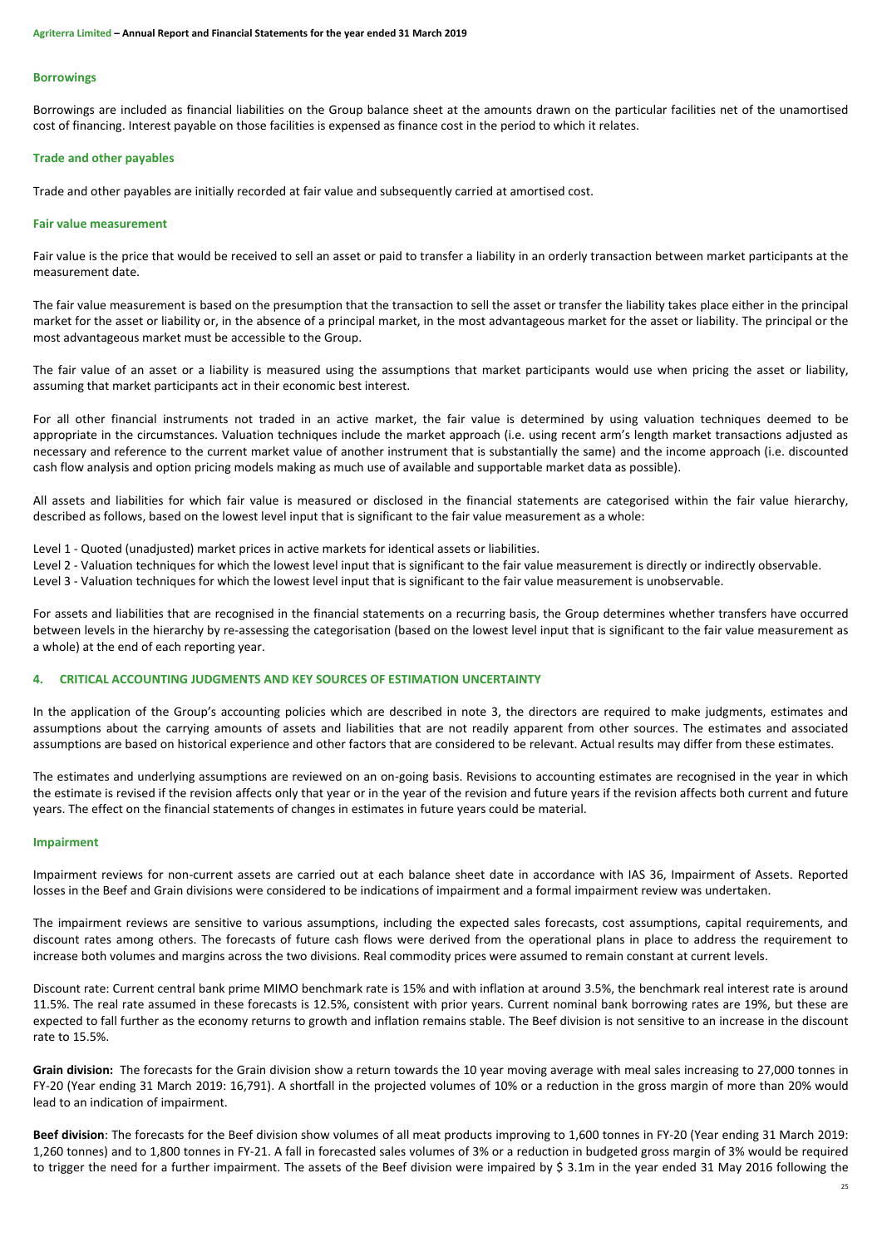#### **Borrowings**

Borrowings are included as financial liabilities on the Group balance sheet at the amounts drawn on the particular facilities net of the unamortised cost of financing. Interest payable on those facilities is expensed as finance cost in the period to which it relates.

#### **Trade and other payables**

Trade and other payables are initially recorded at fair value and subsequently carried at amortised cost.

#### **Fair value measurement**

Fair value is the price that would be received to sell an asset or paid to transfer a liability in an orderly transaction between market participants at the measurement date.

The fair value measurement is based on the presumption that the transaction to sell the asset or transfer the liability takes place either in the principal market for the asset or liability or, in the absence of a principal market, in the most advantageous market for the asset or liability. The principal or the most advantageous market must be accessible to the Group.

The fair value of an asset or a liability is measured using the assumptions that market participants would use when pricing the asset or liability, assuming that market participants act in their economic best interest.

For all other financial instruments not traded in an active market, the fair value is determined by using valuation techniques deemed to be appropriate in the circumstances. Valuation techniques include the market approach (i.e. using recent arm's length market transactions adjusted as necessary and reference to the current market value of another instrument that is substantially the same) and the income approach (i.e. discounted cash flow analysis and option pricing models making as much use of available and supportable market data as possible).

All assets and liabilities for which fair value is measured or disclosed in the financial statements are categorised within the fair value hierarchy, described as follows, based on the lowest level input that is significant to the fair value measurement as a whole:

Level 1 - Quoted (unadjusted) market prices in active markets for identical assets or liabilities.

Level 2 - Valuation techniques for which the lowest level input that is significant to the fair value measurement is directly or indirectly observable.

Level 3 - Valuation techniques for which the lowest level input that is significant to the fair value measurement is unobservable.

For assets and liabilities that are recognised in the financial statements on a recurring basis, the Group determines whether transfers have occurred between levels in the hierarchy by re-assessing the categorisation (based on the lowest level input that is significant to the fair value measurement as a whole) at the end of each reporting year.

# **4. CRITICAL ACCOUNTING JUDGMENTS AND KEY SOURCES OF ESTIMATION UNCERTAINTY**

In the application of the Group's accounting policies which are described in note [3,](#page-21-0) the directors are required to make judgments, estimates and assumptions about the carrying amounts of assets and liabilities that are not readily apparent from other sources. The estimates and associated assumptions are based on historical experience and other factors that are considered to be relevant. Actual results may differ from these estimates.

The estimates and underlying assumptions are reviewed on an on-going basis. Revisions to accounting estimates are recognised in the year in which the estimate is revised if the revision affects only that year or in the year of the revision and future years if the revision affects both current and future years. The effect on the financial statements of changes in estimates in future years could be material.

#### **Impairment**

Impairment reviews for non-current assets are carried out at each balance sheet date in accordance with IAS 36, Impairment of Assets. Reported losses in the Beef and Grain divisions were considered to be indications of impairment and a formal impairment review was undertaken.

The impairment reviews are sensitive to various assumptions, including the expected sales forecasts, cost assumptions, capital requirements, and discount rates among others. The forecasts of future cash flows were derived from the operational plans in place to address the requirement to increase both volumes and margins across the two divisions. Real commodity prices were assumed to remain constant at current levels.

Discount rate: Current central bank prime MIMO benchmark rate is 15% and with inflation at around 3.5%, the benchmark real interest rate is around 11.5%. The real rate assumed in these forecasts is 12.5%, consistent with prior years. Current nominal bank borrowing rates are 19%, but these are expected to fall further as the economy returns to growth and inflation remains stable. The Beef division is not sensitive to an increase in the discount rate to 15.5%.

**Grain division:** The forecasts for the Grain division show a return towards the 10 year moving average with meal sales increasing to 27,000 tonnes in FY-20 (Year ending 31 March 2019: 16,791). A shortfall in the projected volumes of 10% or a reduction in the gross margin of more than 20% would lead to an indication of impairment.

**Beef division**: The forecasts for the Beef division show volumes of all meat products improving to 1,600 tonnes in FY-20 (Year ending 31 March 2019: 1,260 tonnes) and to 1,800 tonnes in FY-21. A fall in forecasted sales volumes of 3% or a reduction in budgeted gross margin of 3% would be required to trigger the need for a further impairment. The assets of the Beef division were impaired by \$ 3.1m in the year ended 31 May 2016 following the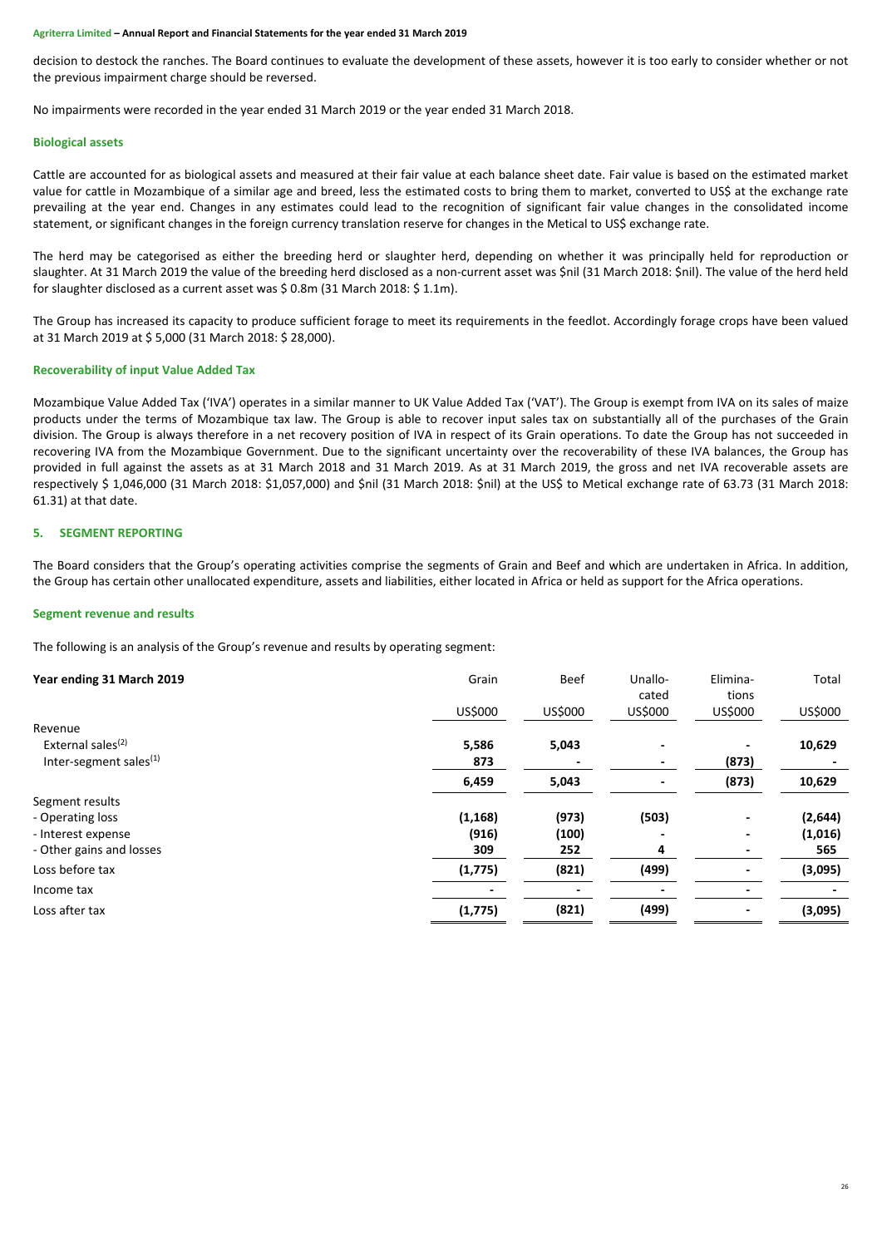decision to destock the ranches. The Board continues to evaluate the development of these assets, however it is too early to consider whether or not the previous impairment charge should be reversed.

No impairments were recorded in the year ended 31 March 2019 or the year ended 31 March 2018.

#### **Biological assets**

Cattle are accounted for as biological assets and measured at their fair value at each balance sheet date. Fair value is based on the estimated market value for cattle in Mozambique of a similar age and breed, less the estimated costs to bring them to market, converted to US\$ at the exchange rate prevailing at the year end. Changes in any estimates could lead to the recognition of significant fair value changes in the consolidated income statement, or significant changes in the foreign currency translation reserve for changes in the Metical to US\$ exchange rate.

The herd may be categorised as either the breeding herd or slaughter herd, depending on whether it was principally held for reproduction or slaughter. At 31 March 2019 the value of the breeding herd disclosed as a non-current asset was \$nil (31 March 2018: \$nil). The value of the herd held for slaughter disclosed as a current asset was \$ 0.8m (31 March 2018: \$ 1.1m).

The Group has increased its capacity to produce sufficient forage to meet its requirements in the feedlot. Accordingly forage crops have been valued at 31 March 2019 at \$ 5,000 (31 March 2018: \$ 28,000).

#### **Recoverability of input Value Added Tax**

Mozambique Value Added Tax ('IVA') operates in a similar manner to UK Value Added Tax ('VAT'). The Group is exempt from IVA on its sales of maize products under the terms of Mozambique tax law. The Group is able to recover input sales tax on substantially all of the purchases of the Grain division. The Group is always therefore in a net recovery position of IVA in respect of its Grain operations. To date the Group has not succeeded in recovering IVA from the Mozambique Government. Due to the significant uncertainty over the recoverability of these IVA balances, the Group has provided in full against the assets as at 31 March 2018 and 31 March 2019. As at 31 March 2019, the gross and net IVA recoverable assets are respectively \$ 1,046,000 (31 March 2018: \$1,057,000) and \$nil (31 March 2018: \$nil) at the US\$ to Metical exchange rate of 63.73 (31 March 2018: 61.31) at that date.

# **5. SEGMENT REPORTING**

The Board considers that the Group's operating activities comprise the segments of Grain and Beef and which are undertaken in Africa. In addition, the Group has certain other unallocated expenditure, assets and liabilities, either located in Africa or held as support for the Africa operations.

#### **Segment revenue and results**

The following is an analysis of the Group's revenue and results by operating segment:

| Year ending 31 March 2019     | Grain    | <b>Beef</b> | Unallo-<br>cated | Elimina-<br>tions        | Total   |
|-------------------------------|----------|-------------|------------------|--------------------------|---------|
|                               | US\$000  | US\$000     | US\$000          | US\$000                  | US\$000 |
| Revenue                       |          |             |                  |                          |         |
| External sales <sup>(2)</sup> | 5,586    | 5,043       |                  |                          | 10,629  |
| Inter-segment sales $(1)$     | 873      |             |                  | (873)                    |         |
|                               | 6,459    | 5,043       |                  | (873)                    | 10,629  |
| Segment results               |          |             |                  |                          |         |
| - Operating loss              | (1, 168) | (973)       | (503)            | $\overline{\phantom{a}}$ | (2,644) |
| - Interest expense            | (916)    | (100)       |                  |                          | (1,016) |
| - Other gains and losses      | 309      | 252         | 4                |                          | 565     |
| Loss before tax               | (1, 775) | (821)       | (499)            |                          | (3,095) |
| Income tax                    |          |             |                  |                          |         |
| Loss after tax                | (1, 775) | (821)       | (499)            |                          | (3,095) |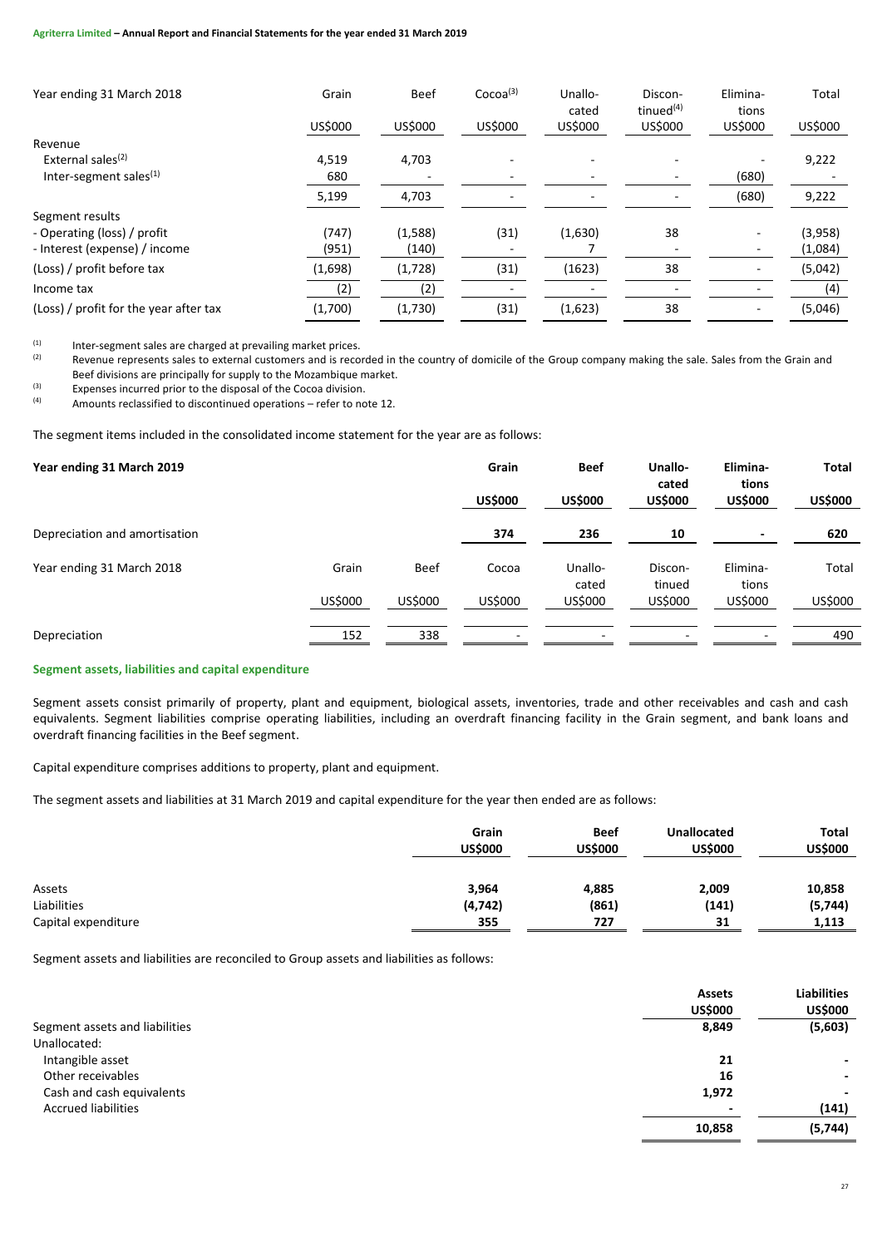| Year ending 31 March 2018              | Grain   | <b>Beef</b> | Cocoa <sup>(3)</sup> | Unallo-<br>cated         | Discon-<br>tinued <sup>(4)</sup> | Elimina-<br>tions        | Total   |
|----------------------------------------|---------|-------------|----------------------|--------------------------|----------------------------------|--------------------------|---------|
|                                        | US\$000 | US\$000     | US\$000              | US\$000                  | <b>US\$000</b>                   | US\$000                  | US\$000 |
| Revenue                                |         |             |                      |                          |                                  |                          |         |
| External sales <sup>(2)</sup>          | 4,519   | 4,703       |                      |                          |                                  |                          | 9,222   |
| Inter-segment sales $(1)$              | 680     |             |                      |                          |                                  | (680)                    |         |
|                                        | 5,199   | 4,703       | $\sim$               | $\overline{\phantom{a}}$ |                                  | (680)                    | 9,222   |
| Segment results                        |         |             |                      |                          |                                  |                          |         |
| - Operating (loss) / profit            | (747)   | (1,588)     | (31)                 | (1,630)                  | 38                               |                          | (3,958) |
| - Interest (expense) / income          | (951)   | (140)       |                      |                          |                                  |                          | (1,084) |
| (Loss) / profit before tax             | (1,698) | (1,728)     | (31)                 | (1623)                   | 38                               |                          | (5,042) |
| Income tax                             | (2)     | (2)         |                      |                          |                                  |                          | (4)     |
| (Loss) / profit for the year after tax | (1,700) | (1,730)     | (31)                 | (1,623)                  | 38                               | $\overline{\phantom{a}}$ | (5,046) |

(1) Inter-segment sales are charged at prevailing market prices.<br>Revenue represents sales to external customers and is reco

Revenue represents sales to external customers and is recorded in the country of domicile of the Group company making the sale. Sales from the Grain and Beef divisions are principally for supply to the Mozambique market.

 $\begin{array}{lll}\n\text{(3)} & \text{Express incurred prior to the disposal of the Cocoa division.} \\
\text{(4)} & \text{Amount calculated to directional operations.} \\
\text{(5)} & \text{Answer: } 10000 \\
\text{(6)} & \text{Answer: } 100000 \\
\text{(7)} & \text{4} & \text{4} & \text{4} \\
\text{(8)} & \text{4} & \text{4} & \text{4} \\
\text{(9)} & \text{4} & \text{4} & \text{4} \\
\text{(10)} & \text{4} & \text{4} & \text{4} \\
\text{(11)} & \text{4} & \text{4} & \text{4} \\
\text{(12)} & \text$ 

(4) Amounts reclassified to discontinued operations – refer to note 12.

The segment items included in the consolidated income statement for the year are as follows:

| Year ending 31 March 2019     |         |             | Grain<br><b>US\$000</b> | <b>Beef</b><br><b>US\$000</b> | Unallo-<br>cated<br><b>US\$000</b> | Elimina-<br>tions<br><b>US\$000</b> | <b>Total</b><br><b>US\$000</b> |
|-------------------------------|---------|-------------|-------------------------|-------------------------------|------------------------------------|-------------------------------------|--------------------------------|
| Depreciation and amortisation |         |             | 374                     | 236                           | 10                                 |                                     | 620                            |
| Year ending 31 March 2018     | Grain   | <b>Beef</b> | Cocoa                   | Unallo-<br>cated              | Discon-<br>tinued                  | Elimina-<br>tions                   | Total                          |
|                               | US\$000 | US\$000     | US\$000                 | US\$000                       | US\$000                            | US\$000                             | US\$000                        |
| Depreciation                  | 152     | 338         |                         | ٠                             | ٠                                  | ۰                                   | 490                            |

# **Segment assets, liabilities and capital expenditure**

Segment assets consist primarily of property, plant and equipment, biological assets, inventories, trade and other receivables and cash and cash equivalents. Segment liabilities comprise operating liabilities, including an overdraft financing facility in the Grain segment, and bank loans and overdraft financing facilities in the Beef segment.

Capital expenditure comprises additions to property, plant and equipment.

The segment assets and liabilities at 31 March 2019 and capital expenditure for the year then ended are as follows:

|                     | Grain<br><b>US\$000</b> | <b>Beef</b><br><b>US\$000</b> | <b>Unallocated</b><br><b>US\$000</b> | <b>Total</b><br><b>US\$000</b> |
|---------------------|-------------------------|-------------------------------|--------------------------------------|--------------------------------|
| Assets              | 3,964                   | 4,885                         | 2,009                                | 10,858                         |
| Liabilities         | (4, 742)                | (861)                         | (141)                                | (5, 744)                       |
| Capital expenditure | 355                     | 727                           | 31                                   | 1,113                          |

Segment assets and liabilities are reconciled to Group assets and liabilities as follows:

|                                | <b>Assets</b><br><b>US\$000</b> | <b>Liabilities</b><br><b>US\$000</b> |
|--------------------------------|---------------------------------|--------------------------------------|
| Segment assets and liabilities | 8,849                           | (5,603)                              |
| Unallocated:                   |                                 |                                      |
| Intangible asset               | 21                              | ٠                                    |
| Other receivables              | 16                              | ٠                                    |
| Cash and cash equivalents      | 1,972                           | ٠                                    |
| <b>Accrued liabilities</b>     | $\overline{\phantom{a}}$        | (141)                                |
|                                | 10,858                          | (5,744)                              |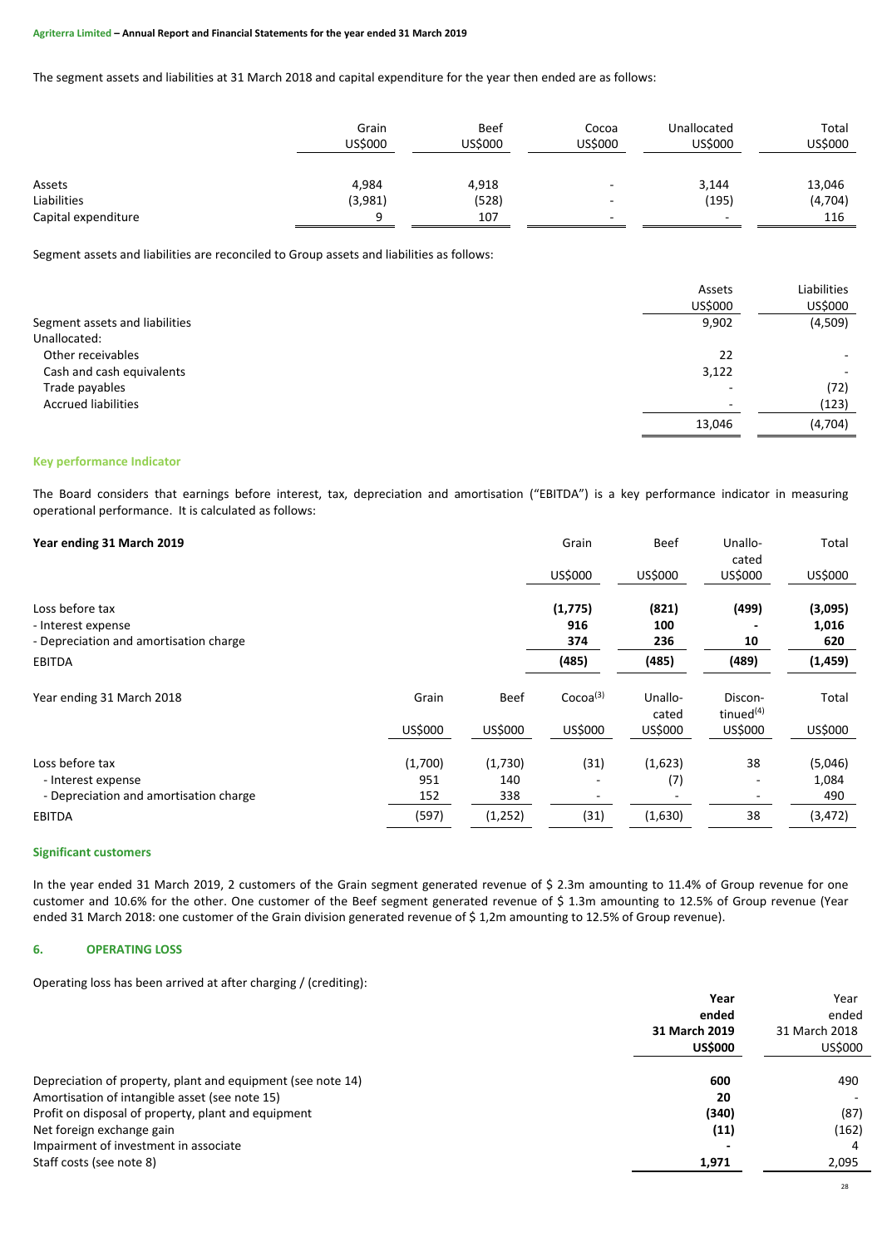The segment assets and liabilities at 31 March 2018 and capital expenditure for the year then ended are as follows:

|                     | Grain<br><b>US\$000</b> | <b>Beef</b><br>US\$000 | Cocoa<br><b>US\$000</b> | Unallocated<br>US\$000 | Total<br>US\$000 |
|---------------------|-------------------------|------------------------|-------------------------|------------------------|------------------|
| Assets              | 4,984                   | 4,918                  | . .                     | 3,144                  | 13,046           |
| Liabilities         | (3,981)                 | (528)                  | . .                     | (195)                  | (4, 704)         |
| Capital expenditure | Ω                       | 107                    | . .                     | -                      | 116              |

Segment assets and liabilities are reconciled to Group assets and liabilities as follows:

|                                | Assets                   | Liabilities              |
|--------------------------------|--------------------------|--------------------------|
|                                | US\$000                  | US\$000                  |
| Segment assets and liabilities | 9,902                    | (4,509)                  |
| Unallocated:                   |                          |                          |
| Other receivables              | 22                       |                          |
| Cash and cash equivalents      | 3,122                    | $\overline{\phantom{a}}$ |
| Trade payables                 | $\overline{\phantom{0}}$ | (72)                     |
| <b>Accrued liabilities</b>     | $\overline{\phantom{0}}$ | (123)                    |
|                                | 13,046                   | (4,704)                  |

### **Key performance Indicator**

The Board considers that earnings before interest, tax, depreciation and amortisation ("EBITDA") is a key performance indicator in measuring operational performance. It is calculated as follows:

| Year ending 31 March 2019                                                       |         |         | Grain                 | <b>Beef</b>         | Unallo-<br>cated        | Total                   |
|---------------------------------------------------------------------------------|---------|---------|-----------------------|---------------------|-------------------------|-------------------------|
|                                                                                 |         |         | US\$000               | US\$000             | US\$000                 | US\$000                 |
| Loss before tax<br>- Interest expense<br>- Depreciation and amortisation charge |         |         | (1,775)<br>916<br>374 | (821)<br>100<br>236 | (499)<br>10             | (3,095)<br>1,016<br>620 |
| <b>EBITDA</b>                                                                   |         |         | (485)                 | (485)               | (489)                   | (1, 459)                |
| Year ending 31 March 2018                                                       | Grain   | Beef    | Cocoa <sup>(3)</sup>  | Unallo-<br>cated    | Discon-<br>tinued $(4)$ | Total                   |
|                                                                                 | US\$000 | US\$000 | US\$000               | US\$000             | US\$000                 | US\$000                 |
| Loss before tax                                                                 | (1,700) | (1,730) | (31)                  | (1,623)             | 38                      | (5,046)                 |
| - Interest expense                                                              | 951     | 140     |                       | (7)                 |                         | 1,084                   |
| - Depreciation and amortisation charge                                          | 152     | 338     |                       |                     |                         | 490                     |
| <b>EBITDA</b>                                                                   | (597)   | (1,252) | (31)                  | (1,630)             | 38                      | (3, 472)                |

#### **Significant customers**

In the year ended 31 March 2019, 2 customers of the Grain segment generated revenue of \$ 2.3m amounting to 11.4% of Group revenue for one customer and 10.6% for the other. One customer of the Beef segment generated revenue of \$ 1.3m amounting to 12.5% of Group revenue (Year ended 31 March 2018: one customer of the Grain division generated revenue of \$ 1,2m amounting to 12.5% of Group revenue).

# **6. OPERATING LOSS**

Operating loss has been arrived at after charging / (crediting):

|                                                             | Year           | Year          |
|-------------------------------------------------------------|----------------|---------------|
|                                                             | ended          | ended         |
|                                                             | 31 March 2019  | 31 March 2018 |
|                                                             | <b>US\$000</b> | US\$000       |
|                                                             |                |               |
| Depreciation of property, plant and equipment (see note 14) | 600            | 490           |
| Amortisation of intangible asset (see note 15)              | 20             |               |
| Profit on disposal of property, plant and equipment         | (340)          | (87)          |
| Net foreign exchange gain                                   | (11)           | (162)         |
| Impairment of investment in associate                       | $\overline{a}$ | 4             |
| Staff costs (see note 8)                                    | 1,971          | 2,095         |
|                                                             |                |               |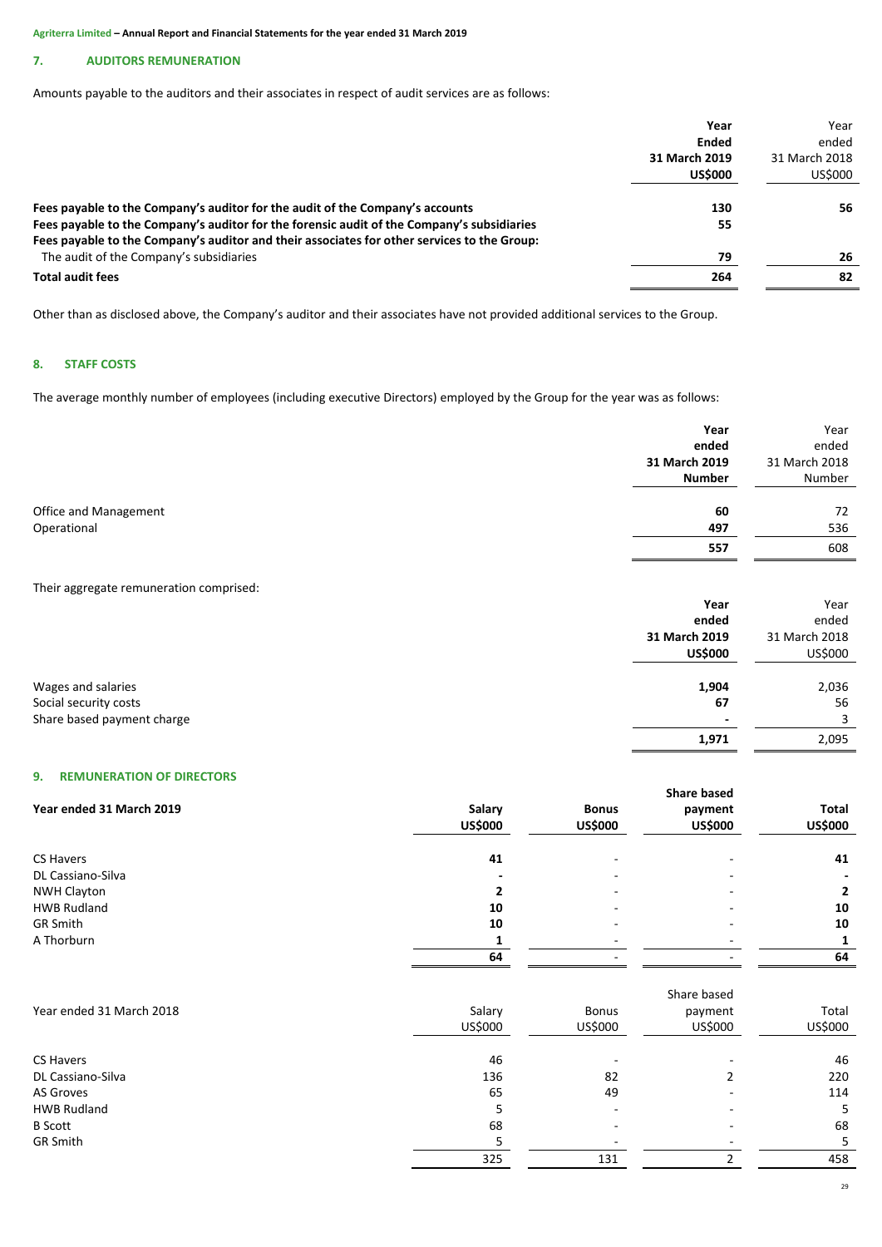# **7. AUDITORS REMUNERATION**

Amounts payable to the auditors and their associates in respect of audit services are as follows:

| Year                                                                                        |    | Year          |
|---------------------------------------------------------------------------------------------|----|---------------|
| Ended                                                                                       |    | ended         |
| 31 March 2019                                                                               |    | 31 March 2018 |
| <b>US\$000</b>                                                                              |    | US\$000       |
| Fees payable to the Company's auditor for the audit of the Company's accounts<br>130        |    | 56            |
| Fees payable to the Company's auditor for the forensic audit of the Company's subsidiaries  | 55 |               |
| Fees payable to the Company's auditor and their associates for other services to the Group: |    |               |
| The audit of the Company's subsidiaries                                                     | 79 | 26            |
| <b>Total audit fees</b><br>264                                                              |    | 82            |

Other than as disclosed above, the Company's auditor and their associates have not provided additional services to the Group.

# **8. STAFF COSTS**

The average monthly number of employees (including executive Directors) employed by the Group for the year was as follows:

|                                                                           | Year<br>ended                                    | Year<br>ended                             |
|---------------------------------------------------------------------------|--------------------------------------------------|-------------------------------------------|
|                                                                           | 31 March 2019                                    | 31 March 2018                             |
|                                                                           | <b>Number</b>                                    | Number                                    |
| Office and Management                                                     | 60                                               | 72                                        |
| Operational                                                               | 497                                              | 536                                       |
|                                                                           | 557                                              | 608                                       |
| Their aggregate remuneration comprised:                                   | Year<br>ended<br>31 March 2019<br><b>US\$000</b> | Year<br>ended<br>31 March 2018<br>US\$000 |
| Wages and salaries<br>Social security costs<br>Share based payment charge | 1,904<br>67<br>1,971                             | 2,036<br>56<br>3<br>2,095                 |

# **9. REMUNERATION OF DIRECTORS**

|                          | <b>Share based</b> |                |                |                |  |
|--------------------------|--------------------|----------------|----------------|----------------|--|
| Year ended 31 March 2019 | Salary             | <b>Bonus</b>   | payment        | <b>Total</b>   |  |
|                          | <b>US\$000</b>     | <b>US\$000</b> | <b>US\$000</b> | <b>US\$000</b> |  |
|                          |                    |                |                |                |  |
| CS Havers                | 41                 | -              | -              | 41             |  |
| DL Cassiano-Silva        |                    |                | -              |                |  |
| <b>NWH Clayton</b>       |                    |                |                |                |  |
| <b>HWB Rudland</b>       | 10                 |                |                | 10             |  |
| <b>GR Smith</b>          | 10                 |                | -              | 10             |  |
| A Thorburn               |                    |                |                |                |  |
|                          | 64                 |                | -              | 64             |  |

|                          |         |         | Share based |         |
|--------------------------|---------|---------|-------------|---------|
| Year ended 31 March 2018 | Salary  | Bonus   | payment     | Total   |
|                          | US\$000 | US\$000 | US\$000     | US\$000 |
| CS Havers                | 46      |         |             | 46      |
| DL Cassiano-Silva        | 136     | 82      |             | 220     |
| AS Groves                | 65      | 49      |             | 114     |
| <b>HWB Rudland</b>       | Ь       |         |             | 5       |
| <b>B</b> Scott           | 68      |         |             | 68      |
| <b>GR Smith</b>          |         |         |             |         |
|                          | 325     | 131     |             | 458     |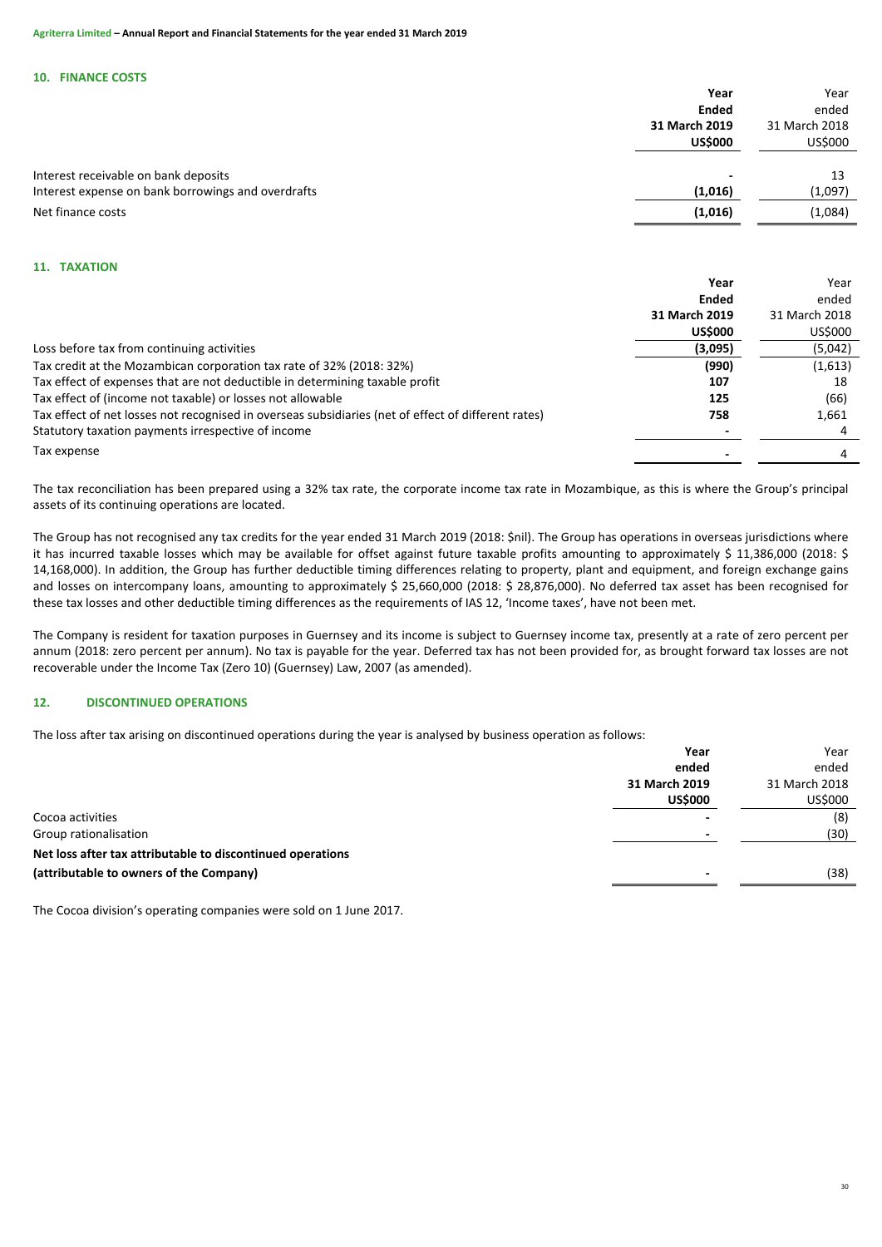#### **10. FINANCE COSTS**

|                                                    | Year           | Year          |
|----------------------------------------------------|----------------|---------------|
|                                                    | <b>Ended</b>   | ended         |
|                                                    | 31 March 2019  | 31 March 2018 |
|                                                    | <b>US\$000</b> | US\$000       |
|                                                    |                |               |
| Interest receivable on bank deposits               | -              | 13            |
| Interest expense on bank borrowings and overdrafts | (1,016)        | (1,097)       |
| Net finance costs                                  | (1,016)        | (1,084)       |

# **11. TAXATION**

|                                                                                                     | Year           | Year          |
|-----------------------------------------------------------------------------------------------------|----------------|---------------|
|                                                                                                     | Ended          | ended         |
|                                                                                                     | 31 March 2019  | 31 March 2018 |
|                                                                                                     | <b>US\$000</b> | US\$000       |
| Loss before tax from continuing activities                                                          | (3,095)        | (5,042)       |
| Tax credit at the Mozambican corporation tax rate of 32% (2018: 32%)                                | (990)          | (1,613)       |
| Tax effect of expenses that are not deductible in determining taxable profit                        | 107            | 18            |
| Tax effect of (income not taxable) or losses not allowable                                          | 125            | (66)          |
| Tax effect of net losses not recognised in overseas subsidiaries (net of effect of different rates) | 758            | 1,661         |
| Statutory taxation payments irrespective of income                                                  |                |               |
| Tax expense                                                                                         |                |               |
|                                                                                                     |                |               |

The tax reconciliation has been prepared using a 32% tax rate, the corporate income tax rate in Mozambique, as this is where the Group's principal assets of its continuing operations are located.

The Group has not recognised any tax credits for the year ended 31 March 2019 (2018: \$nil). The Group has operations in overseas jurisdictions where it has incurred taxable losses which may be available for offset against future taxable profits amounting to approximately \$ 11,386,000 (2018: \$) 14,168,000). In addition, the Group has further deductible timing differences relating to property, plant and equipment, and foreign exchange gains and losses on intercompany loans, amounting to approximately \$ 25,660,000 (2018: \$ 28,876,000). No deferred tax asset has been recognised for these tax losses and other deductible timing differences as the requirements of IAS 12, 'Income taxes', have not been met.

The Company is resident for taxation purposes in Guernsey and its income is subject to Guernsey income tax, presently at a rate of zero percent per annum (2018: zero percent per annum). No tax is payable for the year. Deferred tax has not been provided for, as brought forward tax losses are not recoverable under the Income Tax (Zero 10) (Guernsey) Law, 2007 (as amended).

# **12. DISCONTINUED OPERATIONS**

The loss after tax arising on discontinued operations during the year is analysed by business operation as follows:

|                                                            | Year           | Year          |
|------------------------------------------------------------|----------------|---------------|
|                                                            | ended          | ended         |
|                                                            | 31 March 2019  | 31 March 2018 |
|                                                            | <b>US\$000</b> | US\$000       |
| Cocoa activities                                           |                | (8)           |
| Group rationalisation                                      |                | (30)          |
| Net loss after tax attributable to discontinued operations |                |               |
| (attributable to owners of the Company)                    |                | (38)          |
|                                                            |                |               |

The Cocoa division's operating companies were sold on 1 June 2017.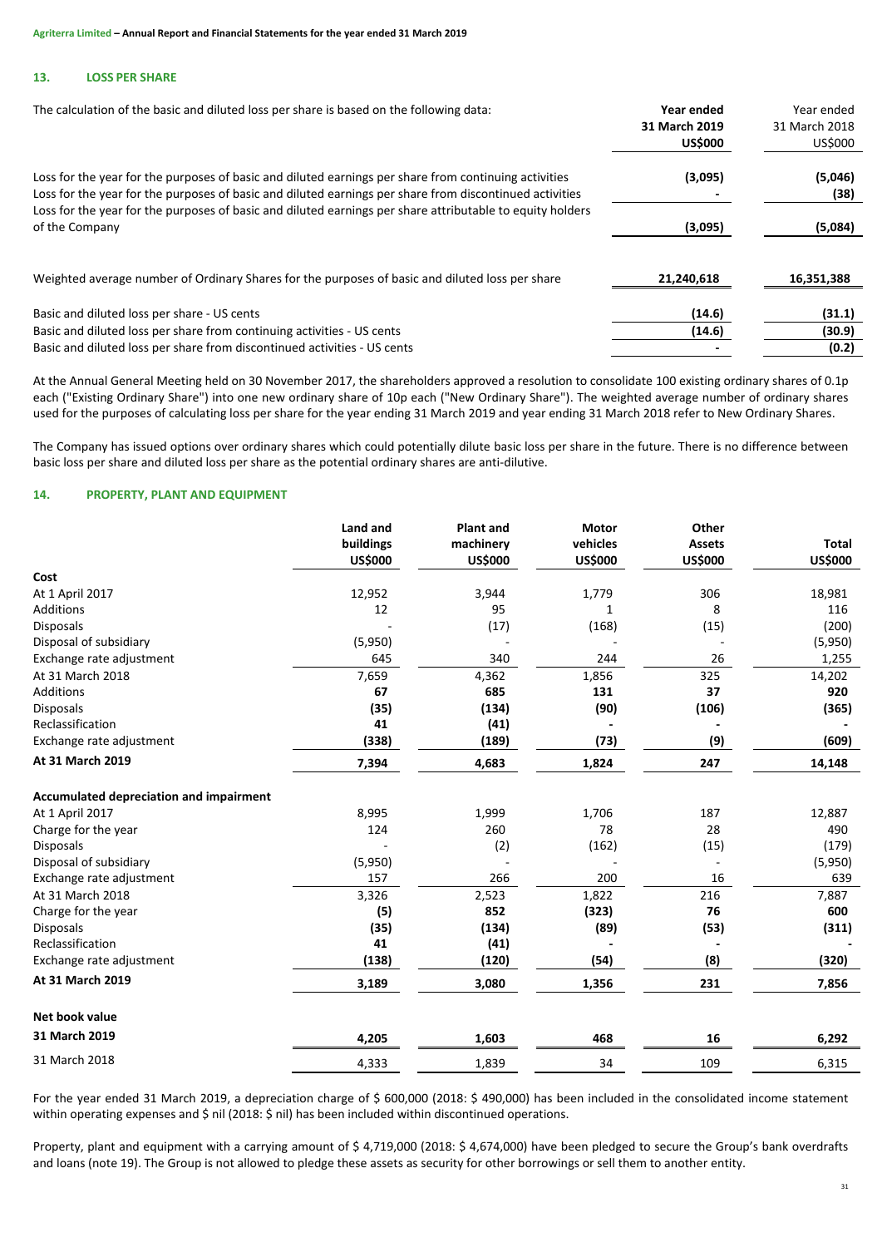# **13. LOSS PER SHARE**

| The calculation of the basic and diluted loss per share is based on the following data:                                                                                                                                                                                                                                       | Year ended<br>31 March 2019<br><b>US\$000</b> | Year ended<br>31 March 2018<br>US\$000 |
|-------------------------------------------------------------------------------------------------------------------------------------------------------------------------------------------------------------------------------------------------------------------------------------------------------------------------------|-----------------------------------------------|----------------------------------------|
| Loss for the year for the purposes of basic and diluted earnings per share from continuing activities<br>Loss for the year for the purposes of basic and diluted earnings per share from discontinued activities<br>Loss for the year for the purposes of basic and diluted earnings per share attributable to equity holders | (3,095)                                       | (5,046)<br>(38)                        |
| of the Company                                                                                                                                                                                                                                                                                                                | (3,095)                                       | (5,084)                                |
| Weighted average number of Ordinary Shares for the purposes of basic and diluted loss per share                                                                                                                                                                                                                               | 21,240,618                                    | 16,351,388                             |
| Basic and diluted loss per share - US cents                                                                                                                                                                                                                                                                                   | (14.6)                                        | (31.1)                                 |
| Basic and diluted loss per share from continuing activities - US cents                                                                                                                                                                                                                                                        | (14.6)                                        | (30.9)                                 |
| Basic and diluted loss per share from discontinued activities - US cents                                                                                                                                                                                                                                                      |                                               | (0.2)                                  |

At the Annual General Meeting held on 30 November 2017, the shareholders approved a resolution to consolidate 100 existing ordinary shares of 0.1p each ("Existing Ordinary Share") into one new ordinary share of 10p each ("New Ordinary Share"). The weighted average number of ordinary shares used for the purposes of calculating loss per share for the year ending 31 March 2019 and year ending 31 March 2018 refer to New Ordinary Shares.

The Company has issued options over ordinary shares which could potentially dilute basic loss per share in the future. There is no difference between basic loss per share and diluted loss per share as the potential ordinary shares are anti-dilutive.

# **14. PROPERTY, PLANT AND EQUIPMENT**

|                                                | Land and<br>buildings<br><b>US\$000</b> | <b>Plant and</b><br>machinery<br><b>US\$000</b> | <b>Motor</b><br>vehicles<br><b>US\$000</b> | Other<br><b>Assets</b><br><b>US\$000</b> | <b>Total</b><br><b>US\$000</b> |
|------------------------------------------------|-----------------------------------------|-------------------------------------------------|--------------------------------------------|------------------------------------------|--------------------------------|
| Cost                                           |                                         |                                                 |                                            |                                          |                                |
| At 1 April 2017                                | 12,952                                  | 3,944                                           | 1,779                                      | 306                                      | 18,981                         |
| <b>Additions</b>                               | 12                                      | 95                                              | 1                                          | 8                                        | 116                            |
| Disposals                                      |                                         | (17)                                            | (168)                                      | (15)                                     | (200)                          |
| Disposal of subsidiary                         | (5,950)                                 |                                                 |                                            |                                          | (5,950)                        |
| Exchange rate adjustment                       | 645                                     | 340                                             | 244                                        | 26                                       | 1,255                          |
| At 31 March 2018                               | 7,659                                   | 4,362                                           | 1,856                                      | 325                                      | 14,202                         |
| <b>Additions</b>                               | 67                                      | 685                                             | 131                                        | 37                                       | 920                            |
| Disposals                                      | (35)                                    | (134)                                           | (90)                                       | (106)                                    | (365)                          |
| Reclassification                               | 41                                      | (41)                                            |                                            |                                          |                                |
| Exchange rate adjustment                       | (338)                                   | (189)                                           | (73)                                       | (9)                                      | (609)                          |
| At 31 March 2019                               | 7,394                                   | 4,683                                           | 1,824                                      | 247                                      | 14,148                         |
| <b>Accumulated depreciation and impairment</b> |                                         |                                                 |                                            |                                          |                                |
| At 1 April 2017                                | 8,995                                   | 1,999                                           | 1,706                                      | 187                                      | 12,887                         |
| Charge for the year                            | 124                                     | 260                                             | 78                                         | 28                                       | 490                            |
| Disposals                                      |                                         | (2)                                             | (162)                                      | (15)                                     | (179)                          |
| Disposal of subsidiary                         | (5,950)                                 |                                                 |                                            |                                          | (5,950)                        |
| Exchange rate adjustment                       | 157                                     | 266                                             | 200                                        | 16                                       | 639                            |
| At 31 March 2018                               | 3,326                                   | 2,523                                           | 1,822                                      | 216                                      | 7,887                          |
| Charge for the year                            | (5)                                     | 852                                             | (323)                                      | 76                                       | 600                            |
| <b>Disposals</b>                               | (35)                                    | (134)                                           | (89)                                       | (53)                                     | (311)                          |
| Reclassification                               | 41                                      | (41)                                            |                                            |                                          |                                |
| Exchange rate adjustment                       | (138)                                   | (120)                                           | (54)                                       | (8)                                      | (320)                          |
| At 31 March 2019                               | 3,189                                   | 3,080                                           | 1,356                                      | 231                                      | 7,856                          |
| Net book value                                 |                                         |                                                 |                                            |                                          |                                |
| 31 March 2019                                  | 4,205                                   | 1,603                                           | 468                                        | 16                                       | 6,292                          |
| 31 March 2018                                  | 4,333                                   | 1,839                                           | 34                                         | 109                                      | 6,315                          |

For the year ended 31 March 2019, a depreciation charge of \$ 600,000 (2018: \$ 490,000) has been included in the consolidated income statement within operating expenses and \$ nil (2018: \$ nil) has been included within discontinued operations.

Property, plant and equipment with a carrying amount of \$ 4,719,000 (2018: \$ 4,674,000) have been pledged to secure the Group's bank overdrafts and loans (note 19). The Group is not allowed to pledge these assets as security for other borrowings or sell them to another entity.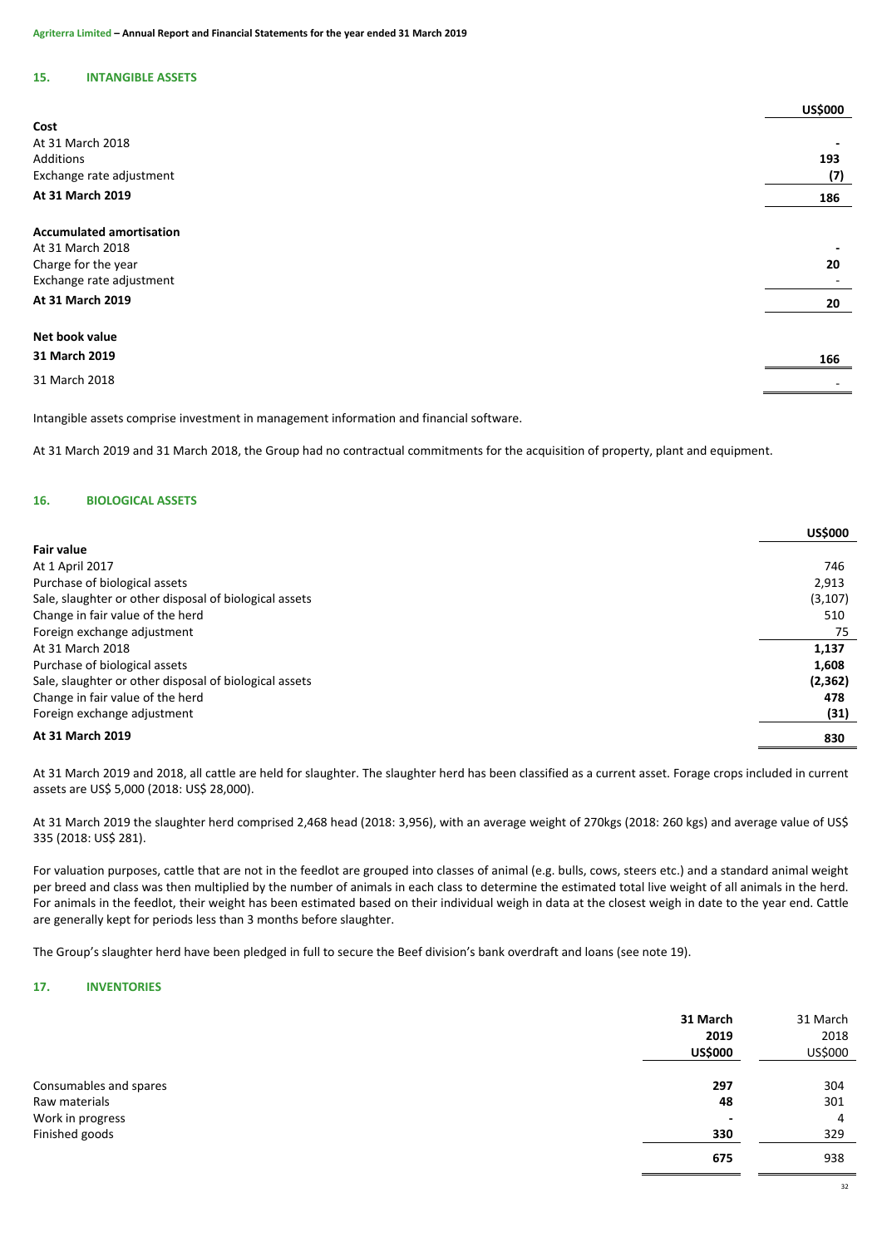# **15. INTANGIBLE ASSETS**

|                                 | <b>US\$000</b> |
|---------------------------------|----------------|
| Cost                            |                |
| At 31 March 2018                |                |
| Additions                       | 193            |
| Exchange rate adjustment        | (7)            |
| At 31 March 2019                | 186            |
| <b>Accumulated amortisation</b> |                |
| At 31 March 2018                |                |
| Charge for the year             | 20             |
| Exchange rate adjustment        |                |
| At 31 March 2019                | 20             |
| Net book value                  |                |
| 31 March 2019                   | 166            |
| 31 March 2018                   |                |
|                                 |                |

Intangible assets comprise investment in management information and financial software.

At 31 March 2019 and 31 March 2018, the Group had no contractual commitments for the acquisition of property, plant and equipment.

# **16. BIOLOGICAL ASSETS**

|                                                        | <b>US\$000</b> |
|--------------------------------------------------------|----------------|
| <b>Fair value</b>                                      |                |
| At 1 April 2017                                        | 746            |
| Purchase of biological assets                          | 2,913          |
| Sale, slaughter or other disposal of biological assets | (3, 107)       |
| Change in fair value of the herd                       | 510            |
| Foreign exchange adjustment                            | 75             |
| At 31 March 2018                                       | 1,137          |
| Purchase of biological assets                          | 1,608          |
| Sale, slaughter or other disposal of biological assets | (2, 362)       |
| Change in fair value of the herd                       | 478            |
| Foreign exchange adjustment                            | (31)           |
| At 31 March 2019                                       | 830            |

At 31 March 2019 and 2018, all cattle are held for slaughter. The slaughter herd has been classified as a current asset. Forage crops included in current assets are US\$ 5,000 (2018: US\$ 28,000).

At 31 March 2019 the slaughter herd comprised 2,468 head (2018: 3,956), with an average weight of 270kgs (2018: 260 kgs) and average value of US\$ 335 (2018: US\$ 281).

For valuation purposes, cattle that are not in the feedlot are grouped into classes of animal (e.g. bulls, cows, steers etc.) and a standard animal weight per breed and class was then multiplied by the number of animals in each class to determine the estimated total live weight of all animals in the herd. For animals in the feedlot, their weight has been estimated based on their individual weigh in data at the closest weigh in date to the year end. Cattle are generally kept for periods less than 3 months before slaughter.

The Group's slaughter herd have been pledged in full to secure the Beef division's bank overdraft and loans (see note 19).

# **17. INVENTORIES**

|                        | 31 March<br>2019<br><b>US\$000</b> | 31 March<br>2018<br>US\$000 |
|------------------------|------------------------------------|-----------------------------|
|                        |                                    | 304                         |
| Consumables and spares | 297                                |                             |
| Raw materials          | 48                                 | 301                         |
| Work in progress       | $\overline{\phantom{a}}$           | 4                           |
| Finished goods         | 330                                | 329                         |
|                        | 675                                | 938                         |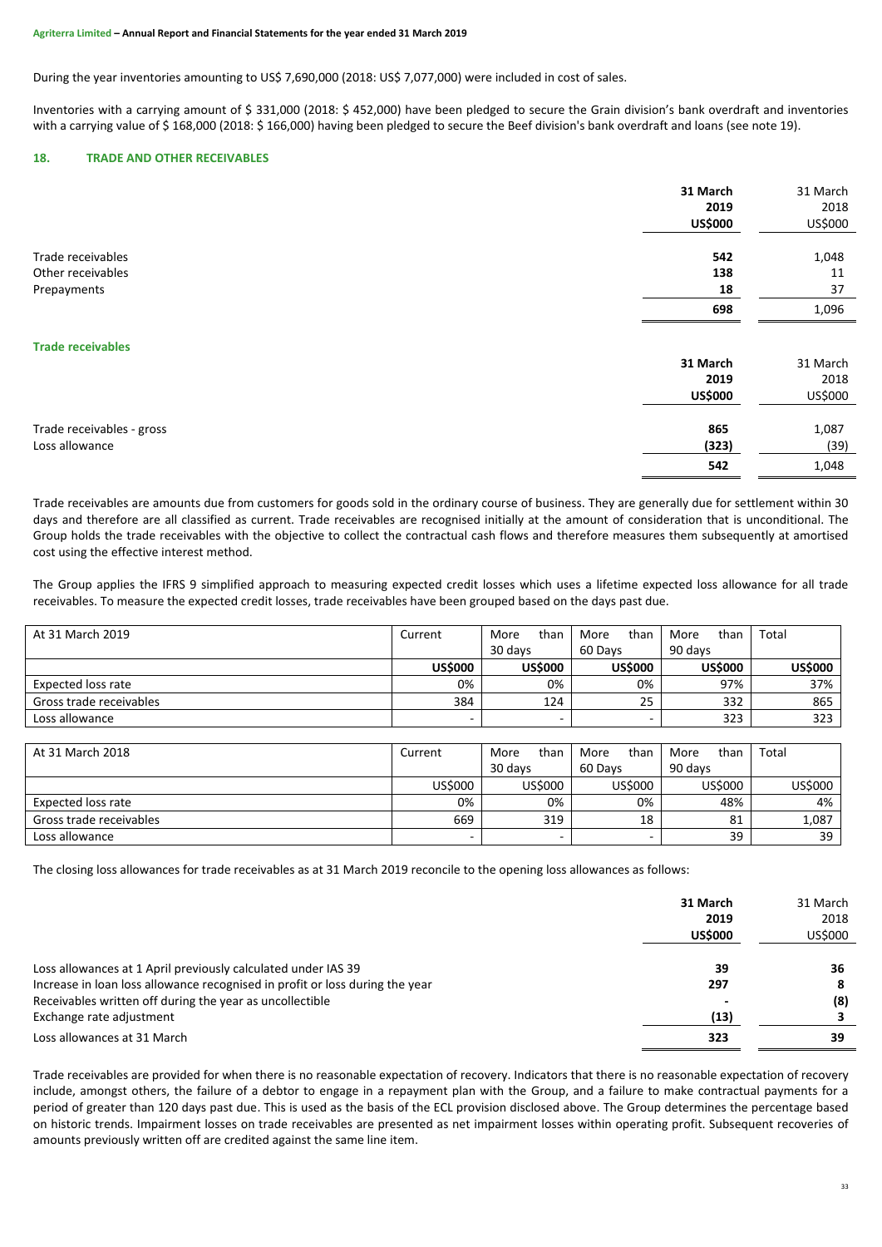During the year inventories amounting to US\$ 7,690,000 (2018: US\$ 7,077,000) were included in cost of sales.

Inventories with a carrying amount of \$ 331,000 (2018: \$ 452,000) have been pledged to secure the Grain division's bank overdraft and inventories with a carrying value of \$168,000 (2018: \$166,000) having been pledged to secure the Beef division's bank overdraft and loans (see note 19).

# **18. TRADE AND OTHER RECEIVABLES**

|                           | 31 March       | 31 March |
|---------------------------|----------------|----------|
|                           | 2019           | 2018     |
|                           | <b>US\$000</b> | US\$000  |
|                           |                |          |
| Trade receivables         | 542            | 1,048    |
| Other receivables         | 138            | 11       |
| Prepayments               | 18             | 37       |
|                           | 698            | 1,096    |
| <b>Trade receivables</b>  |                |          |
|                           | 31 March       | 31 March |
|                           | 2019           | 2018     |
|                           | <b>US\$000</b> | US\$000  |
|                           |                |          |
| Trade receivables - gross | 865            | 1,087    |
| Loss allowance            | (323)          | (39)     |
|                           | 542            | 1,048    |

Trade receivables are amounts due from customers for goods sold in the ordinary course of business. They are generally due for settlement within 30 days and therefore are all classified as current. Trade receivables are recognised initially at the amount of consideration that is unconditional. The Group holds the trade receivables with the objective to collect the contractual cash flows and therefore measures them subsequently at amortised cost using the effective interest method.

The Group applies the IFRS 9 simplified approach to measuring expected credit losses which uses a lifetime expected loss allowance for all trade receivables. To measure the expected credit losses, trade receivables have been grouped based on the days past due.

| At 31 March 2019          | Current        | than<br>More   | than<br>More   | than<br>More   | Total          |
|---------------------------|----------------|----------------|----------------|----------------|----------------|
|                           |                | 30 days        | 60 Days        | 90 days        |                |
|                           | <b>US\$000</b> | <b>US\$000</b> | <b>US\$000</b> | <b>US\$000</b> | <b>US\$000</b> |
| <b>Expected loss rate</b> | 0%             | 0%             | 0%             | 97%            | 37%            |
| Gross trade receivables   | 384            | 124            | 25             | 332            | 865            |
| Loss allowance            |                | -              |                | 323            | 323            |
|                           |                |                |                |                |                |
| At 31 March 2018          | Current        | than<br>More   | than<br>More   | than<br>More   | Total          |
|                           |                | 30 days        | 60 Days        | 90 days        |                |
|                           | US\$000        | US\$000        | US\$000        | US\$000        | US\$000        |
| <b>Expected loss rate</b> | 0%             | 0%             | 0%             | 48%            | 4%             |
| Gross trade receivables   | 669            | 319            | 18             | 81             | 1,087          |
| Loss allowance            |                |                | -              | 39             | 39             |

The closing loss allowances for trade receivables as at 31 March 2019 reconcile to the opening loss allowances as follows:

|                                                                              | 31 March<br>2019<br><b>US\$000</b> | 31 March<br>2018<br>US\$000 |
|------------------------------------------------------------------------------|------------------------------------|-----------------------------|
| Loss allowances at 1 April previously calculated under IAS 39                | 39                                 | 36                          |
| Increase in loan loss allowance recognised in profit or loss during the year | 297                                | 8                           |
| Receivables written off during the year as uncollectible                     |                                    | (8)                         |
| Exchange rate adjustment                                                     | (13)                               |                             |
| Loss allowances at 31 March                                                  | 323                                | 39                          |

Trade receivables are provided for when there is no reasonable expectation of recovery. Indicators that there is no reasonable expectation of recovery include, amongst others, the failure of a debtor to engage in a repayment plan with the Group, and a failure to make contractual payments for a period of greater than 120 days past due. This is used as the basis of the ECL provision disclosed above. The Group determines the percentage based on historic trends. Impairment losses on trade receivables are presented as net impairment losses within operating profit. Subsequent recoveries of amounts previously written off are credited against the same line item.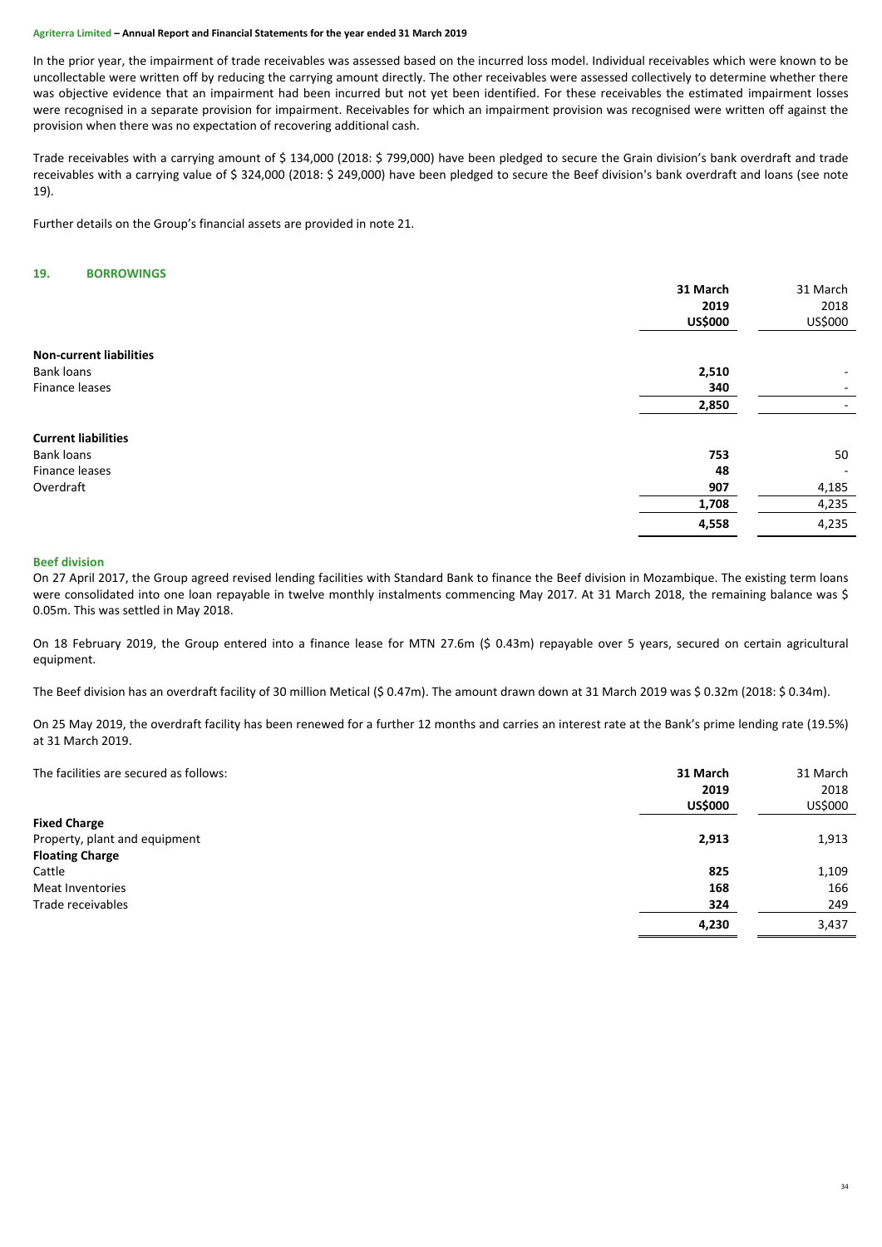In the prior year, the impairment of trade receivables was assessed based on the incurred loss model. Individual receivables which were known to be uncollectable were written off by reducing the carrying amount directly. The other receivables were assessed collectively to determine whether there was objective evidence that an impairment had been incurred but not yet been identified. For these receivables the estimated impairment losses were recognised in a separate provision for impairment. Receivables for which an impairment provision was recognised were written off against the provision when there was no expectation of recovering additional cash.

Trade receivables with a carrying amount of \$ 134,000 (2018: \$ 799,000) have been pledged to secure the Grain division's bank overdraft and trade receivables with a carrying value of \$ 324,000 (2018: \$ 249,000) have been pledged to secure the Beef division's bank overdraft and loans (see note 19).

Further details on the Group's financial assets are provided in note 21.

# **19. BORROWINGS**

|                                | 31 March       | 31 March |
|--------------------------------|----------------|----------|
|                                | 2019           | 2018     |
|                                | <b>US\$000</b> | US\$000  |
| <b>Non-current liabilities</b> |                |          |
| Bank loans                     | 2,510          | -        |
| Finance leases                 | 340            | ۰        |
|                                | 2,850          | ۰        |
| <b>Current liabilities</b>     |                |          |
| Bank loans                     | 753            | 50       |
| Finance leases                 | 48             | $\sim$   |
| Overdraft                      | 907            | 4,185    |
|                                | 1,708          | 4,235    |
|                                | 4,558          | 4,235    |

#### **Beef division**

On 27 April 2017, the Group agreed revised lending facilities with Standard Bank to finance the Beef division in Mozambique. The existing term loans were consolidated into one loan repayable in twelve monthly instalments commencing May 2017. At 31 March 2018, the remaining balance was \$ 0.05m. This was settled in May 2018.

On 18 February 2019, the Group entered into a finance lease for MTN 27.6m (\$ 0.43m) repayable over 5 years, secured on certain agricultural equipment.

The Beef division has an overdraft facility of 30 million Metical (\$ 0.47m). The amount drawn down at 31 March 2019 was \$ 0.32m (2018: \$ 0.34m).

On 25 May 2019, the overdraft facility has been renewed for a further 12 months and carries an interest rate at the Bank's prime lending rate (19.5%) at 31 March 2019.

| The facilities are secured as follows: | 31 March<br>2019<br><b>US\$000</b> | 31 March<br>2018<br>US\$000 |
|----------------------------------------|------------------------------------|-----------------------------|
| <b>Fixed Charge</b>                    |                                    |                             |
| Property, plant and equipment          | 2,913                              | 1,913                       |
| <b>Floating Charge</b>                 |                                    |                             |
| Cattle                                 | 825                                | 1,109                       |
| Meat Inventories                       | 168                                | 166                         |
| Trade receivables                      | 324                                | 249                         |
|                                        | 4,230                              | 3,437                       |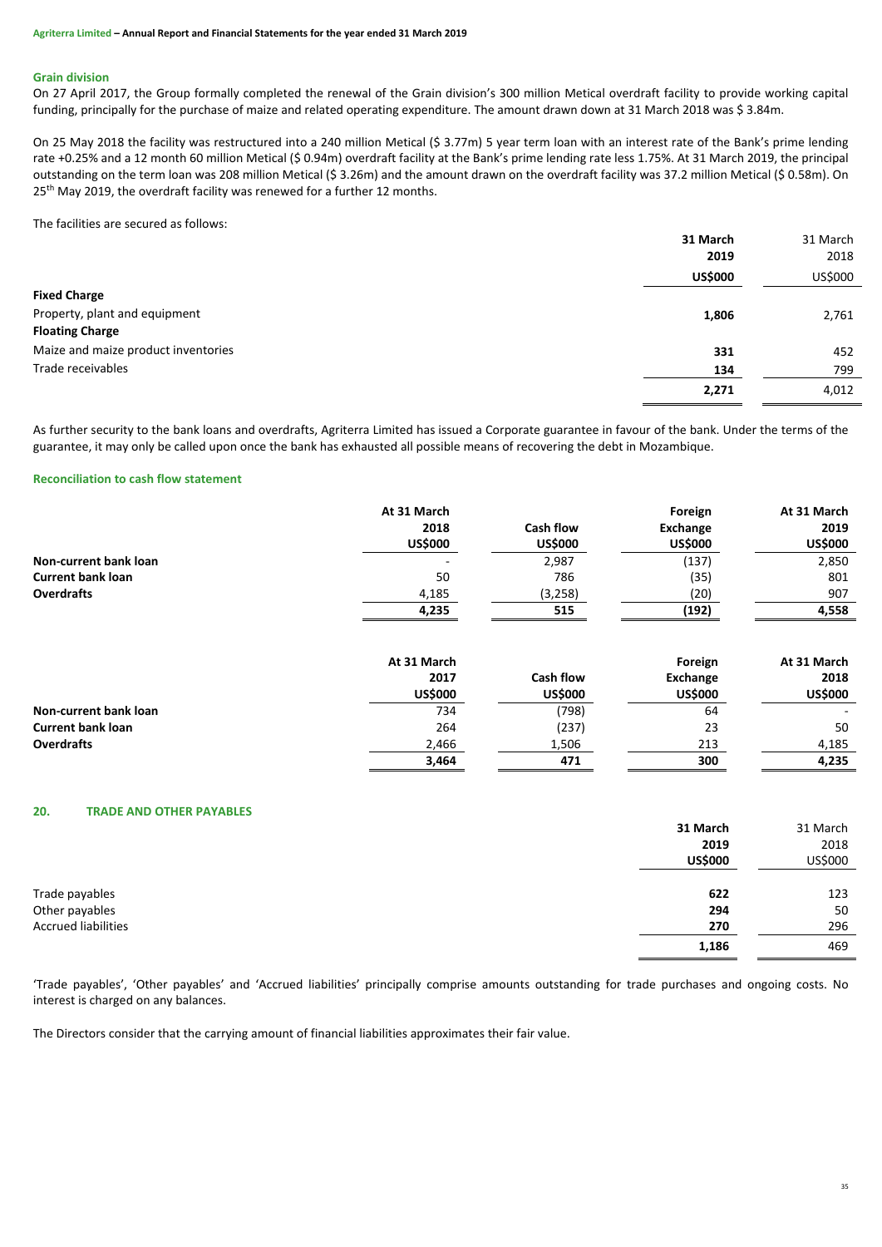# **Grain division**

On 27 April 2017, the Group formally completed the renewal of the Grain division's 300 million Metical overdraft facility to provide working capital funding, principally for the purchase of maize and related operating expenditure. The amount drawn down at 31 March 2018 was \$ 3.84m.

On 25 May 2018 the facility was restructured into a 240 million Metical (\$ 3.77m) 5 year term loan with an interest rate of the Bank's prime lending rate +0.25% and a 12 month 60 million Metical (\$ 0.94m) overdraft facility at the Bank's prime lending rate less 1.75%. At 31 March 2019, the principal outstanding on the term loan was 208 million Metical (\$ 3.26m) and the amount drawn on the overdraft facility was 37.2 million Metical (\$ 0.58m). On 25<sup>th</sup> May 2019, the overdraft facility was renewed for a further 12 months.

The facilities are secured as follows:

|                                     | 31 March               | 31 March<br>2018 |
|-------------------------------------|------------------------|------------------|
|                                     | 2019<br><b>US\$000</b> | US\$000          |
| <b>Fixed Charge</b>                 |                        |                  |
| Property, plant and equipment       | 1,806                  | 2,761            |
| <b>Floating Charge</b>              |                        |                  |
| Maize and maize product inventories | 331                    | 452              |
| Trade receivables                   | 134                    | 799              |
|                                     | 2,271                  | 4,012            |

As further security to the bank loans and overdrafts, Agriterra Limited has issued a Corporate guarantee in favour of the bank. Under the terms of the guarantee, it may only be called upon once the bank has exhausted all possible means of recovering the debt in Mozambique.

# **Reconciliation to cash flow statement**

|                              | At 31 March<br>2018<br><b>US\$000</b> | <b>Cash flow</b><br><b>US\$000</b> | Foreign<br><b>Exchange</b><br><b>US\$000</b> | At 31 March<br>2019<br><b>US\$000</b> |
|------------------------------|---------------------------------------|------------------------------------|----------------------------------------------|---------------------------------------|
| Non-current bank loan        |                                       | 2,987                              | (137)                                        | 2,850                                 |
| <b>Current bank loan</b>     | 50                                    | 786                                | (35)                                         | 801                                   |
| <b>Overdrafts</b>            | 4,185                                 | (3,258)                            | (20)                                         | 907                                   |
|                              | 4,235                                 | 515                                | (192)                                        | 4,558                                 |
|                              | At 31 March                           |                                    | Foreign                                      | At 31 March                           |
|                              | 2017                                  | <b>Cash flow</b>                   | Exchange                                     | 2018                                  |
|                              | <b>US\$000</b>                        | <b>US\$000</b>                     | <b>US\$000</b>                               | <b>US\$000</b>                        |
| <b>Non-current bank loan</b> | 734                                   | (798)                              | 64                                           |                                       |
| <b>Current bank loan</b>     | 264                                   | (237)                              | 23                                           | 50                                    |
| <b>Overdrafts</b>            | 2,466                                 | 1,506                              | 213                                          | 4,185                                 |
|                              | 3,464                                 | 471                                | 300                                          | 4,235                                 |

# **20. TRADE AND OTHER PAYABLES**

|                            | 31 March       | 31 March |
|----------------------------|----------------|----------|
|                            | 2019           | 2018     |
|                            | <b>US\$000</b> | US\$000  |
|                            |                |          |
| Trade payables             | 622            | 123      |
| Other payables             | 294            | 50       |
| <b>Accrued liabilities</b> | 270            | 296      |
|                            | 1,186          | 469      |

'Trade payables', 'Other payables' and 'Accrued liabilities' principally comprise amounts outstanding for trade purchases and ongoing costs. No interest is charged on any balances.

The Directors consider that the carrying amount of financial liabilities approximates their fair value.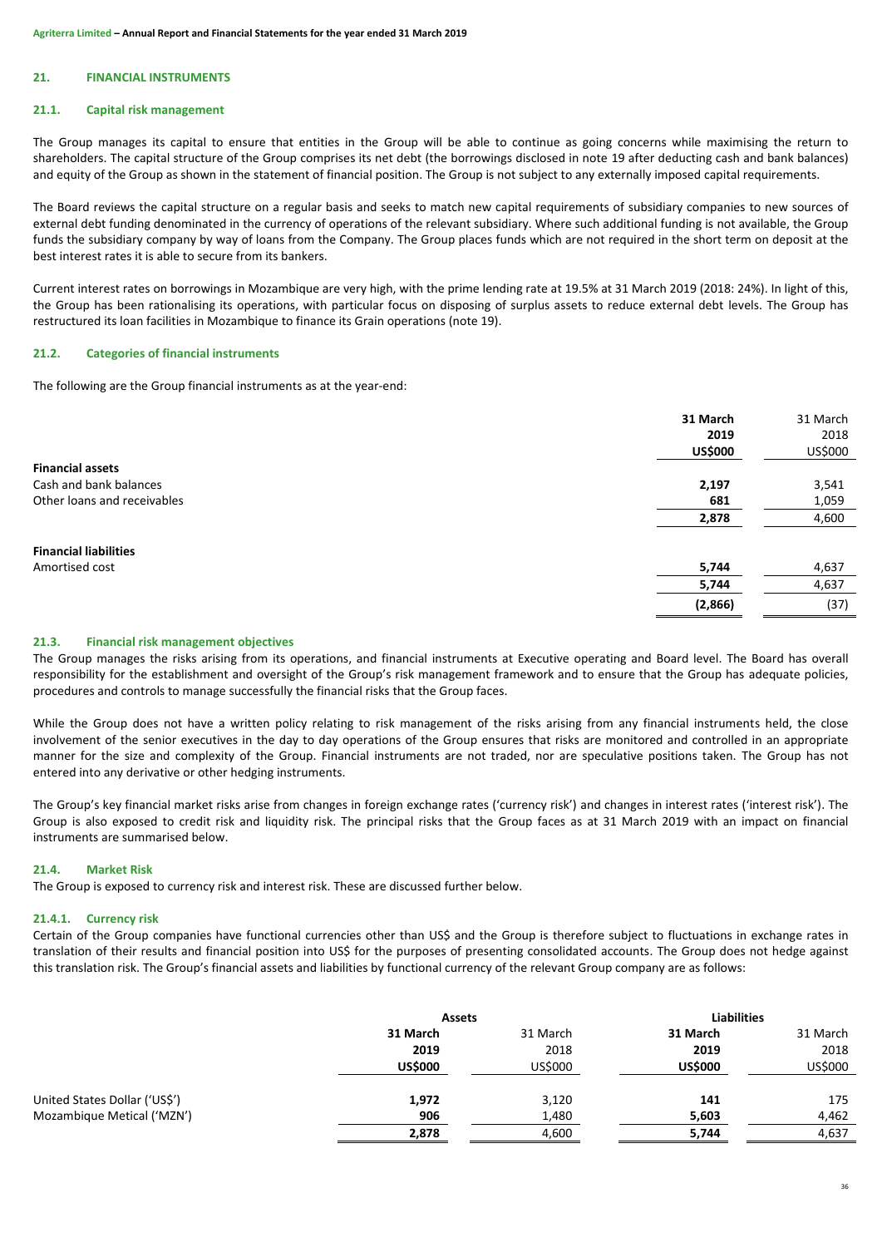# **21. FINANCIAL INSTRUMENTS**

#### **21.1. Capital risk management**

The Group manages its capital to ensure that entities in the Group will be able to continue as going concerns while maximising the return to shareholders. The capital structure of the Group comprises its net debt (the borrowings disclosed in note 19 after deducting cash and bank balances) and equity of the Group as shown in the statement of financial position. The Group is not subject to any externally imposed capital requirements.

The Board reviews the capital structure on a regular basis and seeks to match new capital requirements of subsidiary companies to new sources of external debt funding denominated in the currency of operations of the relevant subsidiary. Where such additional funding is not available, the Group funds the subsidiary company by way of loans from the Company. The Group places funds which are not required in the short term on deposit at the best interest rates it is able to secure from its bankers.

Current interest rates on borrowings in Mozambique are very high, with the prime lending rate at 19.5% at 31 March 2019 (2018: 24%). In light of this, the Group has been rationalising its operations, with particular focus on disposing of surplus assets to reduce external debt levels. The Group has restructured its loan facilities in Mozambique to finance its Grain operations (note 19).

# **21.2. Categories of financial instruments**

The following are the Group financial instruments as at the year-end:

|                              | 31 March<br>2019<br><b>US\$000</b> | 31 March<br>2018<br>US\$000 |
|------------------------------|------------------------------------|-----------------------------|
| <b>Financial assets</b>      |                                    |                             |
| Cash and bank balances       | 2,197                              | 3,541                       |
| Other loans and receivables  | 681                                | 1,059                       |
|                              | 2,878                              | 4,600                       |
| <b>Financial liabilities</b> |                                    |                             |
| Amortised cost               | 5,744                              | 4,637                       |
|                              | 5,744                              | 4,637                       |
|                              | (2,866)                            | (37)                        |

# **21.3. Financial risk management objectives**

The Group manages the risks arising from its operations, and financial instruments at Executive operating and Board level. The Board has overall responsibility for the establishment and oversight of the Group's risk management framework and to ensure that the Group has adequate policies, procedures and controls to manage successfully the financial risks that the Group faces.

While the Group does not have a written policy relating to risk management of the risks arising from any financial instruments held, the close involvement of the senior executives in the day to day operations of the Group ensures that risks are monitored and controlled in an appropriate manner for the size and complexity of the Group. Financial instruments are not traded, nor are speculative positions taken. The Group has not entered into any derivative or other hedging instruments.

The Group's key financial market risks arise from changes in foreign exchange rates ('currency risk') and changes in interest rates ('interest risk'). The Group is also exposed to credit risk and liquidity risk. The principal risks that the Group faces as at 31 March 2019 with an impact on financial instruments are summarised below.

# **21.4. Market Risk**

The Group is exposed to currency risk and interest risk. These are discussed further below.

#### **21.4.1. Currency risk**

Certain of the Group companies have functional currencies other than US\$ and the Group is therefore subject to fluctuations in exchange rates in translation of their results and financial position into US\$ for the purposes of presenting consolidated accounts. The Group does not hedge against this translation risk. The Group's financial assets and liabilities by functional currency of the relevant Group company are as follows:

|                               | <b>Assets</b>                      |                             | <b>Liabilities</b>                 |                             |
|-------------------------------|------------------------------------|-----------------------------|------------------------------------|-----------------------------|
|                               | 31 March<br>2019<br><b>US\$000</b> | 31 March<br>2018<br>US\$000 | 31 March<br>2019<br><b>US\$000</b> | 31 March<br>2018<br>US\$000 |
| United States Dollar ('US\$') | 1,972                              | 3,120                       | 141                                | 175                         |
| Mozambique Metical ('MZN')    | 906                                | 1,480                       | 5,603                              | 4,462                       |
|                               | 2,878                              | 4,600                       | 5,744                              | 4,637                       |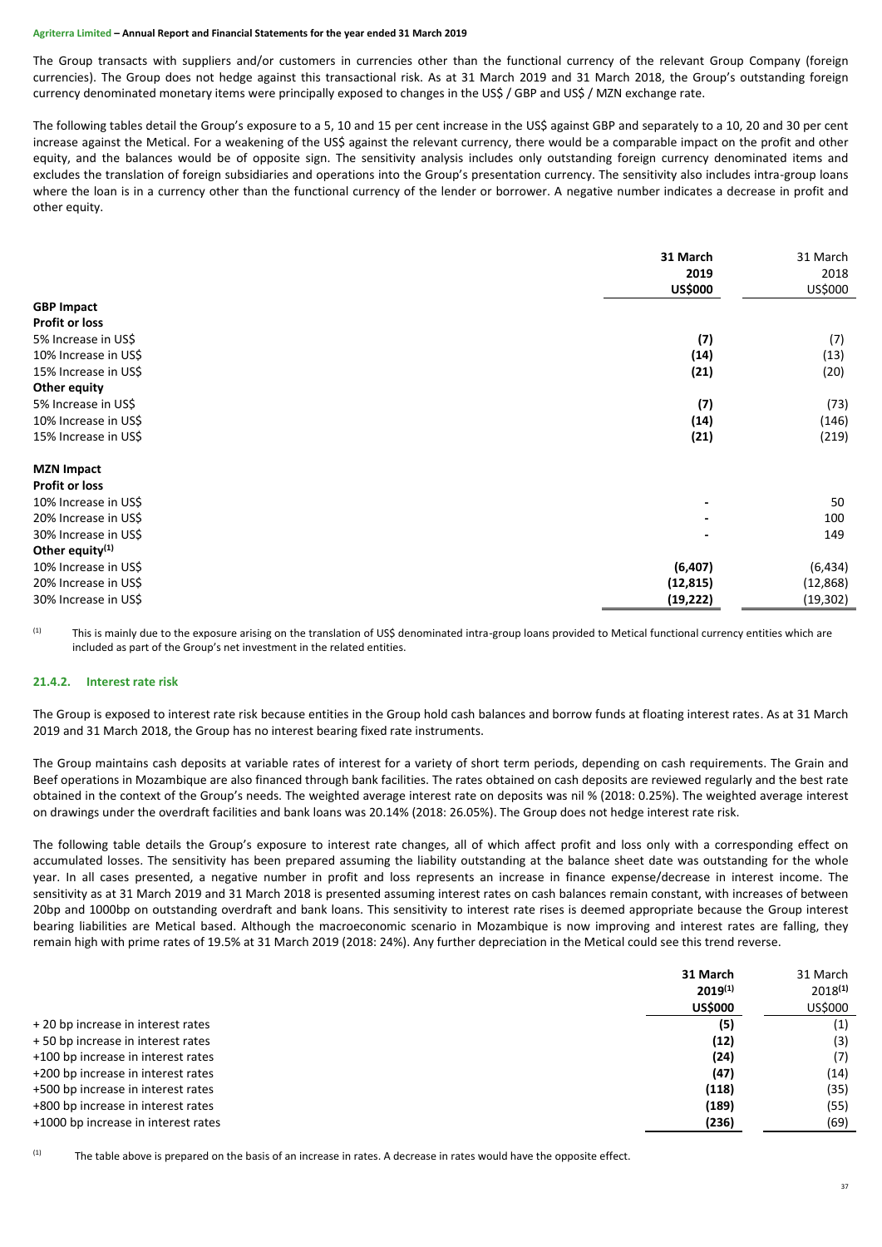The Group transacts with suppliers and/or customers in currencies other than the functional currency of the relevant Group Company (foreign currencies). The Group does not hedge against this transactional risk. As at 31 March 2019 and 31 March 2018, the Group's outstanding foreign currency denominated monetary items were principally exposed to changes in the US\$ / GBP and US\$ / MZN exchange rate.

The following tables detail the Group's exposure to a 5, 10 and 15 per cent increase in the US\$ against GBP and separately to a 10, 20 and 30 per cent increase against the Metical. For a weakening of the US\$ against the relevant currency, there would be a comparable impact on the profit and other equity, and the balances would be of opposite sign. The sensitivity analysis includes only outstanding foreign currency denominated items and excludes the translation of foreign subsidiaries and operations into the Group's presentation currency. The sensitivity also includes intra-group loans where the loan is in a currency other than the functional currency of the lender or borrower. A negative number indicates a decrease in profit and other equity.

| <b>GBP Impact</b>     | 31 March<br>2019<br><b>US\$000</b> | 31 March<br>2018<br>US\$000 |
|-----------------------|------------------------------------|-----------------------------|
| <b>Profit or loss</b> |                                    |                             |
| 5% Increase in US\$   | (7)                                | (7)                         |
| 10% Increase in US\$  | (14)                               | (13)                        |
| 15% Increase in US\$  | (21)                               | (20)                        |
| Other equity          |                                    |                             |
| 5% Increase in US\$   | (7)                                | (73)                        |
| 10% Increase in US\$  | (14)                               | (146)                       |
| 15% Increase in US\$  | (21)                               | (219)                       |
| <b>MZN Impact</b>     |                                    |                             |
| <b>Profit or loss</b> |                                    |                             |
| 10% Increase in US\$  |                                    | 50                          |
| 20% Increase in US\$  |                                    | 100                         |
| 30% Increase in US\$  |                                    | 149                         |
| Other equity $(1)$    |                                    |                             |
| 10% Increase in US\$  | (6, 407)                           | (6, 434)                    |
| 20% Increase in US\$  | (12, 815)                          | (12, 868)                   |
| 30% Increase in US\$  | (19, 222)                          | (19, 302)                   |

(1) This is mainly due to the exposure arising on the translation of US\$ denominated intra-group loans provided to Metical functional currency entities which are included as part of the Group's net investment in the related entities.

# **21.4.2. Interest rate risk**

The Group is exposed to interest rate risk because entities in the Group hold cash balances and borrow funds at floating interest rates. As at 31 March 2019 and 31 March 2018, the Group has no interest bearing fixed rate instruments.

The Group maintains cash deposits at variable rates of interest for a variety of short term periods, depending on cash requirements. The Grain and Beef operations in Mozambique are also financed through bank facilities. The rates obtained on cash deposits are reviewed regularly and the best rate obtained in the context of the Group's needs. The weighted average interest rate on deposits was nil % (2018: 0.25%). The weighted average interest on drawings under the overdraft facilities and bank loans was 20.14% (2018: 26.05%). The Group does not hedge interest rate risk.

The following table details the Group's exposure to interest rate changes, all of which affect profit and loss only with a corresponding effect on accumulated losses. The sensitivity has been prepared assuming the liability outstanding at the balance sheet date was outstanding for the whole year. In all cases presented, a negative number in profit and loss represents an increase in finance expense/decrease in interest income. The sensitivity as at 31 March 2019 and 31 March 2018 is presented assuming interest rates on cash balances remain constant, with increases of between 20bp and 1000bp on outstanding overdraft and bank loans. This sensitivity to interest rate rises is deemed appropriate because the Group interest bearing liabilities are Metical based. Although the macroeconomic scenario in Mozambique is now improving and interest rates are falling, they remain high with prime rates of 19.5% at 31 March 2019 (2018: 24%). Any further depreciation in the Metical could see this trend reverse.

|                                     | 31 March<br>$2019^{(1)}$<br><b>US\$000</b> | 31 March<br>$2018^{(1)}$<br>US\$000 |
|-------------------------------------|--------------------------------------------|-------------------------------------|
| +20 bp increase in interest rates   | (5)                                        | (1)                                 |
| +50 bp increase in interest rates   | (12)                                       | (3)                                 |
| +100 bp increase in interest rates  | (24)                                       | (7)                                 |
| +200 bp increase in interest rates  | (47)                                       | (14)                                |
| +500 bp increase in interest rates  | (118)                                      | (35)                                |
| +800 bp increase in interest rates  | (189)                                      | (55)                                |
| +1000 bp increase in interest rates | (236)                                      | (69)                                |

 $(1)$  The table above is prepared on the basis of an increase in rates. A decrease in rates would have the opposite effect.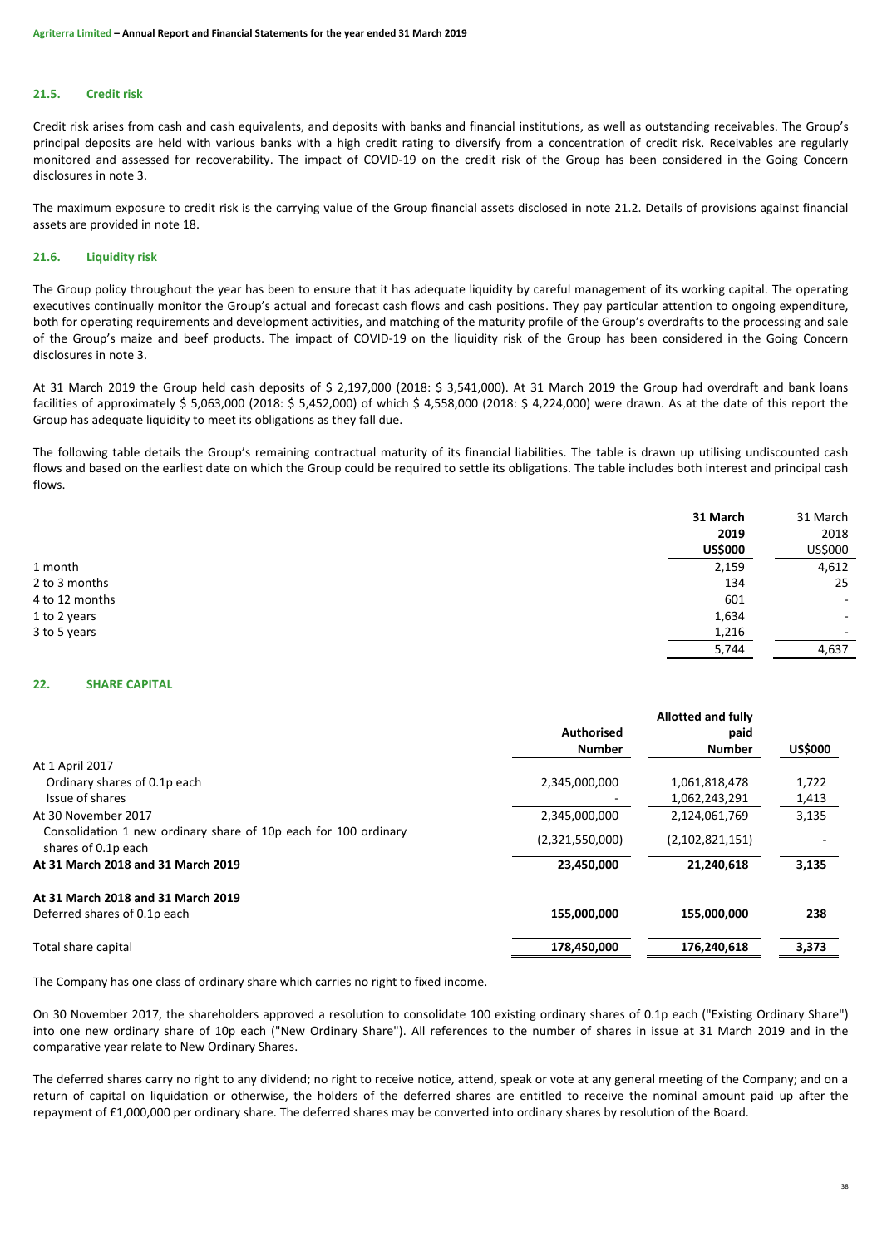# **21.5. Credit risk**

Credit risk arises from cash and cash equivalents, and deposits with banks and financial institutions, as well as outstanding receivables. The Group's principal deposits are held with various banks with a high credit rating to diversify from a concentration of credit risk. Receivables are regularly monitored and assessed for recoverability. The impact of COVID-19 on the credit risk of the Group has been considered in the Going Concern disclosures in note 3.

The maximum exposure to credit risk is the carrying value of the Group financial assets disclosed in note 21.2. Details of provisions against financial assets are provided in note 18.

# **21.6. Liquidity risk**

The Group policy throughout the year has been to ensure that it has adequate liquidity by careful management of its working capital. The operating executives continually monitor the Group's actual and forecast cash flows and cash positions. They pay particular attention to ongoing expenditure, both for operating requirements and development activities, and matching of the maturity profile of the Group's overdrafts to the processing and sale of the Group's maize and beef products. The impact of COVID-19 on the liquidity risk of the Group has been considered in the Going Concern disclosures in note 3.

At 31 March 2019 the Group held cash deposits of \$ 2,197,000 (2018: \$ 3,541,000). At 31 March 2019 the Group had overdraft and bank loans facilities of approximately \$ 5,063,000 (2018: \$ 5,452,000) of which \$ 4,558,000 (2018: \$ 4,224,000) were drawn. As at the date of this report the Group has adequate liquidity to meet its obligations as they fall due.

The following table details the Group's remaining contractual maturity of its financial liabilities. The table is drawn up utilising undiscounted cash flows and based on the earliest date on which the Group could be required to settle its obligations. The table includes both interest and principal cash flows.

|                | 31 March       | 31 March                 |
|----------------|----------------|--------------------------|
|                | 2019           | 2018                     |
|                | <b>US\$000</b> | US\$000                  |
| 1 month        | 2,159          | 4,612                    |
| 2 to 3 months  | 134            | 25                       |
| 4 to 12 months | 601            | ۰.                       |
| 1 to 2 years   | 1,634          | ۰.                       |
| 3 to 5 years   | 1,216          | $\overline{\phantom{a}}$ |
|                | 5,744          | 4,637                    |

# **22. SHARE CAPITAL**

|                                                                                        | <b>Allotted and fully</b> |                 |                |
|----------------------------------------------------------------------------------------|---------------------------|-----------------|----------------|
|                                                                                        | <b>Authorised</b><br>paid |                 |                |
|                                                                                        | <b>Number</b>             | <b>Number</b>   | <b>US\$000</b> |
| At 1 April 2017                                                                        |                           |                 |                |
| Ordinary shares of 0.1p each                                                           | 2,345,000,000             | 1,061,818,478   | 1,722          |
| Issue of shares                                                                        |                           | 1,062,243,291   | 1,413          |
| At 30 November 2017                                                                    | 2,345,000,000             | 2,124,061,769   | 3,135          |
| Consolidation 1 new ordinary share of 10p each for 100 ordinary<br>shares of 0.1p each | (2,321,550,000)           | (2,102,821,151) |                |
| At 31 March 2018 and 31 March 2019                                                     | 23,450,000                | 21.240.618      | 3,135          |
| At 31 March 2018 and 31 March 2019                                                     |                           |                 |                |
| Deferred shares of 0.1p each                                                           | 155,000,000               | 155,000,000     | 238            |
| Total share capital                                                                    | 178,450,000               | 176,240,618     | 3,373          |

The Company has one class of ordinary share which carries no right to fixed income.

On 30 November 2017, the shareholders approved a resolution to consolidate 100 existing ordinary shares of 0.1p each ("Existing Ordinary Share") into one new ordinary share of 10p each ("New Ordinary Share"). All references to the number of shares in issue at 31 March 2019 and in the comparative year relate to New Ordinary Shares.

The deferred shares carry no right to any dividend; no right to receive notice, attend, speak or vote at any general meeting of the Company; and on a return of capital on liquidation or otherwise, the holders of the deferred shares are entitled to receive the nominal amount paid up after the repayment of £1,000,000 per ordinary share. The deferred shares may be converted into ordinary shares by resolution of the Board.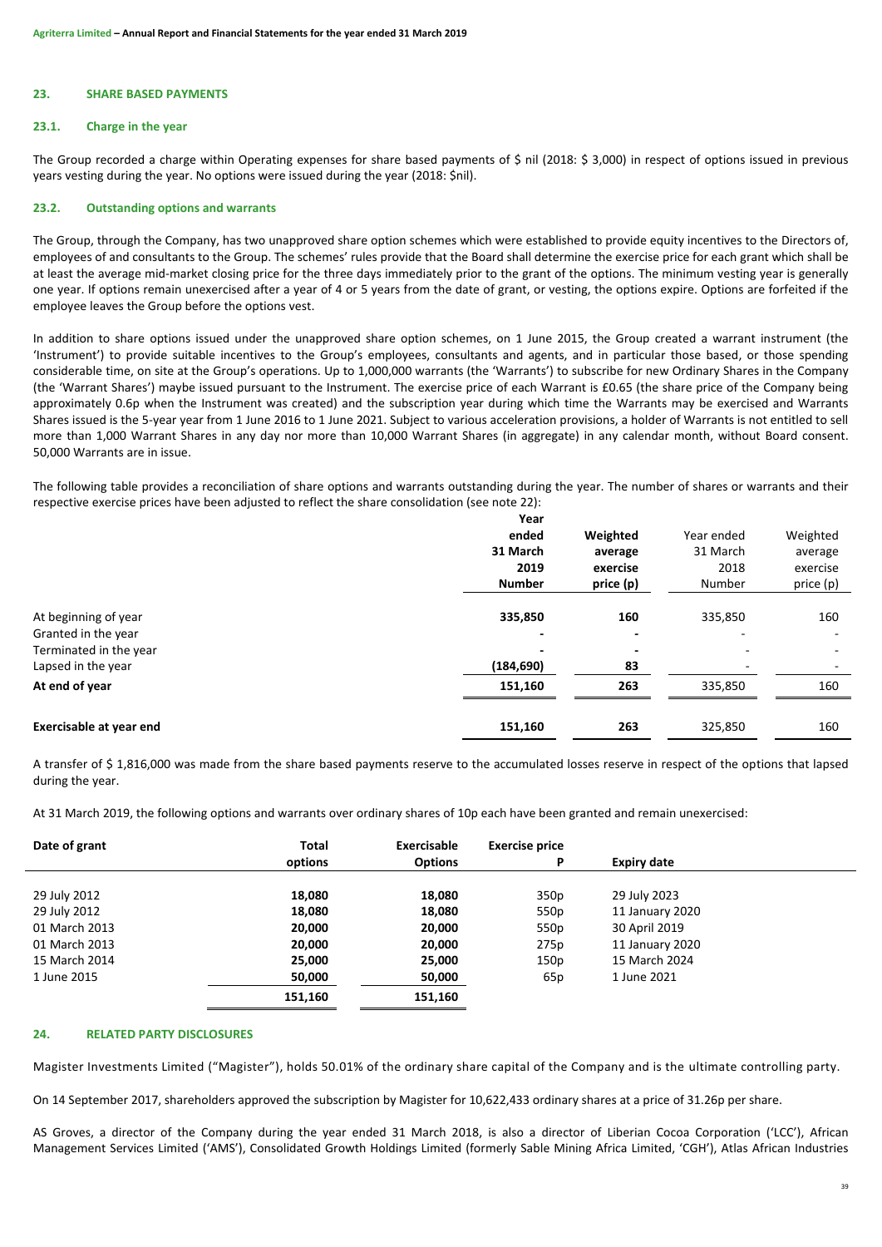# **23. SHARE BASED PAYMENTS**

# **23.1. Charge in the year**

The Group recorded a charge within Operating expenses for share based payments of \$ nil (2018: \$ 3,000) in respect of options issued in previous years vesting during the year. No options were issued during the year (2018: \$nil).

# **23.2. Outstanding options and warrants**

The Group, through the Company, has two unapproved share option schemes which were established to provide equity incentives to the Directors of, employees of and consultants to the Group. The schemes' rules provide that the Board shall determine the exercise price for each grant which shall be at least the average mid-market closing price for the three days immediately prior to the grant of the options. The minimum vesting year is generally one year. If options remain unexercised after a year of 4 or 5 years from the date of grant, or vesting, the options expire. Options are forfeited if the employee leaves the Group before the options vest.

In addition to share options issued under the unapproved share option schemes, on 1 June 2015, the Group created a warrant instrument (the 'Instrument') to provide suitable incentives to the Group's employees, consultants and agents, and in particular those based, or those spending considerable time, on site at the Group's operations. Up to 1,000,000 warrants (the 'Warrants') to subscribe for new Ordinary Shares in the Company (the 'Warrant Shares') maybe issued pursuant to the Instrument. The exercise price of each Warrant is £0.65 (the share price of the Company being approximately 0.6p when the Instrument was created) and the subscription year during which time the Warrants may be exercised and Warrants Shares issued is the 5-year year from 1 June 2016 to 1 June 2021. Subject to various acceleration provisions, a holder of Warrants is not entitled to sell more than 1,000 Warrant Shares in any day nor more than 10,000 Warrant Shares (in aggregate) in any calendar month, without Board consent. 50,000 Warrants are in issue.

The following table provides a reconciliation of share options and warrants outstanding during the year. The number of shares or warrants and their respective exercise prices have been adjusted to reflect the share consolidation (see note 22):

|                                                                                             | Year<br>ended<br>31 March<br>2019<br><b>Number</b> | Weighted<br>average<br>exercise<br>price (p) | Year ended<br>31 March<br>2018<br>Number | Weighted<br>average<br>exercise<br>price (p) |
|---------------------------------------------------------------------------------------------|----------------------------------------------------|----------------------------------------------|------------------------------------------|----------------------------------------------|
| At beginning of year<br>Granted in the year<br>Terminated in the year<br>Lapsed in the year | 335,850<br>$\overline{\phantom{0}}$<br>(184, 690)  | 160<br>83                                    | 335,850                                  | 160<br>٠                                     |
| At end of year                                                                              | 151,160                                            | 263                                          | 335,850                                  | 160                                          |
| <b>Exercisable at year end</b>                                                              | 151,160                                            | 263                                          | 325,850                                  | 160                                          |

A transfer of \$ 1,816,000 was made from the share based payments reserve to the accumulated losses reserve in respect of the options that lapsed during the year.

At 31 March 2019, the following options and warrants over ordinary shares of 10p each have been granted and remain unexercised:

| Date of grant | Total   | Exercisable    | <b>Exercise price</b> |                    |  |
|---------------|---------|----------------|-----------------------|--------------------|--|
|               | options | <b>Options</b> | P                     | <b>Expiry date</b> |  |
|               |         |                |                       |                    |  |
| 29 July 2012  | 18,080  | 18,080         | 350p                  | 29 July 2023       |  |
| 29 July 2012  | 18,080  | 18,080         | 550p                  | 11 January 2020    |  |
| 01 March 2013 | 20,000  | 20,000         | 550p                  | 30 April 2019      |  |
| 01 March 2013 | 20,000  | 20,000         | 275p                  | 11 January 2020    |  |
| 15 March 2014 | 25,000  | 25,000         | 150p                  | 15 March 2024      |  |
| 1 June 2015   | 50,000  | 50,000         | 65p                   | 1 June 2021        |  |
|               | 151,160 | 151,160        |                       |                    |  |

# **24. RELATED PARTY DISCLOSURES**

Magister Investments Limited ("Magister"), holds 50.01% of the ordinary share capital of the Company and is the ultimate controlling party.

On 14 September 2017, shareholders approved the subscription by Magister for 10,622,433 ordinary shares at a price of 31.26p per share.

AS Groves, a director of the Company during the year ended 31 March 2018, is also a director of Liberian Cocoa Corporation ('LCC'), African Management Services Limited ('AMS'), Consolidated Growth Holdings Limited (formerly Sable Mining Africa Limited, 'CGH'), Atlas African Industries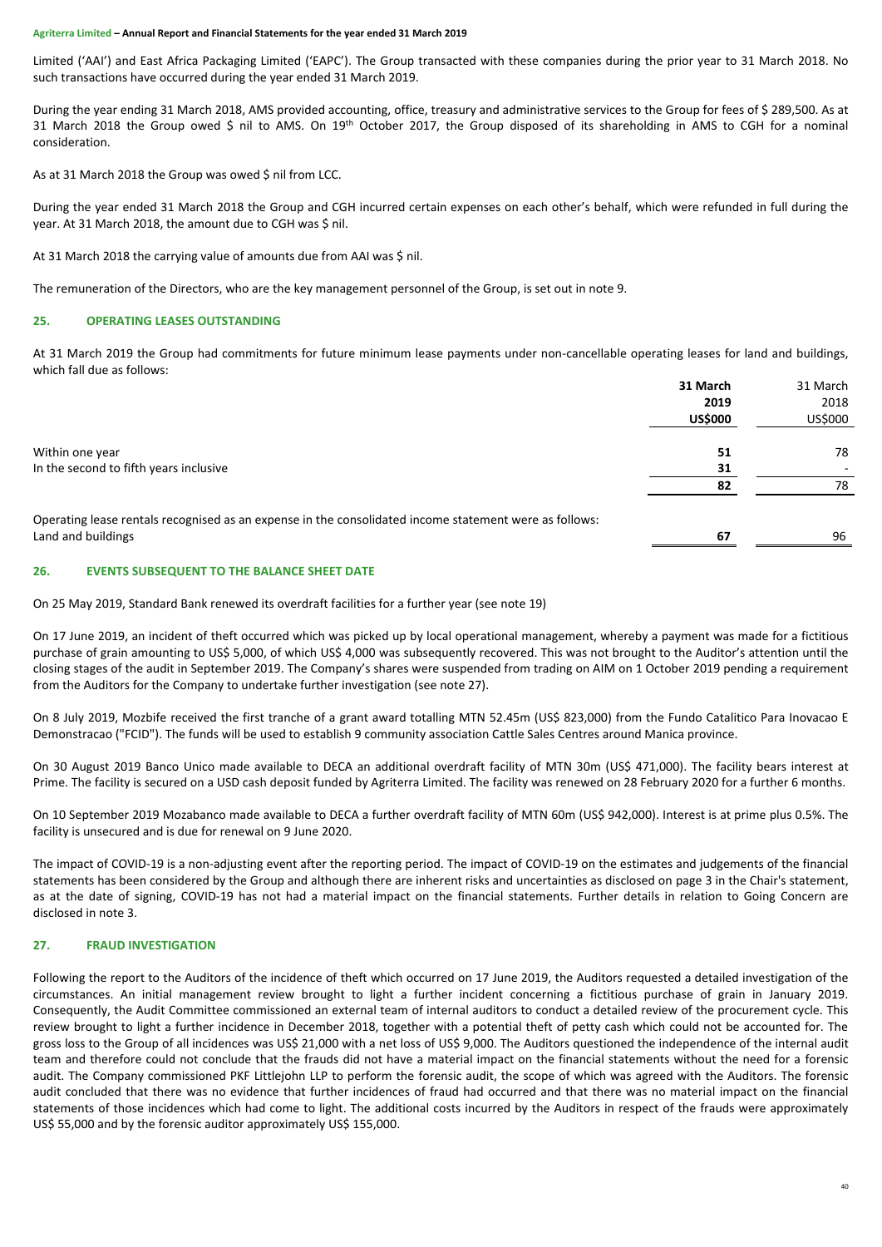Limited ('AAI') and East Africa Packaging Limited ('EAPC'). The Group transacted with these companies during the prior year to 31 March 2018. No such transactions have occurred during the year ended 31 March 2019.

During the year ending 31 March 2018, AMS provided accounting, office, treasury and administrative services to the Group for fees of \$ 289,500. As at 31 March 2018 the Group owed \$ nil to AMS. On 19<sup>th</sup> October 2017, the Group disposed of its shareholding in AMS to CGH for a nominal consideration.

As at 31 March 2018 the Group was owed \$ nil from LCC.

During the year ended 31 March 2018 the Group and CGH incurred certain expenses on each other's behalf, which were refunded in full during the year. At 31 March 2018, the amount due to CGH was \$ nil.

At 31 March 2018 the carrying value of amounts due from AAI was \$ nil.

The remuneration of the Directors, who are the key management personnel of the Group, is set out in note 9.

# **25. OPERATING LEASES OUTSTANDING**

At 31 March 2019 the Group had commitments for future minimum lease payments under non-cancellable operating leases for land and buildings, which fall due as follows:

|                                                                                                        | 31 March       | 31 March |
|--------------------------------------------------------------------------------------------------------|----------------|----------|
|                                                                                                        | 2019           | 2018     |
|                                                                                                        | <b>US\$000</b> | US\$000  |
| Within one year                                                                                        | 51             | 78       |
| In the second to fifth years inclusive                                                                 | 31             |          |
|                                                                                                        | 82             | 78       |
| Operating lease rentals recognised as an expense in the consolidated income statement were as follows: |                |          |
| Land and buildings                                                                                     | 67             | 96       |
|                                                                                                        |                |          |

# **26. EVENTS SUBSEQUENT TO THE BALANCE SHEET DATE**

On 25 May 2019, Standard Bank renewed its overdraft facilities for a further year (see note 19)

On 17 June 2019, an incident of theft occurred which was picked up by local operational management, whereby a payment was made for a fictitious purchase of grain amounting to US\$ 5,000, of which US\$ 4,000 was subsequently recovered. This was not brought to the Auditor's attention until the closing stages of the audit in September 2019. The Company's shares were suspended from trading on AIM on 1 October 2019 pending a requirement from the Auditors for the Company to undertake further investigation (see note 27).

On 8 July 2019, Mozbife received the first tranche of a grant award totalling MTN 52.45m (US\$ 823,000) from the Fundo Catalitico Para Inovacao E Demonstracao ("FCID"). The funds will be used to establish 9 community association Cattle Sales Centres around Manica province.

On 30 August 2019 Banco Unico made available to DECA an additional overdraft facility of MTN 30m (US\$ 471,000). The facility bears interest at Prime. The facility is secured on a USD cash deposit funded by Agriterra Limited. The facility was renewed on 28 February 2020 for a further 6 months.

On 10 September 2019 Mozabanco made available to DECA a further overdraft facility of MTN 60m (US\$ 942,000). Interest is at prime plus 0.5%. The facility is unsecured and is due for renewal on 9 June 2020.

The impact of COVID-19 is a non-adjusting event after the reporting period. The impact of COVID-19 on the estimates and judgements of the financial statements has been considered by the Group and although there are inherent risks and uncertainties as disclosed on page 3 in the Chair's statement, as at the date of signing, COVID-19 has not had a material impact on the financial statements. Further details in relation to Going Concern are disclosed in note 3.

# **27. FRAUD INVESTIGATION**

Following the report to the Auditors of the incidence of theft which occurred on 17 June 2019, the Auditors requested a detailed investigation of the circumstances. An initial management review brought to light a further incident concerning a fictitious purchase of grain in January 2019. Consequently, the Audit Committee commissioned an external team of internal auditors to conduct a detailed review of the procurement cycle. This review brought to light a further incidence in December 2018, together with a potential theft of petty cash which could not be accounted for. The gross loss to the Group of all incidences was US\$ 21,000 with a net loss of US\$ 9,000. The Auditors questioned the independence of the internal audit team and therefore could not conclude that the frauds did not have a material impact on the financial statements without the need for a forensic audit. The Company commissioned PKF Littlejohn LLP to perform the forensic audit, the scope of which was agreed with the Auditors. The forensic audit concluded that there was no evidence that further incidences of fraud had occurred and that there was no material impact on the financial statements of those incidences which had come to light. The additional costs incurred by the Auditors in respect of the frauds were approximately US\$ 55,000 and by the forensic auditor approximately US\$ 155,000.